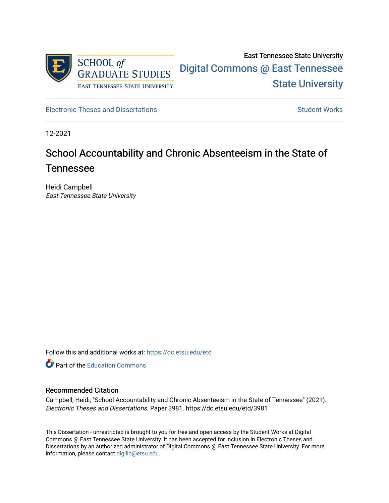

East Tennessee State University [Digital Commons @ East Tennessee](https://dc.etsu.edu/)  [State University](https://dc.etsu.edu/) 

[Electronic Theses and Dissertations](https://dc.etsu.edu/etd) [Student Works](https://dc.etsu.edu/student-works) Student Works

12-2021

# School Accountability and Chronic Absenteeism in the State of Tennessee

Heidi Campbell East Tennessee State University

Follow this and additional works at: [https://dc.etsu.edu/etd](https://dc.etsu.edu/etd?utm_source=dc.etsu.edu%2Fetd%2F3981&utm_medium=PDF&utm_campaign=PDFCoverPages)

**C** Part of the [Education Commons](http://network.bepress.com/hgg/discipline/784?utm_source=dc.etsu.edu%2Fetd%2F3981&utm_medium=PDF&utm_campaign=PDFCoverPages)

### Recommended Citation

Campbell, Heidi, "School Accountability and Chronic Absenteeism in the State of Tennessee" (2021). Electronic Theses and Dissertations. Paper 3981. https://dc.etsu.edu/etd/3981

This Dissertation - unrestricted is brought to you for free and open access by the Student Works at Digital Commons @ East Tennessee State University. It has been accepted for inclusion in Electronic Theses and Dissertations by an authorized administrator of Digital Commons @ East Tennessee State University. For more information, please contact [digilib@etsu.edu.](mailto:digilib@etsu.edu)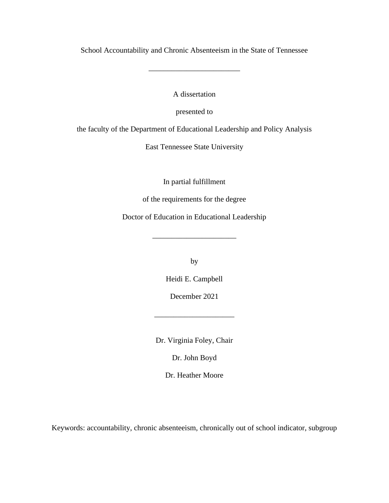School Accountability and Chronic Absenteeism in the State of Tennessee

\_\_\_\_\_\_\_\_\_\_\_\_\_\_\_\_\_\_\_\_\_\_\_\_

A dissertation

presented to

the faculty of the Department of Educational Leadership and Policy Analysis

East Tennessee State University

In partial fulfillment

of the requirements for the degree

Doctor of Education in Educational Leadership

\_\_\_\_\_\_\_\_\_\_\_\_\_\_\_\_\_\_\_\_\_\_

by

Heidi E. Campbell

December 2021

\_\_\_\_\_\_\_\_\_\_\_\_\_\_\_\_\_\_\_\_\_

Dr. Virginia Foley, Chair

Dr. John Boyd

Dr. Heather Moore

Keywords: accountability, chronic absenteeism, chronically out of school indicator, subgroup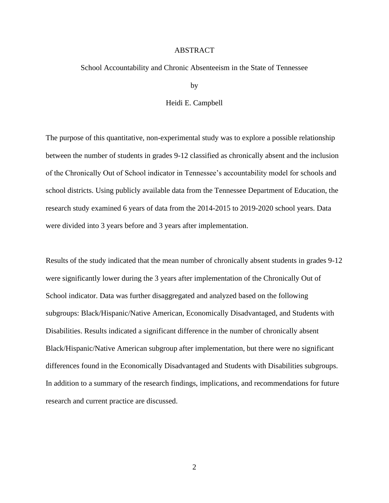#### ABSTRACT

#### School Accountability and Chronic Absenteeism in the State of Tennessee

by

#### Heidi E. Campbell

The purpose of this quantitative, non-experimental study was to explore a possible relationship between the number of students in grades 9-12 classified as chronically absent and the inclusion of the Chronically Out of School indicator in Tennessee's accountability model for schools and school districts. Using publicly available data from the Tennessee Department of Education, the research study examined 6 years of data from the 2014-2015 to 2019-2020 school years. Data were divided into 3 years before and 3 years after implementation.

Results of the study indicated that the mean number of chronically absent students in grades 9-12 were significantly lower during the 3 years after implementation of the Chronically Out of School indicator. Data was further disaggregated and analyzed based on the following subgroups: Black/Hispanic/Native American, Economically Disadvantaged, and Students with Disabilities. Results indicated a significant difference in the number of chronically absent Black/Hispanic/Native American subgroup after implementation, but there were no significant differences found in the Economically Disadvantaged and Students with Disabilities subgroups. In addition to a summary of the research findings, implications, and recommendations for future research and current practice are discussed.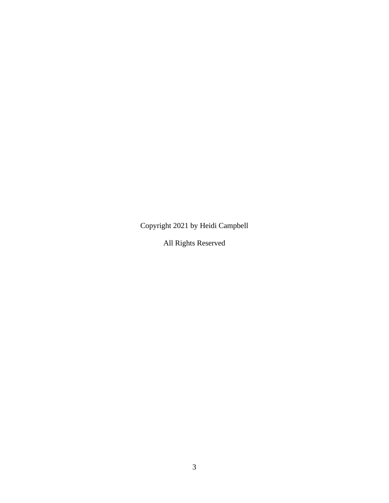Copyright 2021 by Heidi Campbell

All Rights Reserved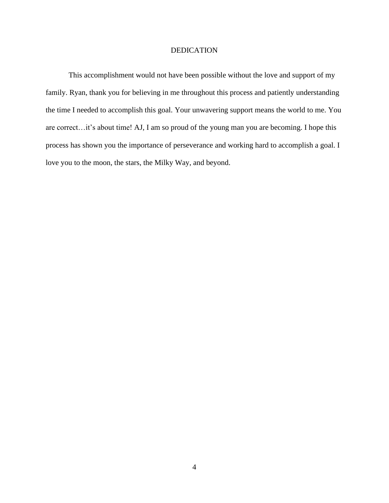## DEDICATION

This accomplishment would not have been possible without the love and support of my family. Ryan, thank you for believing in me throughout this process and patiently understanding the time I needed to accomplish this goal. Your unwavering support means the world to me. You are correct…it's about time! AJ, I am so proud of the young man you are becoming. I hope this process has shown you the importance of perseverance and working hard to accomplish a goal. I love you to the moon, the stars, the Milky Way, and beyond.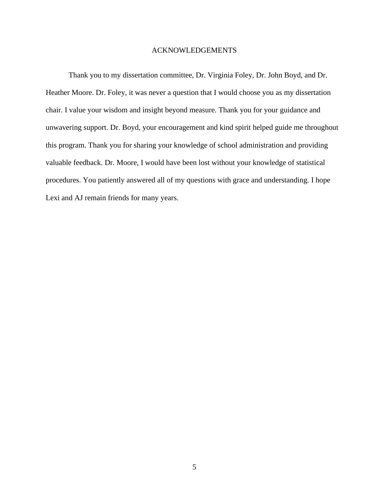#### ACKNOWLEDGEMENTS

Thank you to my dissertation committee, Dr. Virginia Foley, Dr. John Boyd, and Dr. Heather Moore. Dr. Foley, it was never a question that I would choose you as my dissertation chair. I value your wisdom and insight beyond measure. Thank you for your guidance and unwavering support. Dr. Boyd, your encouragement and kind spirit helped guide me throughout this program. Thank you for sharing your knowledge of school administration and providing valuable feedback. Dr. Moore, I would have been lost without your knowledge of statistical procedures. You patiently answered all of my questions with grace and understanding. I hope Lexi and AJ remain friends for many years.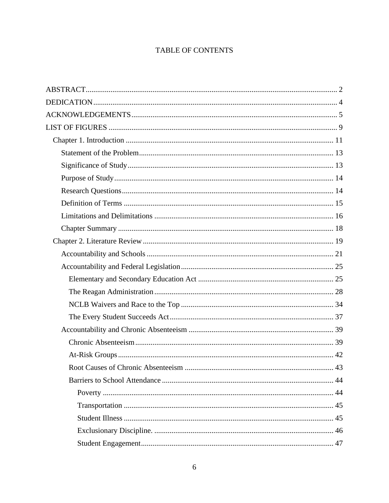# TABLE OF CONTENTS

| 43 |
|----|
|    |
|    |
|    |
|    |
|    |
|    |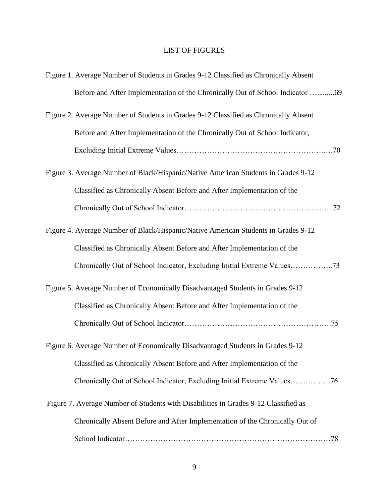# LIST OF FIGURES

| Figure 1. Average Number of Students in Grades 9-12 Classified as Chronically Absent |
|--------------------------------------------------------------------------------------|
| Before and After Implementation of the Chronically Out of School Indicator 69        |
| Figure 2. Average Number of Students in Grades 9-12 Classified as Chronically Absent |
| Before and After Implementation of the Chronically Out of School Indicator,          |
|                                                                                      |
| Figure 3. Average Number of Black/Hispanic/Native American Students in Grades 9-12   |
| Classified as Chronically Absent Before and After Implementation of the              |
|                                                                                      |
| Figure 4. Average Number of Black/Hispanic/Native American Students in Grades 9-12   |
| Classified as Chronically Absent Before and After Implementation of the              |
| Chronically Out of School Indicator, Excluding Initial Extreme Values73              |
| Figure 5. Average Number of Economically Disadvantaged Students in Grades 9-12       |
| Classified as Chronically Absent Before and After Implementation of the              |
|                                                                                      |
| Figure 6. Average Number of Economically Disadvantaged Students in Grades 9-12       |
| Classified as Chronically Absent Before and After Implementation of the              |
| Chronically Out of School Indicator, Excluding Initial Extreme Values76              |
| Figure 7. Average Number of Students with Disabilities in Grades 9-12 Classified as  |
| Chronically Absent Before and After Implementation of the Chronically Out of         |
|                                                                                      |
|                                                                                      |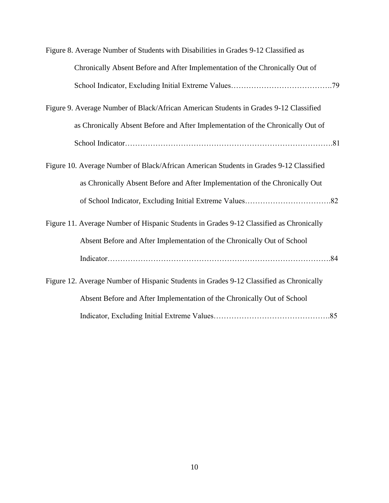| Figure 8. Average Number of Students with Disabilities in Grades 9-12 Classified as     |
|-----------------------------------------------------------------------------------------|
| Chronically Absent Before and After Implementation of the Chronically Out of            |
|                                                                                         |
| Figure 9. Average Number of Black/African American Students in Grades 9-12 Classified   |
| as Chronically Absent Before and After Implementation of the Chronically Out of         |
|                                                                                         |
| Figure 10. Average Number of Black/African American Students in Grades 9-12 Classified  |
| as Chronically Absent Before and After Implementation of the Chronically Out            |
|                                                                                         |
| Figure 11. Average Number of Hispanic Students in Grades 9-12 Classified as Chronically |
| Absent Before and After Implementation of the Chronically Out of School                 |
|                                                                                         |
| Figure 12. Average Number of Hispanic Students in Grades 9-12 Classified as Chronically |
| Absent Before and After Implementation of the Chronically Out of School                 |
|                                                                                         |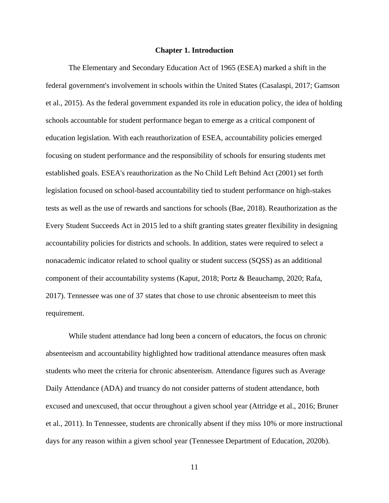#### **Chapter 1. Introduction**

The Elementary and Secondary Education Act of 1965 (ESEA) marked a shift in the federal government's involvement in schools within the United States (Casalaspi, 2017; Gamson et al., 2015). As the federal government expanded its role in education policy, the idea of holding schools accountable for student performance began to emerge as a critical component of education legislation. With each reauthorization of ESEA, accountability policies emerged focusing on student performance and the responsibility of schools for ensuring students met established goals. ESEA's reauthorization as the No Child Left Behind Act (2001) set forth legislation focused on school-based accountability tied to student performance on high-stakes tests as well as the use of rewards and sanctions for schools (Bae, 2018). Reauthorization as the Every Student Succeeds Act in 2015 led to a shift granting states greater flexibility in designing accountability policies for districts and schools. In addition, states were required to select a nonacademic indicator related to school quality or student success (SQSS) as an additional component of their accountability systems (Kaput, 2018; Portz & Beauchamp, 2020; Rafa, 2017). Tennessee was one of 37 states that chose to use chronic absenteeism to meet this requirement.

While student attendance had long been a concern of educators, the focus on chronic absenteeism and accountability highlighted how traditional attendance measures often mask students who meet the criteria for chronic absenteeism. Attendance figures such as Average Daily Attendance (ADA) and truancy do not consider patterns of student attendance, both excused and unexcused, that occur throughout a given school year (Attridge et al., 2016; Bruner et al., 2011). In Tennessee, students are chronically absent if they miss 10% or more instructional days for any reason within a given school year (Tennessee Department of Education, 2020b).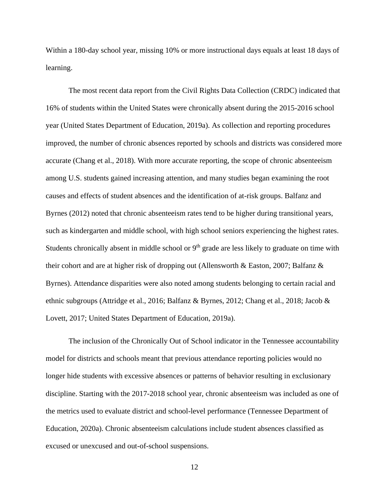Within a 180-day school year, missing 10% or more instructional days equals at least 18 days of learning.

The most recent data report from the Civil Rights Data Collection (CRDC) indicated that 16% of students within the United States were chronically absent during the 2015-2016 school year (United States Department of Education, 2019a). As collection and reporting procedures improved, the number of chronic absences reported by schools and districts was considered more accurate (Chang et al., 2018). With more accurate reporting, the scope of chronic absenteeism among U.S. students gained increasing attention, and many studies began examining the root causes and effects of student absences and the identification of at-risk groups. Balfanz and Byrnes (2012) noted that chronic absenteeism rates tend to be higher during transitional years, such as kindergarten and middle school, with high school seniors experiencing the highest rates. Students chronically absent in middle school or 9<sup>th</sup> grade are less likely to graduate on time with their cohort and are at higher risk of dropping out (Allensworth & Easton, 2007; Balfanz & Byrnes). Attendance disparities were also noted among students belonging to certain racial and ethnic subgroups (Attridge et al., 2016; Balfanz & Byrnes, 2012; Chang et al., 2018; Jacob & Lovett, 2017; United States Department of Education, 2019a).

The inclusion of the Chronically Out of School indicator in the Tennessee accountability model for districts and schools meant that previous attendance reporting policies would no longer hide students with excessive absences or patterns of behavior resulting in exclusionary discipline. Starting with the 2017-2018 school year, chronic absenteeism was included as one of the metrics used to evaluate district and school-level performance (Tennessee Department of Education, 2020a). Chronic absenteeism calculations include student absences classified as excused or unexcused and out-of-school suspensions.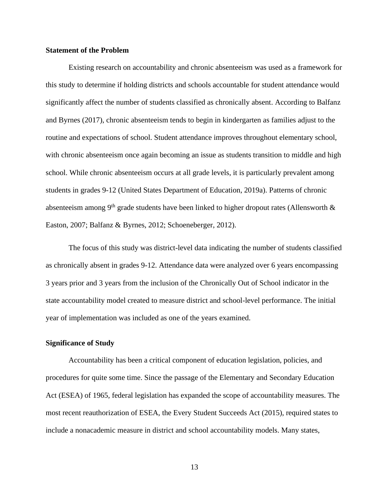#### **Statement of the Problem**

Existing research on accountability and chronic absenteeism was used as a framework for this study to determine if holding districts and schools accountable for student attendance would significantly affect the number of students classified as chronically absent. According to Balfanz and Byrnes (2017), chronic absenteeism tends to begin in kindergarten as families adjust to the routine and expectations of school. Student attendance improves throughout elementary school, with chronic absenteeism once again becoming an issue as students transition to middle and high school. While chronic absenteeism occurs at all grade levels, it is particularly prevalent among students in grades 9-12 (United States Department of Education, 2019a). Patterns of chronic absenteeism among 9<sup>th</sup> grade students have been linked to higher dropout rates (Allensworth  $\&$ Easton, 2007; Balfanz & Byrnes, 2012; Schoeneberger, 2012).

The focus of this study was district-level data indicating the number of students classified as chronically absent in grades 9-12. Attendance data were analyzed over 6 years encompassing 3 years prior and 3 years from the inclusion of the Chronically Out of School indicator in the state accountability model created to measure district and school-level performance. The initial year of implementation was included as one of the years examined.

#### **Significance of Study**

Accountability has been a critical component of education legislation, policies, and procedures for quite some time. Since the passage of the Elementary and Secondary Education Act (ESEA) of 1965, federal legislation has expanded the scope of accountability measures. The most recent reauthorization of ESEA, the Every Student Succeeds Act (2015), required states to include a nonacademic measure in district and school accountability models. Many states,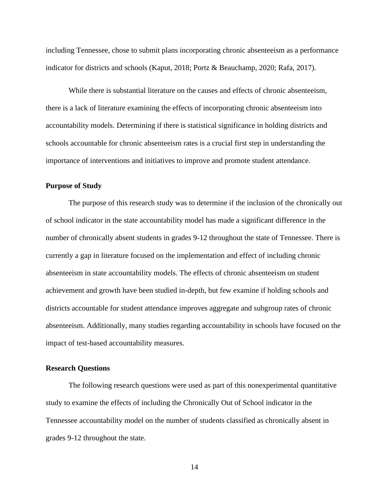including Tennessee, chose to submit plans incorporating chronic absenteeism as a performance indicator for districts and schools (Kaput, 2018; Portz & Beauchamp, 2020; Rafa, 2017).

While there is substantial literature on the causes and effects of chronic absenteeism, there is a lack of literature examining the effects of incorporating chronic absenteeism into accountability models. Determining if there is statistical significance in holding districts and schools accountable for chronic absenteeism rates is a crucial first step in understanding the importance of interventions and initiatives to improve and promote student attendance.

#### **Purpose of Study**

The purpose of this research study was to determine if the inclusion of the chronically out of school indicator in the state accountability model has made a significant difference in the number of chronically absent students in grades 9-12 throughout the state of Tennessee. There is currently a gap in literature focused on the implementation and effect of including chronic absenteeism in state accountability models. The effects of chronic absenteeism on student achievement and growth have been studied in-depth, but few examine if holding schools and districts accountable for student attendance improves aggregate and subgroup rates of chronic absenteeism. Additionally, many studies regarding accountability in schools have focused on the impact of test-based accountability measures.

#### **Research Questions**

The following research questions were used as part of this nonexperimental quantitative study to examine the effects of including the Chronically Out of School indicator in the Tennessee accountability model on the number of students classified as chronically absent in grades 9-12 throughout the state.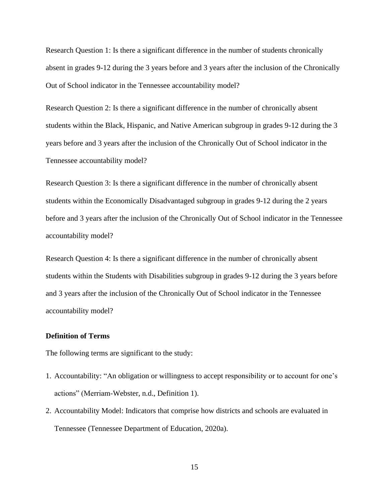Research Question 1: Is there a significant difference in the number of students chronically absent in grades 9-12 during the 3 years before and 3 years after the inclusion of the Chronically Out of School indicator in the Tennessee accountability model?

Research Question 2: Is there a significant difference in the number of chronically absent students within the Black, Hispanic, and Native American subgroup in grades 9-12 during the 3 years before and 3 years after the inclusion of the Chronically Out of School indicator in the Tennessee accountability model?

Research Question 3: Is there a significant difference in the number of chronically absent students within the Economically Disadvantaged subgroup in grades 9-12 during the 2 years before and 3 years after the inclusion of the Chronically Out of School indicator in the Tennessee accountability model?

Research Question 4: Is there a significant difference in the number of chronically absent students within the Students with Disabilities subgroup in grades 9-12 during the 3 years before and 3 years after the inclusion of the Chronically Out of School indicator in the Tennessee accountability model?

# **Definition of Terms**

The following terms are significant to the study:

- 1. Accountability: "An obligation or willingness to accept responsibility or to account for one's actions" (Merriam-Webster, n.d., Definition 1).
- 2. Accountability Model: Indicators that comprise how districts and schools are evaluated in Tennessee (Tennessee Department of Education, 2020a).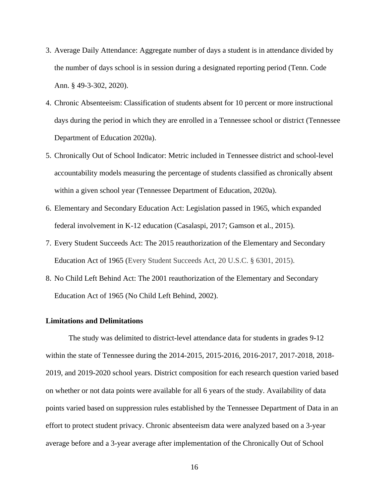- 3. Average Daily Attendance: Aggregate number of days a student is in attendance divided by the number of days school is in session during a designated reporting period (Tenn. Code Ann. § 49-3-302, 2020).
- 4. Chronic Absenteeism: Classification of students absent for 10 percent or more instructional days during the period in which they are enrolled in a Tennessee school or district (Tennessee Department of Education 2020a).
- 5. Chronically Out of School Indicator: Metric included in Tennessee district and school-level accountability models measuring the percentage of students classified as chronically absent within a given school year (Tennessee Department of Education, 2020a).
- 6. Elementary and Secondary Education Act: Legislation passed in 1965, which expanded federal involvement in K-12 education (Casalaspi, 2017; Gamson et al., 2015).
- 7. Every Student Succeeds Act: The 2015 reauthorization of the Elementary and Secondary Education Act of 1965 (Every Student Succeeds Act, 20 U.S.C. § 6301, 2015).
- 8. No Child Left Behind Act: The 2001 reauthorization of the Elementary and Secondary Education Act of 1965 (No Child Left Behind, 2002).

#### **Limitations and Delimitations**

The study was delimited to district-level attendance data for students in grades 9-12 within the state of Tennessee during the 2014-2015, 2015-2016, 2016-2017, 2017-2018, 2018- 2019, and 2019-2020 school years. District composition for each research question varied based on whether or not data points were available for all 6 years of the study. Availability of data points varied based on suppression rules established by the Tennessee Department of Data in an effort to protect student privacy. Chronic absenteeism data were analyzed based on a 3-year average before and a 3-year average after implementation of the Chronically Out of School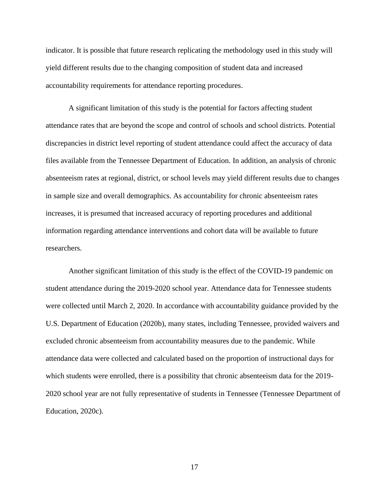indicator. It is possible that future research replicating the methodology used in this study will yield different results due to the changing composition of student data and increased accountability requirements for attendance reporting procedures.

A significant limitation of this study is the potential for factors affecting student attendance rates that are beyond the scope and control of schools and school districts. Potential discrepancies in district level reporting of student attendance could affect the accuracy of data files available from the Tennessee Department of Education. In addition, an analysis of chronic absenteeism rates at regional, district, or school levels may yield different results due to changes in sample size and overall demographics. As accountability for chronic absenteeism rates increases, it is presumed that increased accuracy of reporting procedures and additional information regarding attendance interventions and cohort data will be available to future researchers.

Another significant limitation of this study is the effect of the COVID-19 pandemic on student attendance during the 2019-2020 school year. Attendance data for Tennessee students were collected until March 2, 2020. In accordance with accountability guidance provided by the U.S. Department of Education (2020b), many states, including Tennessee, provided waivers and excluded chronic absenteeism from accountability measures due to the pandemic. While attendance data were collected and calculated based on the proportion of instructional days for which students were enrolled, there is a possibility that chronic absenteeism data for the 2019- 2020 school year are not fully representative of students in Tennessee (Tennessee Department of Education, 2020c).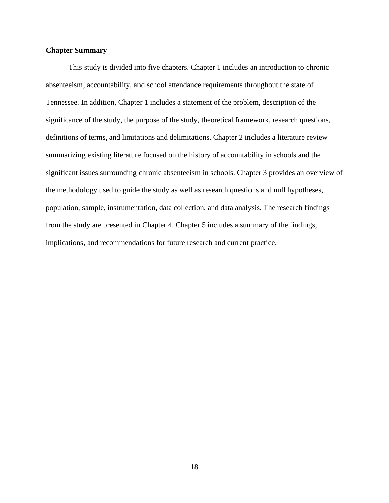## **Chapter Summary**

This study is divided into five chapters. Chapter 1 includes an introduction to chronic absenteeism, accountability, and school attendance requirements throughout the state of Tennessee. In addition, Chapter 1 includes a statement of the problem, description of the significance of the study, the purpose of the study, theoretical framework, research questions, definitions of terms, and limitations and delimitations. Chapter 2 includes a literature review summarizing existing literature focused on the history of accountability in schools and the significant issues surrounding chronic absenteeism in schools. Chapter 3 provides an overview of the methodology used to guide the study as well as research questions and null hypotheses, population, sample, instrumentation, data collection, and data analysis. The research findings from the study are presented in Chapter 4. Chapter 5 includes a summary of the findings, implications, and recommendations for future research and current practice.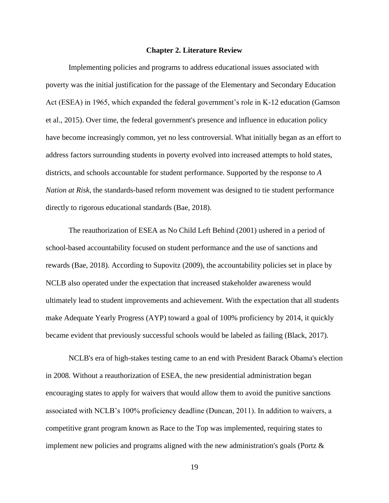#### **Chapter 2. Literature Review**

Implementing policies and programs to address educational issues associated with poverty was the initial justification for the passage of the Elementary and Secondary Education Act (ESEA) in 1965, which expanded the federal government's role in K-12 education (Gamson et al., 2015). Over time, the federal government's presence and influence in education policy have become increasingly common, yet no less controversial. What initially began as an effort to address factors surrounding students in poverty evolved into increased attempts to hold states, districts, and schools accountable for student performance. Supported by the response to *A Nation at Risk*, the standards-based reform movement was designed to tie student performance directly to rigorous educational standards (Bae, 2018).

The reauthorization of ESEA as No Child Left Behind (2001) ushered in a period of school-based accountability focused on student performance and the use of sanctions and rewards (Bae, 2018). According to Supovitz (2009), the accountability policies set in place by NCLB also operated under the expectation that increased stakeholder awareness would ultimately lead to student improvements and achievement. With the expectation that all students make Adequate Yearly Progress (AYP) toward a goal of 100% proficiency by 2014, it quickly became evident that previously successful schools would be labeled as failing (Black, 2017).

NCLB's era of high-stakes testing came to an end with President Barack Obama's election in 2008. Without a reauthorization of ESEA, the new presidential administration began encouraging states to apply for waivers that would allow them to avoid the punitive sanctions associated with NCLB's 100% proficiency deadline (Duncan, 2011). In addition to waivers, a competitive grant program known as Race to the Top was implemented, requiring states to implement new policies and programs aligned with the new administration's goals (Portz  $\&$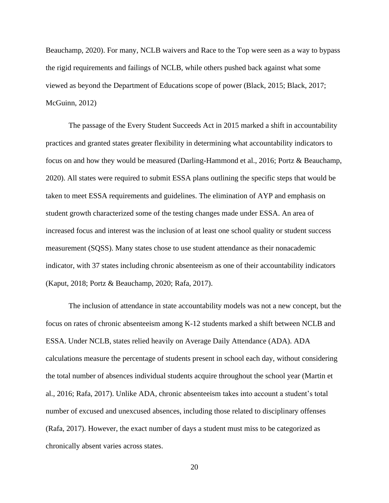Beauchamp, 2020). For many, NCLB waivers and Race to the Top were seen as a way to bypass the rigid requirements and failings of NCLB, while others pushed back against what some viewed as beyond the Department of Educations scope of power (Black, 2015; Black, 2017; McGuinn, 2012)

The passage of the Every Student Succeeds Act in 2015 marked a shift in accountability practices and granted states greater flexibility in determining what accountability indicators to focus on and how they would be measured (Darling-Hammond et al., 2016; Portz & Beauchamp, 2020). All states were required to submit ESSA plans outlining the specific steps that would be taken to meet ESSA requirements and guidelines. The elimination of AYP and emphasis on student growth characterized some of the testing changes made under ESSA. An area of increased focus and interest was the inclusion of at least one school quality or student success measurement (SQSS). Many states chose to use student attendance as their nonacademic indicator, with 37 states including chronic absenteeism as one of their accountability indicators (Kaput, 2018; Portz & Beauchamp, 2020; Rafa, 2017).

The inclusion of attendance in state accountability models was not a new concept, but the focus on rates of chronic absenteeism among K-12 students marked a shift between NCLB and ESSA. Under NCLB, states relied heavily on Average Daily Attendance (ADA). ADA calculations measure the percentage of students present in school each day, without considering the total number of absences individual students acquire throughout the school year (Martin et al., 2016; Rafa, 2017). Unlike ADA, chronic absenteeism takes into account a student's total number of excused and unexcused absences, including those related to disciplinary offenses (Rafa, 2017). However, the exact number of days a student must miss to be categorized as chronically absent varies across states.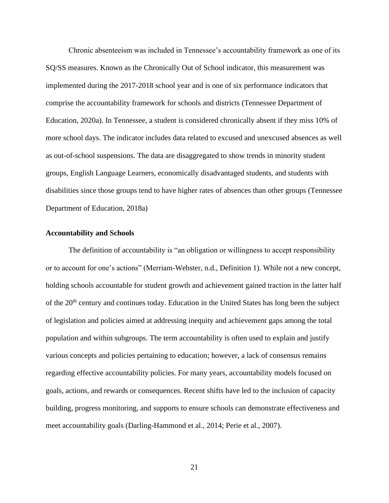Chronic absenteeism was included in Tennessee's accountability framework as one of its SQ/SS measures. Known as the Chronically Out of School indicator, this measurement was implemented during the 2017-2018 school year and is one of six performance indicators that comprise the accountability framework for schools and districts (Tennessee Department of Education, 2020a). In Tennessee, a student is considered chronically absent if they miss 10% of more school days. The indicator includes data related to excused and unexcused absences as well as out-of-school suspensions. The data are disaggregated to show trends in minority student groups, English Language Learners, economically disadvantaged students, and students with disabilities since those groups tend to have higher rates of absences than other groups (Tennessee Department of Education, 2018a)

# **Accountability and Schools**

The definition of accountability is "an obligation or willingness to accept responsibility or to account for one's actions" (Merriam-Webster, n.d., Definition 1). While not a new concept, holding schools accountable for student growth and achievement gained traction in the latter half of the 20<sup>th</sup> century and continues today. Education in the United States has long been the subject of legislation and policies aimed at addressing inequity and achievement gaps among the total population and within subgroups. The term accountability is often used to explain and justify various concepts and policies pertaining to education; however, a lack of consensus remains regarding effective accountability policies. For many years, accountability models focused on goals, actions, and rewards or consequences. Recent shifts have led to the inclusion of capacity building, progress monitoring, and supports to ensure schools can demonstrate effectiveness and meet accountability goals (Darling-Hammond et al., 2014; Perie et al., 2007).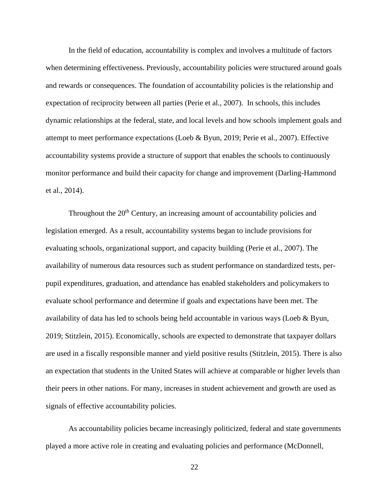In the field of education, accountability is complex and involves a multitude of factors when determining effectiveness. Previously, accountability policies were structured around goals and rewards or consequences. The foundation of accountability policies is the relationship and expectation of reciprocity between all parties (Perie et al., 2007). In schools, this includes dynamic relationships at the federal, state, and local levels and how schools implement goals and attempt to meet performance expectations (Loeb & Byun, 2019; Perie et al., 2007). Effective accountability systems provide a structure of support that enables the schools to continuously monitor performance and build their capacity for change and improvement (Darling-Hammond et al., 2014).

Throughout the  $20<sup>th</sup>$  Century, an increasing amount of accountability policies and legislation emerged. As a result, accountability systems began to include provisions for evaluating schools, organizational support, and capacity building (Perie et al., 2007). The availability of numerous data resources such as student performance on standardized tests, perpupil expenditures, graduation, and attendance has enabled stakeholders and policymakers to evaluate school performance and determine if goals and expectations have been met. The availability of data has led to schools being held accountable in various ways (Loeb & Byun, 2019; Stitzlein, 2015). Economically, schools are expected to demonstrate that taxpayer dollars are used in a fiscally responsible manner and yield positive results (Stitzlein, 2015). There is also an expectation that students in the United States will achieve at comparable or higher levels than their peers in other nations. For many, increases in student achievement and growth are used as signals of effective accountability policies.

As accountability policies became increasingly politicized, federal and state governments played a more active role in creating and evaluating policies and performance (McDonnell,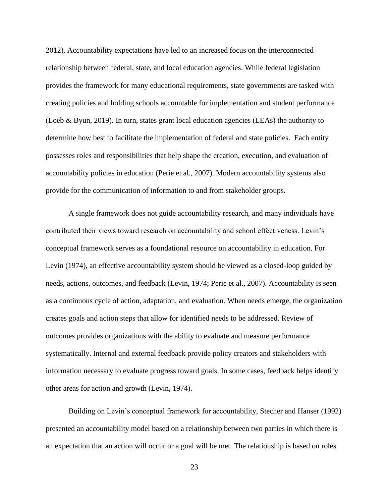2012). Accountability expectations have led to an increased focus on the interconnected relationship between federal, state, and local education agencies. While federal legislation provides the framework for many educational requirements, state governments are tasked with creating policies and holding schools accountable for implementation and student performance (Loeb & Byun, 2019). In turn, states grant local education agencies (LEAs) the authority to determine how best to facilitate the implementation of federal and state policies. Each entity possesses roles and responsibilities that help shape the creation, execution, and evaluation of accountability policies in education (Perie et al., 2007). Modern accountability systems also provide for the communication of information to and from stakeholder groups.

A single framework does not guide accountability research, and many individuals have contributed their views toward research on accountability and school effectiveness. Levin's conceptual framework serves as a foundational resource on accountability in education. For Levin (1974), an effective accountability system should be viewed as a closed-loop guided by needs, actions, outcomes, and feedback (Levin, 1974; Perie et al., 2007). Accountability is seen as a continuous cycle of action, adaptation, and evaluation. When needs emerge, the organization creates goals and action steps that allow for identified needs to be addressed. Review of outcomes provides organizations with the ability to evaluate and measure performance systematically. Internal and external feedback provide policy creators and stakeholders with information necessary to evaluate progress toward goals. In some cases, feedback helps identify other areas for action and growth (Levin, 1974).

Building on Levin's conceptual framework for accountability, Stecher and Hanser (1992) presented an accountability model based on a relationship between two parties in which there is an expectation that an action will occur or a goal will be met. The relationship is based on roles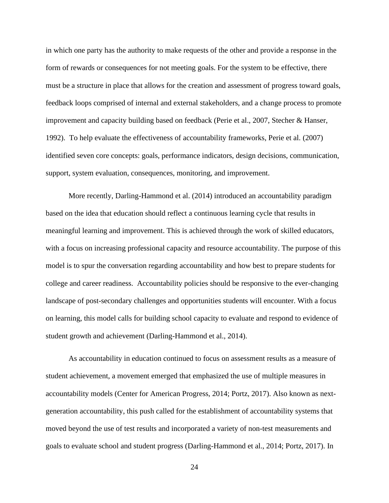in which one party has the authority to make requests of the other and provide a response in the form of rewards or consequences for not meeting goals. For the system to be effective, there must be a structure in place that allows for the creation and assessment of progress toward goals, feedback loops comprised of internal and external stakeholders, and a change process to promote improvement and capacity building based on feedback (Perie et al., 2007, Stecher & Hanser, 1992). To help evaluate the effectiveness of accountability frameworks, Perie et al. (2007) identified seven core concepts: goals, performance indicators, design decisions, communication, support, system evaluation, consequences, monitoring, and improvement.

More recently, Darling-Hammond et al. (2014) introduced an accountability paradigm based on the idea that education should reflect a continuous learning cycle that results in meaningful learning and improvement. This is achieved through the work of skilled educators, with a focus on increasing professional capacity and resource accountability. The purpose of this model is to spur the conversation regarding accountability and how best to prepare students for college and career readiness. Accountability policies should be responsive to the ever-changing landscape of post-secondary challenges and opportunities students will encounter. With a focus on learning, this model calls for building school capacity to evaluate and respond to evidence of student growth and achievement (Darling-Hammond et al., 2014).

As accountability in education continued to focus on assessment results as a measure of student achievement, a movement emerged that emphasized the use of multiple measures in accountability models (Center for American Progress, 2014; Portz, 2017). Also known as nextgeneration accountability, this push called for the establishment of accountability systems that moved beyond the use of test results and incorporated a variety of non-test measurements and goals to evaluate school and student progress (Darling-Hammond et al., 2014; Portz, 2017). In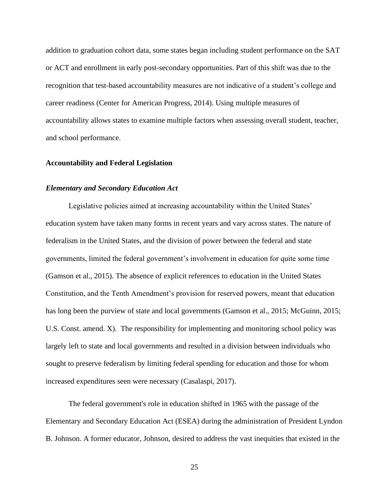addition to graduation cohort data, some states began including student performance on the SAT or ACT and enrollment in early post-secondary opportunities. Part of this shift was due to the recognition that test-based accountability measures are not indicative of a student's college and career readiness (Center for American Progress, 2014). Using multiple measures of accountability allows states to examine multiple factors when assessing overall student, teacher, and school performance.

#### **Accountability and Federal Legislation**

#### *Elementary and Secondary Education Act*

Legislative policies aimed at increasing accountability within the United States' education system have taken many forms in recent years and vary across states. The nature of federalism in the United States, and the division of power between the federal and state governments, limited the federal government's involvement in education for quite some time (Gamson et al., 2015). The absence of explicit references to education in the United States Constitution, and the Tenth Amendment's provision for reserved powers, meant that education has long been the purview of state and local governments (Gamson et al., 2015; McGuinn, 2015; U.S. Const. amend. X). The responsibility for implementing and monitoring school policy was largely left to state and local governments and resulted in a division between individuals who sought to preserve federalism by limiting federal spending for education and those for whom increased expenditures seen were necessary (Casalaspi, 2017).

The federal government's role in education shifted in 1965 with the passage of the Elementary and Secondary Education Act (ESEA) during the administration of President Lyndon B. Johnson. A former educator, Johnson, desired to address the vast inequities that existed in the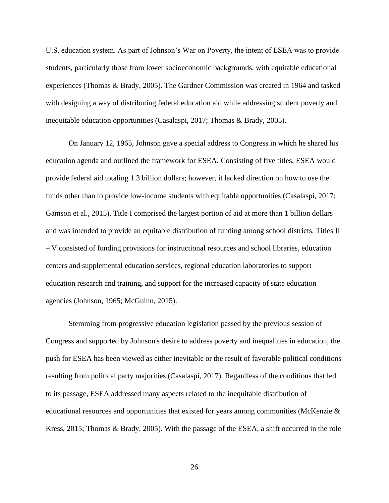U.S. education system. As part of Johnson's War on Poverty, the intent of ESEA was to provide students, particularly those from lower socioeconomic backgrounds, with equitable educational experiences (Thomas & Brady, 2005). The Gardner Commission was created in 1964 and tasked with designing a way of distributing federal education aid while addressing student poverty and inequitable education opportunities (Casalaspi, 2017; Thomas & Brady, 2005).

On January 12, 1965, Johnson gave a special address to Congress in which he shared his education agenda and outlined the framework for ESEA. Consisting of five titles, ESEA would provide federal aid totaling 1.3 billion dollars; however, it lacked direction on how to use the funds other than to provide low-income students with equitable opportunities (Casalaspi, 2017; Gamson et al., 2015). Title I comprised the largest portion of aid at more than 1 billion dollars and was intended to provide an equitable distribution of funding among school districts. Titles II – V consisted of funding provisions for instructional resources and school libraries, education centers and supplemental education services, regional education laboratories to support education research and training, and support for the increased capacity of state education agencies (Johnson, 1965; McGuinn, 2015).

Stemming from progressive education legislation passed by the previous session of Congress and supported by Johnson's desire to address poverty and inequalities in education, the push for ESEA has been viewed as either inevitable or the result of favorable political conditions resulting from political party majorities (Casalaspi, 2017). Regardless of the conditions that led to its passage, ESEA addressed many aspects related to the inequitable distribution of educational resources and opportunities that existed for years among communities (McKenzie & Kress, 2015; Thomas & Brady, 2005). With the passage of the ESEA, a shift occurred in the role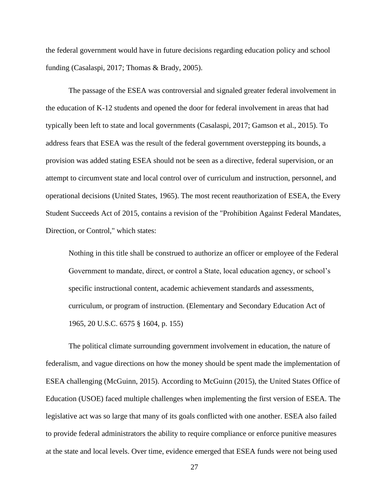the federal government would have in future decisions regarding education policy and school funding (Casalaspi, 2017; Thomas & Brady, 2005).

The passage of the ESEA was controversial and signaled greater federal involvement in the education of K-12 students and opened the door for federal involvement in areas that had typically been left to state and local governments (Casalaspi, 2017; Gamson et al., 2015). To address fears that ESEA was the result of the federal government overstepping its bounds, a provision was added stating ESEA should not be seen as a directive, federal supervision, or an attempt to circumvent state and local control over of curriculum and instruction, personnel, and operational decisions (United States, 1965). The most recent reauthorization of ESEA, the Every Student Succeeds Act of 2015, contains a revision of the "Prohibition Against Federal Mandates, Direction, or Control," which states:

Nothing in this title shall be construed to authorize an officer or employee of the Federal Government to mandate, direct, or control a State, local education agency, or school's specific instructional content, academic achievement standards and assessments, curriculum, or program of instruction. (Elementary and Secondary Education Act of 1965, 20 U.S.C. 6575 § 1604, p. 155)

The political climate surrounding government involvement in education, the nature of federalism, and vague directions on how the money should be spent made the implementation of ESEA challenging (McGuinn, 2015). According to McGuinn (2015), the United States Office of Education (USOE) faced multiple challenges when implementing the first version of ESEA. The legislative act was so large that many of its goals conflicted with one another. ESEA also failed to provide federal administrators the ability to require compliance or enforce punitive measures at the state and local levels. Over time, evidence emerged that ESEA funds were not being used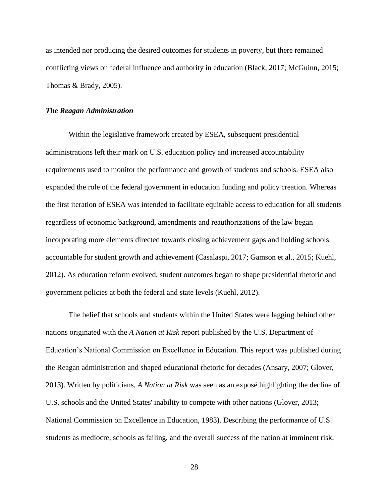as intended nor producing the desired outcomes for students in poverty, but there remained conflicting views on federal influence and authority in education (Black, 2017; McGuinn, 2015; Thomas & Brady, 2005).

# *The Reagan Administration*

Within the legislative framework created by ESEA, subsequent presidential administrations left their mark on U.S. education policy and increased accountability requirements used to monitor the performance and growth of students and schools. ESEA also expanded the role of the federal government in education funding and policy creation. Whereas the first iteration of ESEA was intended to facilitate equitable access to education for all students regardless of economic background, amendments and reauthorizations of the law began incorporating more elements directed towards closing achievement gaps and holding schools accountable for student growth and achievement **(**Casalaspi, 2017; Gamson et al., 2015; Kuehl, 2012). As education reform evolved, student outcomes began to shape presidential rhetoric and government policies at both the federal and state levels (Kuehl, 2012).

The belief that schools and students within the United States were lagging behind other nations originated with the *A Nation at Risk* report published by the U.S. Department of Education's National Commission on Excellence in Education. This report was published during the Reagan administration and shaped educational rhetoric for decades (Ansary, 2007; Glover, 2013). Written by politicians, *A Nation at Risk* was seen as an exposé highlighting the decline of U.S. schools and the United States' inability to compete with other nations (Glover, 2013; National Commission on Excellence in Education, 1983). Describing the performance of U.S. students as mediocre, schools as failing, and the overall success of the nation at imminent risk,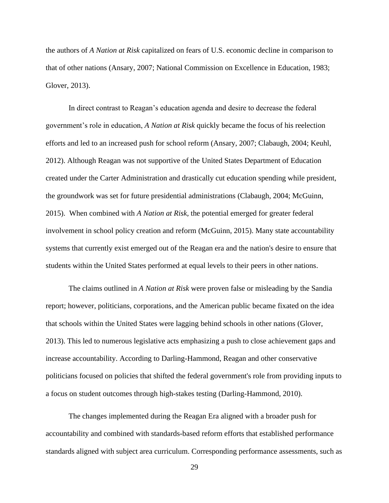the authors of *A Nation at Risk* capitalized on fears of U.S. economic decline in comparison to that of other nations (Ansary, 2007; National Commission on Excellence in Education, 1983; Glover, 2013).

In direct contrast to Reagan's education agenda and desire to decrease the federal government's role in education, *A Nation at Risk* quickly became the focus of his reelection efforts and led to an increased push for school reform (Ansary, 2007; Clabaugh, 2004; Keuhl, 2012). Although Reagan was not supportive of the United States Department of Education created under the Carter Administration and drastically cut education spending while president, the groundwork was set for future presidential administrations (Clabaugh, 2004; McGuinn, 2015). When combined with *A Nation at Risk,* the potential emerged for greater federal involvement in school policy creation and reform (McGuinn, 2015). Many state accountability systems that currently exist emerged out of the Reagan era and the nation's desire to ensure that students within the United States performed at equal levels to their peers in other nations.

The claims outlined in *A Nation at Risk* were proven false or misleading by the Sandia report; however, politicians, corporations, and the American public became fixated on the idea that schools within the United States were lagging behind schools in other nations (Glover, 2013). This led to numerous legislative acts emphasizing a push to close achievement gaps and increase accountability. According to Darling-Hammond, Reagan and other conservative politicians focused on policies that shifted the federal government's role from providing inputs to a focus on student outcomes through high-stakes testing (Darling-Hammond, 2010).

The changes implemented during the Reagan Era aligned with a broader push for accountability and combined with standards-based reform efforts that established performance standards aligned with subject area curriculum. Corresponding performance assessments, such as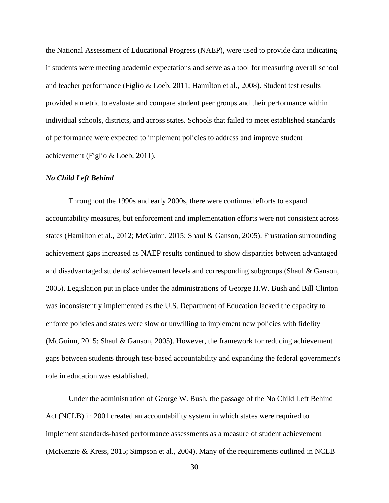the National Assessment of Educational Progress (NAEP), were used to provide data indicating if students were meeting academic expectations and serve as a tool for measuring overall school and teacher performance (Figlio & Loeb, 2011; Hamilton et al., 2008). Student test results provided a metric to evaluate and compare student peer groups and their performance within individual schools, districts, and across states. Schools that failed to meet established standards of performance were expected to implement policies to address and improve student achievement (Figlio & Loeb, 2011).

#### *No Child Left Behind*

Throughout the 1990s and early 2000s, there were continued efforts to expand accountability measures, but enforcement and implementation efforts were not consistent across states (Hamilton et al., 2012; McGuinn, 2015; Shaul & Ganson, 2005). Frustration surrounding achievement gaps increased as NAEP results continued to show disparities between advantaged and disadvantaged students' achievement levels and corresponding subgroups (Shaul & Ganson, 2005). Legislation put in place under the administrations of George H.W. Bush and Bill Clinton was inconsistently implemented as the U.S. Department of Education lacked the capacity to enforce policies and states were slow or unwilling to implement new policies with fidelity (McGuinn, 2015; Shaul & Ganson, 2005). However, the framework for reducing achievement gaps between students through test-based accountability and expanding the federal government's role in education was established.

Under the administration of George W. Bush, the passage of the No Child Left Behind Act (NCLB) in 2001 created an accountability system in which states were required to implement standards-based performance assessments as a measure of student achievement (McKenzie & Kress, 2015; Simpson et al., 2004). Many of the requirements outlined in NCLB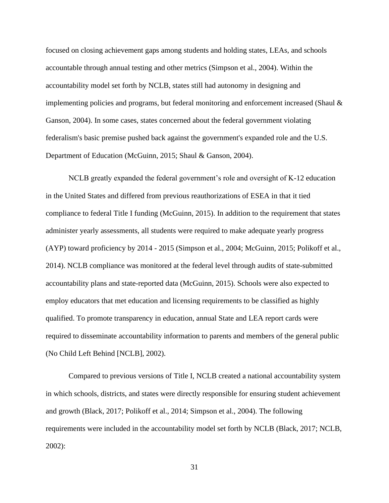focused on closing achievement gaps among students and holding states, LEAs, and schools accountable through annual testing and other metrics (Simpson et al., 2004). Within the accountability model set forth by NCLB, states still had autonomy in designing and implementing policies and programs, but federal monitoring and enforcement increased (Shaul & Ganson, 2004). In some cases, states concerned about the federal government violating federalism's basic premise pushed back against the government's expanded role and the U.S. Department of Education (McGuinn, 2015; Shaul & Ganson, 2004).

NCLB greatly expanded the federal government's role and oversight of K-12 education in the United States and differed from previous reauthorizations of ESEA in that it tied compliance to federal Title I funding (McGuinn, 2015). In addition to the requirement that states administer yearly assessments, all students were required to make adequate yearly progress (AYP) toward proficiency by 2014 - 2015 (Simpson et al., 2004; McGuinn, 2015; Polikoff et al., 2014). NCLB compliance was monitored at the federal level through audits of state-submitted accountability plans and state-reported data (McGuinn, 2015). Schools were also expected to employ educators that met education and licensing requirements to be classified as highly qualified. To promote transparency in education, annual State and LEA report cards were required to disseminate accountability information to parents and members of the general public (No Child Left Behind [NCLB], 2002).

Compared to previous versions of Title I, NCLB created a national accountability system in which schools, districts, and states were directly responsible for ensuring student achievement and growth (Black, 2017; Polikoff et al., 2014; Simpson et al., 2004). The following requirements were included in the accountability model set forth by NCLB (Black, 2017; NCLB, 2002):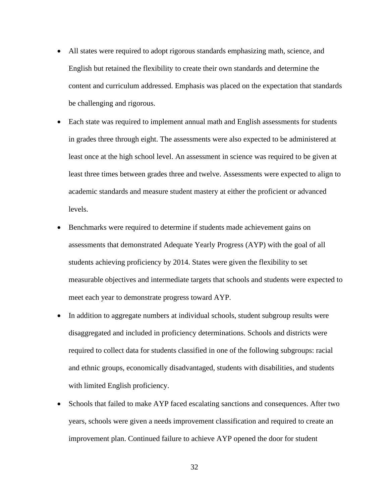- All states were required to adopt rigorous standards emphasizing math, science, and English but retained the flexibility to create their own standards and determine the content and curriculum addressed. Emphasis was placed on the expectation that standards be challenging and rigorous.
- Each state was required to implement annual math and English assessments for students in grades three through eight. The assessments were also expected to be administered at least once at the high school level. An assessment in science was required to be given at least three times between grades three and twelve. Assessments were expected to align to academic standards and measure student mastery at either the proficient or advanced levels.
- Benchmarks were required to determine if students made achievement gains on assessments that demonstrated Adequate Yearly Progress (AYP) with the goal of all students achieving proficiency by 2014. States were given the flexibility to set measurable objectives and intermediate targets that schools and students were expected to meet each year to demonstrate progress toward AYP.
- In addition to aggregate numbers at individual schools, student subgroup results were disaggregated and included in proficiency determinations. Schools and districts were required to collect data for students classified in one of the following subgroups: racial and ethnic groups, economically disadvantaged, students with disabilities, and students with limited English proficiency.
- Schools that failed to make AYP faced escalating sanctions and consequences. After two years, schools were given a needs improvement classification and required to create an improvement plan. Continued failure to achieve AYP opened the door for student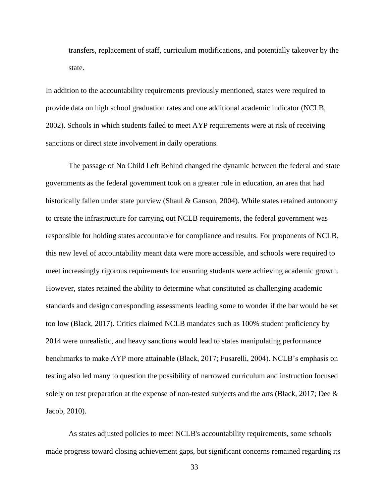transfers, replacement of staff, curriculum modifications, and potentially takeover by the state.

In addition to the accountability requirements previously mentioned, states were required to provide data on high school graduation rates and one additional academic indicator (NCLB, 2002). Schools in which students failed to meet AYP requirements were at risk of receiving sanctions or direct state involvement in daily operations.

The passage of No Child Left Behind changed the dynamic between the federal and state governments as the federal government took on a greater role in education, an area that had historically fallen under state purview (Shaul & Ganson, 2004). While states retained autonomy to create the infrastructure for carrying out NCLB requirements, the federal government was responsible for holding states accountable for compliance and results. For proponents of NCLB, this new level of accountability meant data were more accessible, and schools were required to meet increasingly rigorous requirements for ensuring students were achieving academic growth. However, states retained the ability to determine what constituted as challenging academic standards and design corresponding assessments leading some to wonder if the bar would be set too low (Black, 2017). Critics claimed NCLB mandates such as 100% student proficiency by 2014 were unrealistic, and heavy sanctions would lead to states manipulating performance benchmarks to make AYP more attainable (Black, 2017; Fusarelli, 2004). NCLB's emphasis on testing also led many to question the possibility of narrowed curriculum and instruction focused solely on test preparation at the expense of non-tested subjects and the arts (Black, 2017; Dee & Jacob, 2010).

As states adjusted policies to meet NCLB's accountability requirements, some schools made progress toward closing achievement gaps, but significant concerns remained regarding its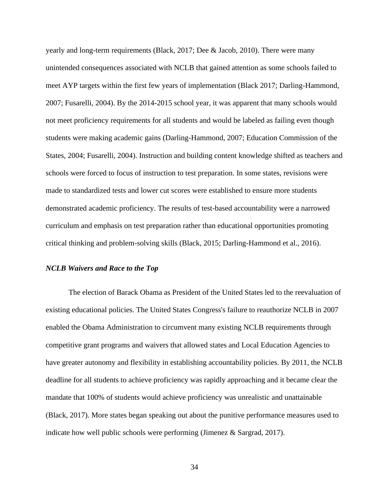yearly and long-term requirements (Black, 2017; Dee & Jacob, 2010). There were many unintended consequences associated with NCLB that gained attention as some schools failed to meet AYP targets within the first few years of implementation (Black 2017; Darling-Hammond, 2007; Fusarelli, 2004). By the 2014-2015 school year, it was apparent that many schools would not meet proficiency requirements for all students and would be labeled as failing even though students were making academic gains (Darling-Hammond, 2007; Education Commission of the States, 2004; Fusarelli, 2004). Instruction and building content knowledge shifted as teachers and schools were forced to focus of instruction to test preparation. In some states, revisions were made to standardized tests and lower cut scores were established to ensure more students demonstrated academic proficiency. The results of test-based accountability were a narrowed curriculum and emphasis on test preparation rather than educational opportunities promoting critical thinking and problem-solving skills (Black, 2015; Darling-Hammond et al., 2016).

#### *NCLB Waivers and Race to the Top*

The election of Barack Obama as President of the United States led to the reevaluation of existing educational policies. The United States Congress's failure to reauthorize NCLB in 2007 enabled the Obama Administration to circumvent many existing NCLB requirements through competitive grant programs and waivers that allowed states and Local Education Agencies to have greater autonomy and flexibility in establishing accountability policies. By 2011, the NCLB deadline for all students to achieve proficiency was rapidly approaching and it became clear the mandate that 100% of students would achieve proficiency was unrealistic and unattainable (Black, 2017). More states began speaking out about the punitive performance measures used to indicate how well public schools were performing (Jimenez  $\&$  Sargrad, 2017).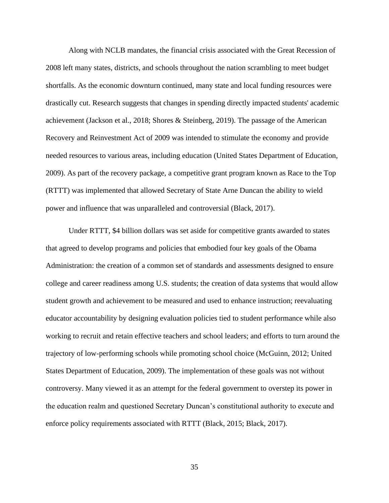Along with NCLB mandates, the financial crisis associated with the Great Recession of 2008 left many states, districts, and schools throughout the nation scrambling to meet budget shortfalls. As the economic downturn continued, many state and local funding resources were drastically cut. Research suggests that changes in spending directly impacted students' academic achievement (Jackson et al., 2018; Shores & Steinberg, 2019). The passage of the American Recovery and Reinvestment Act of 2009 was intended to stimulate the economy and provide needed resources to various areas, including education (United States Department of Education, 2009). As part of the recovery package, a competitive grant program known as Race to the Top (RTTT) was implemented that allowed Secretary of State Arne Duncan the ability to wield power and influence that was unparalleled and controversial (Black, 2017).

Under RTTT, \$4 billion dollars was set aside for competitive grants awarded to states that agreed to develop programs and policies that embodied four key goals of the Obama Administration: the creation of a common set of standards and assessments designed to ensure college and career readiness among U.S. students; the creation of data systems that would allow student growth and achievement to be measured and used to enhance instruction; reevaluating educator accountability by designing evaluation policies tied to student performance while also working to recruit and retain effective teachers and school leaders; and efforts to turn around the trajectory of low-performing schools while promoting school choice (McGuinn, 2012; United States Department of Education, 2009). The implementation of these goals was not without controversy. Many viewed it as an attempt for the federal government to overstep its power in the education realm and questioned Secretary Duncan's constitutional authority to execute and enforce policy requirements associated with RTTT (Black, 2015; Black, 2017).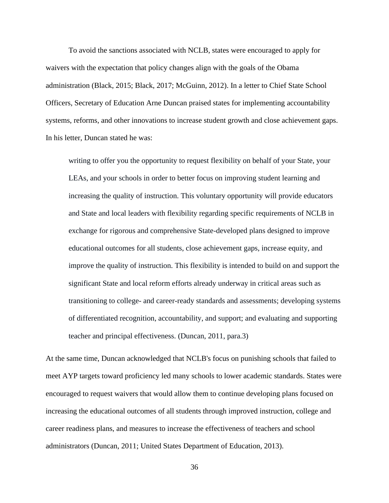To avoid the sanctions associated with NCLB, states were encouraged to apply for waivers with the expectation that policy changes align with the goals of the Obama administration (Black, 2015; Black, 2017; McGuinn, 2012). In a letter to Chief State School Officers, Secretary of Education Arne Duncan praised states for implementing accountability systems, reforms, and other innovations to increase student growth and close achievement gaps. In his letter, Duncan stated he was:

writing to offer you the opportunity to request flexibility on behalf of your State, your LEAs, and your schools in order to better focus on improving student learning and increasing the quality of instruction. This voluntary opportunity will provide educators and State and local leaders with flexibility regarding specific requirements of NCLB in exchange for rigorous and comprehensive State-developed plans designed to improve educational outcomes for all students, close achievement gaps, increase equity, and improve the quality of instruction. This flexibility is intended to build on and support the significant State and local reform efforts already underway in critical areas such as transitioning to college- and career-ready standards and assessments; developing systems of differentiated recognition, accountability, and support; and evaluating and supporting teacher and principal effectiveness. (Duncan, 2011, para.3)

At the same time, Duncan acknowledged that NCLB's focus on punishing schools that failed to meet AYP targets toward proficiency led many schools to lower academic standards. States were encouraged to request waivers that would allow them to continue developing plans focused on increasing the educational outcomes of all students through improved instruction, college and career readiness plans, and measures to increase the effectiveness of teachers and school administrators (Duncan, 2011; United States Department of Education, 2013).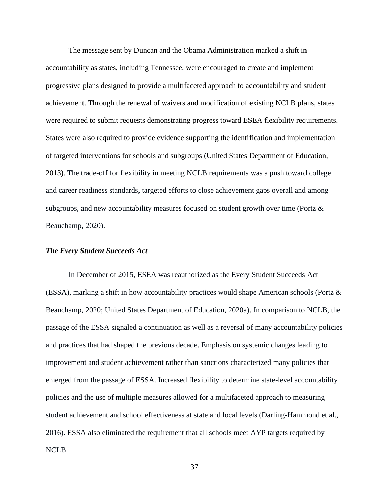The message sent by Duncan and the Obama Administration marked a shift in accountability as states, including Tennessee, were encouraged to create and implement progressive plans designed to provide a multifaceted approach to accountability and student achievement. Through the renewal of waivers and modification of existing NCLB plans, states were required to submit requests demonstrating progress toward ESEA flexibility requirements. States were also required to provide evidence supporting the identification and implementation of targeted interventions for schools and subgroups (United States Department of Education, 2013). The trade-off for flexibility in meeting NCLB requirements was a push toward college and career readiness standards, targeted efforts to close achievement gaps overall and among subgroups, and new accountability measures focused on student growth over time (Portz & Beauchamp, 2020).

# *The Every Student Succeeds Act*

In December of 2015, ESEA was reauthorized as the Every Student Succeeds Act (ESSA), marking a shift in how accountability practices would shape American schools (Portz & Beauchamp, 2020; United States Department of Education, 2020a). In comparison to NCLB, the passage of the ESSA signaled a continuation as well as a reversal of many accountability policies and practices that had shaped the previous decade. Emphasis on systemic changes leading to improvement and student achievement rather than sanctions characterized many policies that emerged from the passage of ESSA. Increased flexibility to determine state-level accountability policies and the use of multiple measures allowed for a multifaceted approach to measuring student achievement and school effectiveness at state and local levels (Darling-Hammond et al., 2016). ESSA also eliminated the requirement that all schools meet AYP targets required by NCLB.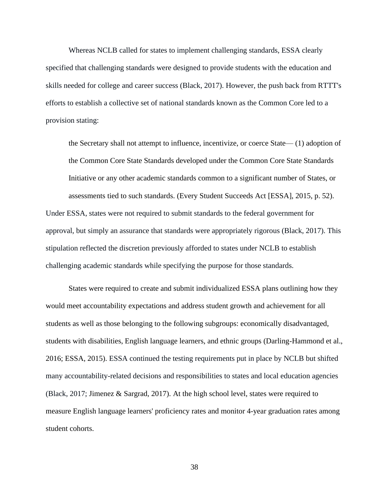Whereas NCLB called for states to implement challenging standards, ESSA clearly specified that challenging standards were designed to provide students with the education and skills needed for college and career success (Black, 2017). However, the push back from RTTT's efforts to establish a collective set of national standards known as the Common Core led to a provision stating:

the Secretary shall not attempt to influence, incentivize, or coerce State— (1) adoption of the Common Core State Standards developed under the Common Core State Standards Initiative or any other academic standards common to a significant number of States, or assessments tied to such standards. (Every Student Succeeds Act [ESSA], 2015, p. 52). Under ESSA, states were not required to submit standards to the federal government for approval, but simply an assurance that standards were appropriately rigorous (Black, 2017). This stipulation reflected the discretion previously afforded to states under NCLB to establish challenging academic standards while specifying the purpose for those standards.

States were required to create and submit individualized ESSA plans outlining how they would meet accountability expectations and address student growth and achievement for all students as well as those belonging to the following subgroups: economically disadvantaged, students with disabilities, English language learners, and ethnic groups (Darling-Hammond et al., 2016; ESSA, 2015). ESSA continued the testing requirements put in place by NCLB but shifted many accountability-related decisions and responsibilities to states and local education agencies (Black, 2017; Jimenez & Sargrad, 2017). At the high school level, states were required to measure English language learners' proficiency rates and monitor 4-year graduation rates among student cohorts.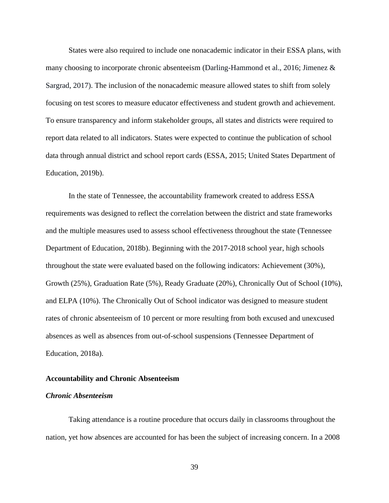States were also required to include one nonacademic indicator in their ESSA plans, with many choosing to incorporate chronic absenteeism (Darling-Hammond et al., 2016; Jimenez & Sargrad, 2017). The inclusion of the nonacademic measure allowed states to shift from solely focusing on test scores to measure educator effectiveness and student growth and achievement. To ensure transparency and inform stakeholder groups, all states and districts were required to report data related to all indicators. States were expected to continue the publication of school data through annual district and school report cards (ESSA, 2015; United States Department of Education, 2019b).

In the state of Tennessee, the accountability framework created to address ESSA requirements was designed to reflect the correlation between the district and state frameworks and the multiple measures used to assess school effectiveness throughout the state (Tennessee Department of Education, 2018b). Beginning with the 2017-2018 school year, high schools throughout the state were evaluated based on the following indicators: Achievement (30%), Growth (25%), Graduation Rate (5%), Ready Graduate (20%), Chronically Out of School (10%), and ELPA (10%). The Chronically Out of School indicator was designed to measure student rates of chronic absenteeism of 10 percent or more resulting from both excused and unexcused absences as well as absences from out-of-school suspensions (Tennessee Department of Education, 2018a).

## **Accountability and Chronic Absenteeism**

### *Chronic Absenteeism*

Taking attendance is a routine procedure that occurs daily in classrooms throughout the nation, yet how absences are accounted for has been the subject of increasing concern. In a 2008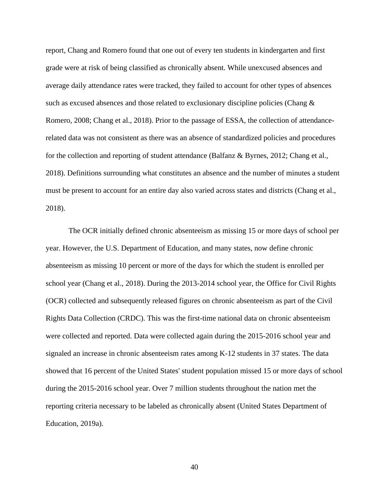report, Chang and Romero found that one out of every ten students in kindergarten and first grade were at risk of being classified as chronically absent. While unexcused absences and average daily attendance rates were tracked, they failed to account for other types of absences such as excused absences and those related to exclusionary discipline policies (Chang & Romero, 2008; Chang et al., 2018). Prior to the passage of ESSA, the collection of attendancerelated data was not consistent as there was an absence of standardized policies and procedures for the collection and reporting of student attendance (Balfanz & Byrnes, 2012; Chang et al., 2018). Definitions surrounding what constitutes an absence and the number of minutes a student must be present to account for an entire day also varied across states and districts (Chang et al., 2018).

The OCR initially defined chronic absenteeism as missing 15 or more days of school per year. However, the U.S. Department of Education, and many states, now define chronic absenteeism as missing 10 percent or more of the days for which the student is enrolled per school year (Chang et al., 2018). During the 2013-2014 school year, the Office for Civil Rights (OCR) collected and subsequently released figures on chronic absenteeism as part of the Civil Rights Data Collection (CRDC). This was the first-time national data on chronic absenteeism were collected and reported. Data were collected again during the 2015-2016 school year and signaled an increase in chronic absenteeism rates among K-12 students in 37 states. The data showed that 16 percent of the United States' student population missed 15 or more days of school during the 2015-2016 school year. Over 7 million students throughout the nation met the reporting criteria necessary to be labeled as chronically absent (United States Department of Education, 2019a).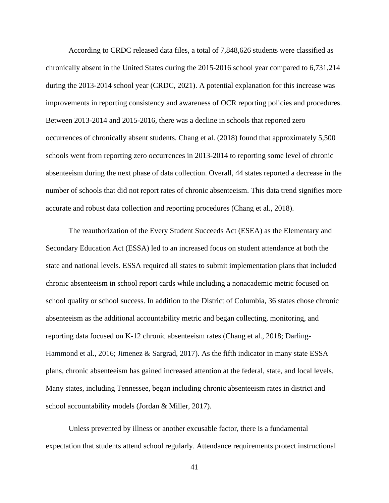According to CRDC released data files, a total of 7,848,626 students were classified as chronically absent in the United States during the 2015-2016 school year compared to 6,731,214 during the 2013-2014 school year (CRDC, 2021). A potential explanation for this increase was improvements in reporting consistency and awareness of OCR reporting policies and procedures. Between 2013-2014 and 2015-2016, there was a decline in schools that reported zero occurrences of chronically absent students. Chang et al. (2018) found that approximately 5,500 schools went from reporting zero occurrences in 2013-2014 to reporting some level of chronic absenteeism during the next phase of data collection. Overall, 44 states reported a decrease in the number of schools that did not report rates of chronic absenteeism. This data trend signifies more accurate and robust data collection and reporting procedures (Chang et al., 2018).

The reauthorization of the Every Student Succeeds Act (ESEA) as the Elementary and Secondary Education Act (ESSA) led to an increased focus on student attendance at both the state and national levels. ESSA required all states to submit implementation plans that included chronic absenteeism in school report cards while including a nonacademic metric focused on school quality or school success. In addition to the District of Columbia, 36 states chose chronic absenteeism as the additional accountability metric and began collecting, monitoring, and reporting data focused on K-12 chronic absenteeism rates (Chang et al., 2018; Darling-Hammond et al., 2016; Jimenez & Sargrad, 2017). As the fifth indicator in many state ESSA plans, chronic absenteeism has gained increased attention at the federal, state, and local levels. Many states, including Tennessee, began including chronic absenteeism rates in district and school accountability models (Jordan & Miller, 2017).

Unless prevented by illness or another excusable factor, there is a fundamental expectation that students attend school regularly. Attendance requirements protect instructional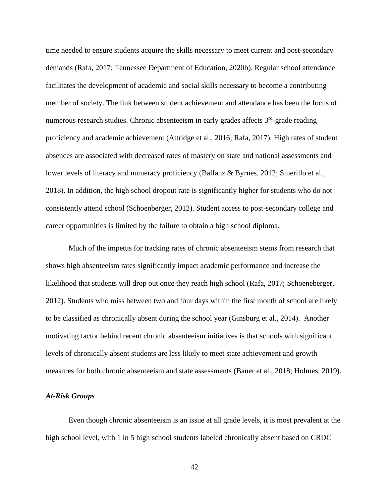time needed to ensure students acquire the skills necessary to meet current and post-secondary demands (Rafa, 2017; Tennessee Department of Education, 2020b). Regular school attendance facilitates the development of academic and social skills necessary to become a contributing member of society. The link between student achievement and attendance has been the focus of numerous research studies. Chronic absenteeism in early grades affects 3<sup>rd</sup>-grade reading proficiency and academic achievement (Attridge et al., 2016; Rafa, 2017). High rates of student absences are associated with decreased rates of mastery on state and national assessments and lower levels of literacy and numeracy proficiency (Balfanz & Byrnes, 2012; Smerillo et al., 2018). In addition, the high school dropout rate is significantly higher for students who do not consistently attend school (Schoenberger, 2012). Student access to post-secondary college and career opportunities is limited by the failure to obtain a high school diploma.

Much of the impetus for tracking rates of chronic absenteeism stems from research that shows high absenteeism rates significantly impact academic performance and increase the likelihood that students will drop out once they reach high school (Rafa, 2017; Schoeneberger, 2012). Students who miss between two and four days within the first month of school are likely to be classified as chronically absent during the school year (Ginsburg et al., 2014). Another motivating factor behind recent chronic absenteeism initiatives is that schools with significant levels of chronically absent students are less likely to meet state achievement and growth measures for both chronic absenteeism and state assessments (Bauer et al., 2018; Holmes, 2019).

### *At-Risk Groups*

Even though chronic absenteeism is an issue at all grade levels, it is most prevalent at the high school level, with 1 in 5 high school students labeled chronically absent based on CRDC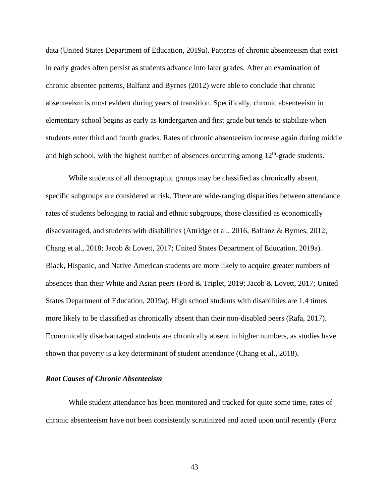data (United States Department of Education, 2019a). Patterns of chronic absenteeism that exist in early grades often persist as students advance into later grades. After an examination of chronic absentee patterns, Balfanz and Byrnes (2012) were able to conclude that chronic absenteeism is most evident during years of transition. Specifically, chronic absenteeism in elementary school begins as early as kindergarten and first grade but tends to stabilize when students enter third and fourth grades. Rates of chronic absenteeism increase again during middle and high school, with the highest number of absences occurring among  $12<sup>th</sup>$ -grade students.

While students of all demographic groups may be classified as chronically absent, specific subgroups are considered at risk. There are wide-ranging disparities between attendance rates of students belonging to racial and ethnic subgroups, those classified as economically disadvantaged, and students with disabilities (Attridge et al., 2016; Balfanz & Byrnes, 2012; Chang et al., 2018; Jacob & Lovett, 2017; United States Department of Education, 2019a). Black, Hispanic, and Native American students are more likely to acquire greater numbers of absences than their White and Asian peers (Ford & Triplet, 2019; Jacob & Lovett, 2017; United States Department of Education, 2019a). High school students with disabilities are 1.4 times more likely to be classified as chronically absent than their non-disabled peers (Rafa, 2017). Economically disadvantaged students are chronically absent in higher numbers, as studies have shown that poverty is a key determinant of student attendance (Chang et al., 2018).

# *Root Causes of Chronic Absenteeism*

While student attendance has been monitored and tracked for quite some time, rates of chronic absenteeism have not been consistently scrutinized and acted upon until recently (Portz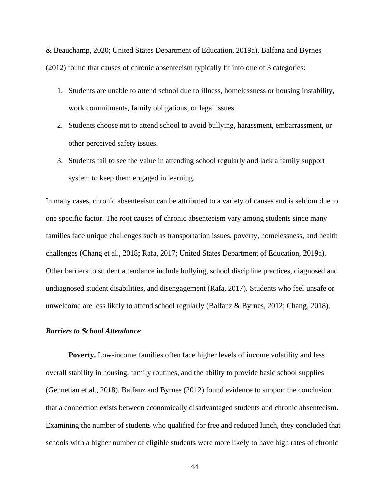& Beauchamp, 2020; United States Department of Education, 2019a). Balfanz and Byrnes (2012) found that causes of chronic absenteeism typically fit into one of 3 categories:

- 1. Students are unable to attend school due to illness, homelessness or housing instability, work commitments, family obligations, or legal issues.
- 2. Students choose not to attend school to avoid bullying, harassment, embarrassment, or other perceived safety issues.
- 3. Students fail to see the value in attending school regularly and lack a family support system to keep them engaged in learning.

In many cases, chronic absenteeism can be attributed to a variety of causes and is seldom due to one specific factor. The root causes of chronic absenteeism vary among students since many families face unique challenges such as transportation issues, poverty, homelessness, and health challenges (Chang et al., 2018; Rafa, 2017; United States Department of Education, 2019a). Other barriers to student attendance include bullying, school discipline practices, diagnosed and undiagnosed student disabilities, and disengagement (Rafa, 2017). Students who feel unsafe or unwelcome are less likely to attend school regularly (Balfanz & Byrnes, 2012; Chang, 2018).

## *Barriers to School Attendance*

**Poverty.** Low-income families often face higher levels of income volatility and less overall stability in housing, family routines, and the ability to provide basic school supplies (Gennetian et al., 2018). Balfanz and Byrnes (2012) found evidence to support the conclusion that a connection exists between economically disadvantaged students and chronic absenteeism. Examining the number of students who qualified for free and reduced lunch, they concluded that schools with a higher number of eligible students were more likely to have high rates of chronic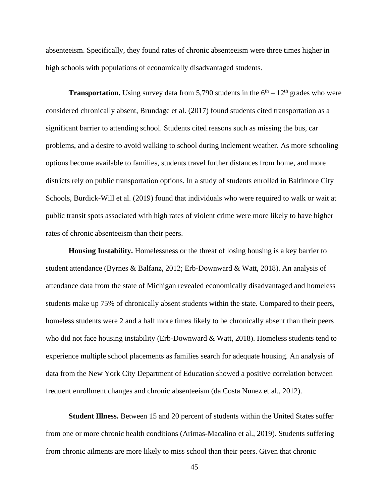absenteeism. Specifically, they found rates of chronic absenteeism were three times higher in high schools with populations of economically disadvantaged students.

**Transportation.** Using survey data from 5,790 students in the  $6<sup>th</sup> - 12<sup>th</sup>$  grades who were considered chronically absent, Brundage et al. (2017) found students cited transportation as a significant barrier to attending school. Students cited reasons such as missing the bus, car problems, and a desire to avoid walking to school during inclement weather. As more schooling options become available to families, students travel further distances from home, and more districts rely on public transportation options. In a study of students enrolled in Baltimore City Schools, Burdick-Will et al. (2019) found that individuals who were required to walk or wait at public transit spots associated with high rates of violent crime were more likely to have higher rates of chronic absenteeism than their peers.

**Housing Instability.** Homelessness or the threat of losing housing is a key barrier to student attendance (Byrnes & Balfanz, 2012; Erb-Downward & Watt, 2018). An analysis of attendance data from the state of Michigan revealed economically disadvantaged and homeless students make up 75% of chronically absent students within the state. Compared to their peers, homeless students were 2 and a half more times likely to be chronically absent than their peers who did not face housing instability (Erb-Downward & Watt, 2018). Homeless students tend to experience multiple school placements as families search for adequate housing. An analysis of data from the New York City Department of Education showed a positive correlation between frequent enrollment changes and chronic absenteeism (da Costa Nunez et al., 2012).

**Student Illness.** Between 15 and 20 percent of students within the United States suffer from one or more chronic health conditions (Arimas-Macalino et al., 2019). Students suffering from chronic ailments are more likely to miss school than their peers. Given that chronic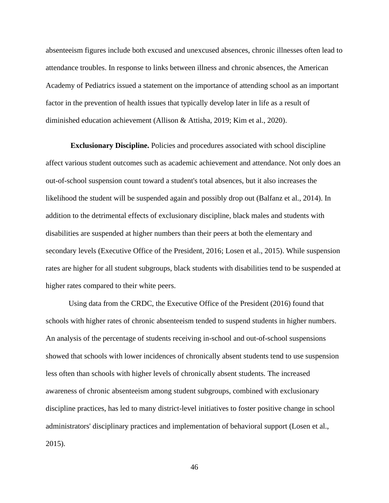absenteeism figures include both excused and unexcused absences, chronic illnesses often lead to attendance troubles. In response to links between illness and chronic absences, the American Academy of Pediatrics issued a statement on the importance of attending school as an important factor in the prevention of health issues that typically develop later in life as a result of diminished education achievement (Allison & Attisha, 2019; Kim et al., 2020).

**Exclusionary Discipline.** Policies and procedures associated with school discipline affect various student outcomes such as academic achievement and attendance. Not only does an out-of-school suspension count toward a student's total absences, but it also increases the likelihood the student will be suspended again and possibly drop out (Balfanz et al., 2014). In addition to the detrimental effects of exclusionary discipline, black males and students with disabilities are suspended at higher numbers than their peers at both the elementary and secondary levels (Executive Office of the President, 2016; Losen et al., 2015). While suspension rates are higher for all student subgroups, black students with disabilities tend to be suspended at higher rates compared to their white peers.

Using data from the CRDC, the Executive Office of the President (2016) found that schools with higher rates of chronic absenteeism tended to suspend students in higher numbers. An analysis of the percentage of students receiving in-school and out-of-school suspensions showed that schools with lower incidences of chronically absent students tend to use suspension less often than schools with higher levels of chronically absent students. The increased awareness of chronic absenteeism among student subgroups, combined with exclusionary discipline practices, has led to many district-level initiatives to foster positive change in school administrators' disciplinary practices and implementation of behavioral support (Losen et al., 2015).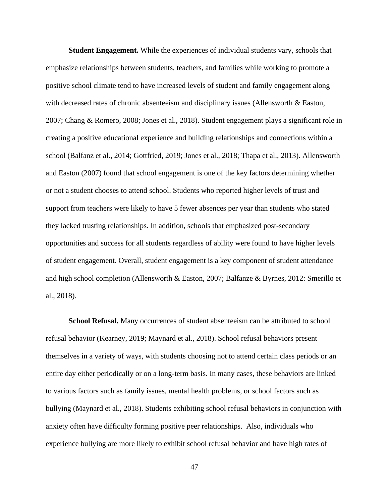**Student Engagement.** While the experiences of individual students vary, schools that emphasize relationships between students, teachers, and families while working to promote a positive school climate tend to have increased levels of student and family engagement along with decreased rates of chronic absenteeism and disciplinary issues (Allensworth & Easton, 2007; Chang & Romero, 2008; Jones et al., 2018). Student engagement plays a significant role in creating a positive educational experience and building relationships and connections within a school (Balfanz et al., 2014; Gottfried, 2019; Jones et al., 2018; Thapa et al., 2013). Allensworth and Easton (2007) found that school engagement is one of the key factors determining whether or not a student chooses to attend school. Students who reported higher levels of trust and support from teachers were likely to have 5 fewer absences per year than students who stated they lacked trusting relationships. In addition, schools that emphasized post-secondary opportunities and success for all students regardless of ability were found to have higher levels of student engagement. Overall, student engagement is a key component of student attendance and high school completion (Allensworth & Easton, 2007; Balfanze & Byrnes, 2012: Smerillo et al., 2018).

**School Refusal.** Many occurrences of student absenteeism can be attributed to school refusal behavior (Kearney, 2019; Maynard et al., 2018). School refusal behaviors present themselves in a variety of ways, with students choosing not to attend certain class periods or an entire day either periodically or on a long-term basis. In many cases, these behaviors are linked to various factors such as family issues, mental health problems, or school factors such as bullying (Maynard et al., 2018). Students exhibiting school refusal behaviors in conjunction with anxiety often have difficulty forming positive peer relationships. Also, individuals who experience bullying are more likely to exhibit school refusal behavior and have high rates of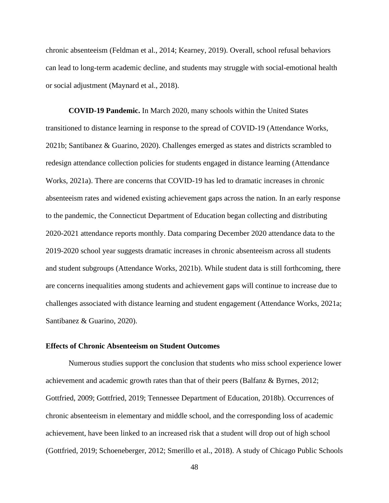chronic absenteeism (Feldman et al., 2014; Kearney, 2019). Overall, school refusal behaviors can lead to long-term academic decline, and students may struggle with social-emotional health or social adjustment (Maynard et al., 2018).

**COVID-19 Pandemic.** In March 2020, many schools within the United States transitioned to distance learning in response to the spread of COVID-19 (Attendance Works, 2021b; Santibanez & Guarino, 2020). Challenges emerged as states and districts scrambled to redesign attendance collection policies for students engaged in distance learning (Attendance Works, 2021a). There are concerns that COVID-19 has led to dramatic increases in chronic absenteeism rates and widened existing achievement gaps across the nation. In an early response to the pandemic, the Connecticut Department of Education began collecting and distributing 2020-2021 attendance reports monthly. Data comparing December 2020 attendance data to the 2019-2020 school year suggests dramatic increases in chronic absenteeism across all students and student subgroups (Attendance Works, 2021b). While student data is still forthcoming, there are concerns inequalities among students and achievement gaps will continue to increase due to challenges associated with distance learning and student engagement (Attendance Works, 2021a; Santibanez & Guarino, 2020).

# **Effects of Chronic Absenteeism on Student Outcomes**

Numerous studies support the conclusion that students who miss school experience lower achievement and academic growth rates than that of their peers (Balfanz & Byrnes, 2012; Gottfried, 2009; Gottfried, 2019; Tennessee Department of Education, 2018b). Occurrences of chronic absenteeism in elementary and middle school, and the corresponding loss of academic achievement, have been linked to an increased risk that a student will drop out of high school (Gottfried, 2019; Schoeneberger, 2012; Smerillo et al., 2018). A study of Chicago Public Schools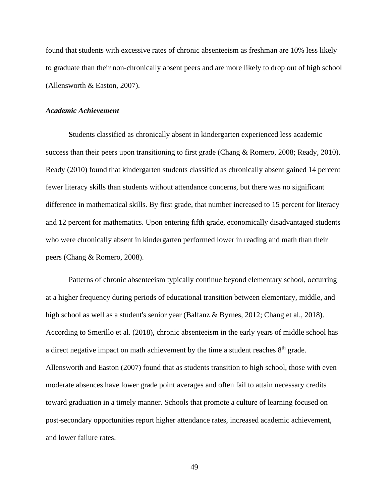found that students with excessive rates of chronic absenteeism as freshman are 10% less likely to graduate than their non-chronically absent peers and are more likely to drop out of high school (Allensworth & Easton, 2007).

### *Academic Achievement*

**S**tudents classified as chronically absent in kindergarten experienced less academic success than their peers upon transitioning to first grade (Chang & Romero, 2008; Ready, 2010). Ready (2010) found that kindergarten students classified as chronically absent gained 14 percent fewer literacy skills than students without attendance concerns, but there was no significant difference in mathematical skills. By first grade, that number increased to 15 percent for literacy and 12 percent for mathematics. Upon entering fifth grade, economically disadvantaged students who were chronically absent in kindergarten performed lower in reading and math than their peers (Chang & Romero, 2008).

Patterns of chronic absenteeism typically continue beyond elementary school, occurring at a higher frequency during periods of educational transition between elementary, middle, and high school as well as a student's senior year (Balfanz & Byrnes, 2012; Chang et al., 2018). According to Smerillo et al. (2018), chronic absenteeism in the early years of middle school has a direct negative impact on math achievement by the time a student reaches  $8<sup>th</sup>$  grade. Allensworth and Easton (2007) found that as students transition to high school, those with even moderate absences have lower grade point averages and often fail to attain necessary credits toward graduation in a timely manner. Schools that promote a culture of learning focused on post-secondary opportunities report higher attendance rates, increased academic achievement, and lower failure rates.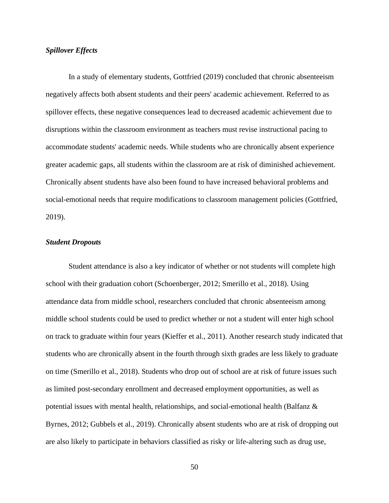# *Spillover Effects*

In a study of elementary students, Gottfried (2019) concluded that chronic absenteeism negatively affects both absent students and their peers' academic achievement. Referred to as spillover effects, these negative consequences lead to decreased academic achievement due to disruptions within the classroom environment as teachers must revise instructional pacing to accommodate students' academic needs. While students who are chronically absent experience greater academic gaps, all students within the classroom are at risk of diminished achievement. Chronically absent students have also been found to have increased behavioral problems and social-emotional needs that require modifications to classroom management policies (Gottfried, 2019).

# *Student Dropouts*

Student attendance is also a key indicator of whether or not students will complete high school with their graduation cohort (Schoenberger, 2012; Smerillo et al., 2018). Using attendance data from middle school, researchers concluded that chronic absenteeism among middle school students could be used to predict whether or not a student will enter high school on track to graduate within four years (Kieffer et al., 2011). Another research study indicated that students who are chronically absent in the fourth through sixth grades are less likely to graduate on time (Smerillo et al., 2018). Students who drop out of school are at risk of future issues such as limited post-secondary enrollment and decreased employment opportunities, as well as potential issues with mental health, relationships, and social-emotional health (Balfanz & Byrnes, 2012; Gubbels et al., 2019). Chronically absent students who are at risk of dropping out are also likely to participate in behaviors classified as risky or life-altering such as drug use,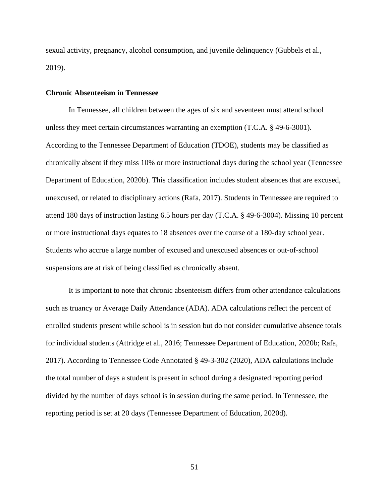sexual activity, pregnancy, alcohol consumption, and juvenile delinquency (Gubbels et al., 2019).

### **Chronic Absenteeism in Tennessee**

In Tennessee, all children between the ages of six and seventeen must attend school unless they meet certain circumstances warranting an exemption (T.C.A. § 49-6-3001). According to the Tennessee Department of Education (TDOE), students may be classified as chronically absent if they miss 10% or more instructional days during the school year (Tennessee Department of Education, 2020b). This classification includes student absences that are excused, unexcused, or related to disciplinary actions (Rafa, 2017). Students in Tennessee are required to attend 180 days of instruction lasting 6.5 hours per day (T.C.A. § 49-6-3004). Missing 10 percent or more instructional days equates to 18 absences over the course of a 180-day school year. Students who accrue a large number of excused and unexcused absences or out-of-school suspensions are at risk of being classified as chronically absent.

It is important to note that chronic absenteeism differs from other attendance calculations such as truancy or Average Daily Attendance (ADA). ADA calculations reflect the percent of enrolled students present while school is in session but do not consider cumulative absence totals for individual students (Attridge et al., 2016; Tennessee Department of Education, 2020b; Rafa, 2017). According to Tennessee Code Annotated § 49-3-302 (2020), ADA calculations include the total number of days a student is present in school during a designated reporting period divided by the number of days school is in session during the same period. In Tennessee, the reporting period is set at 20 days (Tennessee Department of Education, 2020d).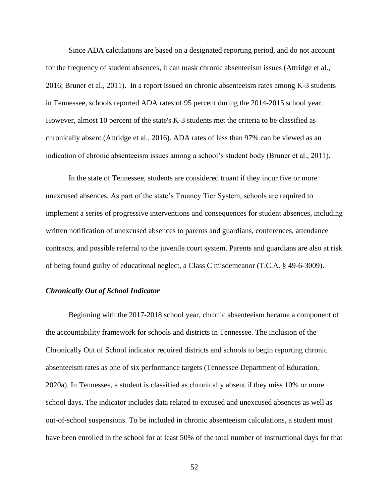Since ADA calculations are based on a designated reporting period, and do not account for the frequency of student absences, it can mask chronic absenteeism issues (Attridge et al., 2016; Bruner et al., 2011). In a report issued on chronic absenteeism rates among K-3 students in Tennessee, schools reported ADA rates of 95 percent during the 2014-2015 school year. However, almost 10 percent of the state's K-3 students met the criteria to be classified as chronically absent (Attridge et al., 2016). ADA rates of less than 97% can be viewed as an indication of chronic absenteeism issues among a school's student body (Bruner et al., 2011).

In the state of Tennessee, students are considered truant if they incur five or more unexcused absences. As part of the state's Truancy Tier System, schools are required to implement a series of progressive interventions and consequences for student absences, including written notification of unexcused absences to parents and guardians, conferences, attendance contracts, and possible referral to the juvenile court system. Parents and guardians are also at risk of being found guilty of educational neglect, a Class C misdemeanor (T.C.A. § 49-6-3009).

## *Chronically Out of School Indicator*

Beginning with the 2017-2018 school year, chronic absenteeism became a component of the accountability framework for schools and districts in Tennessee. The inclusion of the Chronically Out of School indicator required districts and schools to begin reporting chronic absenteeism rates as one of six performance targets (Tennessee Department of Education, 2020a). In Tennessee, a student is classified as chronically absent if they miss 10% or more school days. The indicator includes data related to excused and unexcused absences as well as out-of-school suspensions. To be included in chronic absenteeism calculations, a student must have been enrolled in the school for at least 50% of the total number of instructional days for that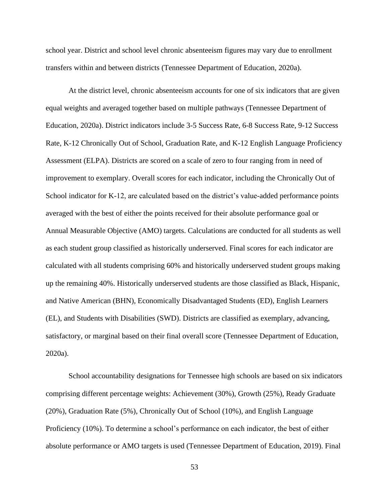school year. District and school level chronic absenteeism figures may vary due to enrollment transfers within and between districts (Tennessee Department of Education, 2020a).

At the district level, chronic absenteeism accounts for one of six indicators that are given equal weights and averaged together based on multiple pathways (Tennessee Department of Education, 2020a). District indicators include 3-5 Success Rate, 6-8 Success Rate, 9-12 Success Rate, K-12 Chronically Out of School, Graduation Rate, and K-12 English Language Proficiency Assessment (ELPA). Districts are scored on a scale of zero to four ranging from in need of improvement to exemplary. Overall scores for each indicator, including the Chronically Out of School indicator for K-12, are calculated based on the district's value-added performance points averaged with the best of either the points received for their absolute performance goal or Annual Measurable Objective (AMO) targets. Calculations are conducted for all students as well as each student group classified as historically underserved. Final scores for each indicator are calculated with all students comprising 60% and historically underserved student groups making up the remaining 40%. Historically underserved students are those classified as Black, Hispanic, and Native American (BHN), Economically Disadvantaged Students (ED), English Learners (EL), and Students with Disabilities (SWD). Districts are classified as exemplary, advancing, satisfactory, or marginal based on their final overall score (Tennessee Department of Education, 2020a).

School accountability designations for Tennessee high schools are based on six indicators comprising different percentage weights: Achievement (30%), Growth (25%), Ready Graduate (20%), Graduation Rate (5%), Chronically Out of School (10%), and English Language Proficiency (10%). To determine a school's performance on each indicator, the best of either absolute performance or AMO targets is used (Tennessee Department of Education, 2019). Final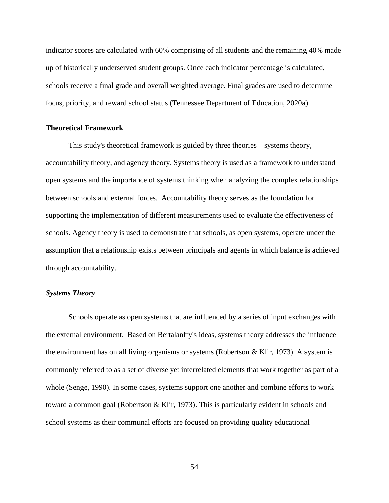indicator scores are calculated with 60% comprising of all students and the remaining 40% made up of historically underserved student groups. Once each indicator percentage is calculated, schools receive a final grade and overall weighted average. Final grades are used to determine focus, priority, and reward school status (Tennessee Department of Education, 2020a).

### **Theoretical Framework**

This study's theoretical framework is guided by three theories – systems theory, accountability theory, and agency theory. Systems theory is used as a framework to understand open systems and the importance of systems thinking when analyzing the complex relationships between schools and external forces. Accountability theory serves as the foundation for supporting the implementation of different measurements used to evaluate the effectiveness of schools. Agency theory is used to demonstrate that schools, as open systems, operate under the assumption that a relationship exists between principals and agents in which balance is achieved through accountability.

# *Systems Theory*

Schools operate as open systems that are influenced by a series of input exchanges with the external environment. Based on Bertalanffy's ideas, systems theory addresses the influence the environment has on all living organisms or systems (Robertson & Klir, 1973). A system is commonly referred to as a set of diverse yet interrelated elements that work together as part of a whole (Senge, 1990). In some cases, systems support one another and combine efforts to work toward a common goal (Robertson & Klir, 1973). This is particularly evident in schools and school systems as their communal efforts are focused on providing quality educational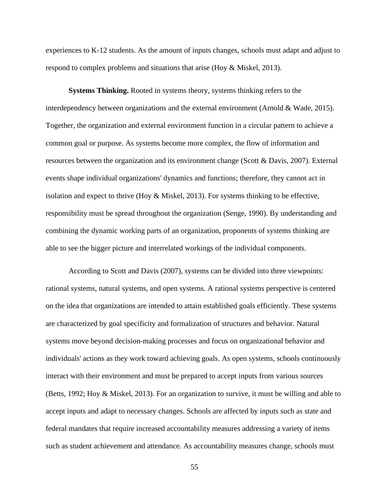experiences to K-12 students. As the amount of inputs changes, schools must adapt and adjust to respond to complex problems and situations that arise (Hoy & Miskel, 2013).

**Systems Thinking.** Rooted in systems theory, systems thinking refers to the interdependency between organizations and the external environment (Arnold & Wade, 2015). Together, the organization and external environment function in a circular pattern to achieve a common goal or purpose. As systems become more complex, the flow of information and resources between the organization and its environment change (Scott & Davis, 2007). External events shape individual organizations' dynamics and functions; therefore, they cannot act in isolation and expect to thrive (Hoy & Miskel, 2013). For systems thinking to be effective, responsibility must be spread throughout the organization (Senge, 1990). By understanding and combining the dynamic working parts of an organization, proponents of systems thinking are able to see the bigger picture and interrelated workings of the individual components.

According to Scott and Davis (2007), systems can be divided into three viewpoints: rational systems, natural systems, and open systems. A rational systems perspective is centered on the idea that organizations are intended to attain established goals efficiently. These systems are characterized by goal specificity and formalization of structures and behavior. Natural systems move beyond decision-making processes and focus on organizational behavior and individuals' actions as they work toward achieving goals. As open systems, schools continuously interact with their environment and must be prepared to accept inputs from various sources (Betts, 1992; Hoy & Miskel, 2013). For an organization to survive, it must be willing and able to accept inputs and adapt to necessary changes. Schools are affected by inputs such as state and federal mandates that require increased accountability measures addressing a variety of items such as student achievement and attendance. As accountability measures change, schools must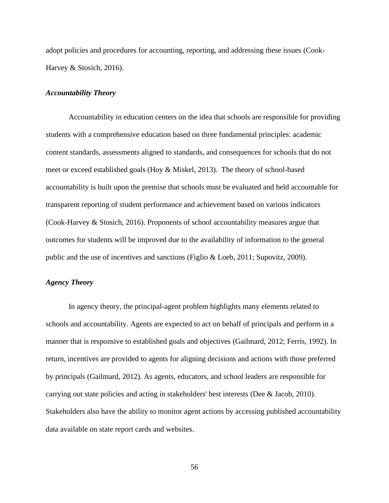adopt policies and procedures for accounting, reporting, and addressing these issues (Cook-Harvey & Stosich, 2016).

#### *Accountability Theory*

Accountability in education centers on the idea that schools are responsible for providing students with a comprehensive education based on three fundamental principles: academic content standards, assessments aligned to standards, and consequences for schools that do not meet or exceed established goals (Hoy & Miskel, 2013). The theory of school-based accountability is built upon the premise that schools must be evaluated and held accountable for transparent reporting of student performance and achievement based on various indicators (Cook-Harvey & Stosich, 2016). Proponents of school accountability measures argue that outcomes for students will be improved due to the availability of information to the general public and the use of incentives and sanctions (Figlio & Loeb, 2011; Supovitz, 2009).

# *Agency Theory*

In agency theory, the principal-agent problem highlights many elements related to schools and accountability. Agents are expected to act on behalf of principals and perform in a manner that is responsive to established goals and objectives (Gailmard, 2012; Ferris, 1992). In return, incentives are provided to agents for aligning decisions and actions with those preferred by principals (Gailmard, 2012). As agents, educators, and school leaders are responsible for carrying out state policies and acting in stakeholders' best interests (Dee & Jacob, 2010). Stakeholders also have the ability to monitor agent actions by accessing published accountability data available on state report cards and websites.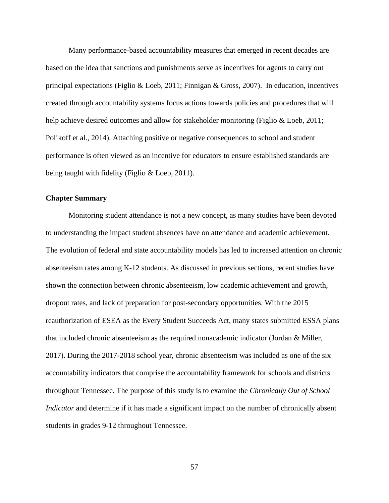Many performance-based accountability measures that emerged in recent decades are based on the idea that sanctions and punishments serve as incentives for agents to carry out principal expectations (Figlio & Loeb, 2011; Finnigan & Gross, 2007). In education, incentives created through accountability systems focus actions towards policies and procedures that will help achieve desired outcomes and allow for stakeholder monitoring (Figlio & Loeb, 2011; Polikoff et al., 2014). Attaching positive or negative consequences to school and student performance is often viewed as an incentive for educators to ensure established standards are being taught with fidelity (Figlio & Loeb, 2011).

### **Chapter Summary**

Monitoring student attendance is not a new concept, as many studies have been devoted to understanding the impact student absences have on attendance and academic achievement. The evolution of federal and state accountability models has led to increased attention on chronic absenteeism rates among K-12 students. As discussed in previous sections, recent studies have shown the connection between chronic absenteeism, low academic achievement and growth, dropout rates, and lack of preparation for post-secondary opportunities. With the 2015 reauthorization of ESEA as the Every Student Succeeds Act, many states submitted ESSA plans that included chronic absenteeism as the required nonacademic indicator (Jordan & Miller, 2017). During the 2017-2018 school year, chronic absenteeism was included as one of the six accountability indicators that comprise the accountability framework for schools and districts throughout Tennessee. The purpose of this study is to examine the *Chronically Out of School Indicator* and determine if it has made a significant impact on the number of chronically absent students in grades 9-12 throughout Tennessee.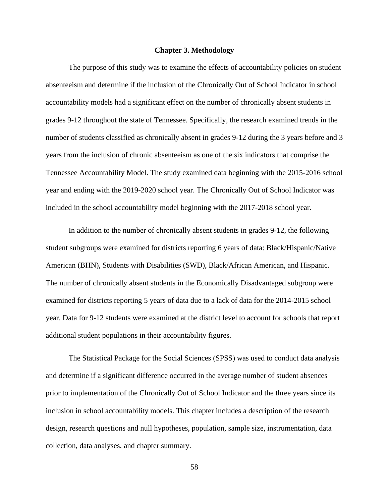#### **Chapter 3. Methodology**

The purpose of this study was to examine the effects of accountability policies on student absenteeism and determine if the inclusion of the Chronically Out of School Indicator in school accountability models had a significant effect on the number of chronically absent students in grades 9-12 throughout the state of Tennessee. Specifically, the research examined trends in the number of students classified as chronically absent in grades 9-12 during the 3 years before and 3 years from the inclusion of chronic absenteeism as one of the six indicators that comprise the Tennessee Accountability Model. The study examined data beginning with the 2015-2016 school year and ending with the 2019-2020 school year. The Chronically Out of School Indicator was included in the school accountability model beginning with the 2017-2018 school year.

In addition to the number of chronically absent students in grades 9-12, the following student subgroups were examined for districts reporting 6 years of data: Black/Hispanic/Native American (BHN), Students with Disabilities (SWD), Black/African American, and Hispanic. The number of chronically absent students in the Economically Disadvantaged subgroup were examined for districts reporting 5 years of data due to a lack of data for the 2014-2015 school year. Data for 9-12 students were examined at the district level to account for schools that report additional student populations in their accountability figures.

The Statistical Package for the Social Sciences (SPSS) was used to conduct data analysis and determine if a significant difference occurred in the average number of student absences prior to implementation of the Chronically Out of School Indicator and the three years since its inclusion in school accountability models. This chapter includes a description of the research design, research questions and null hypotheses, population, sample size, instrumentation, data collection, data analyses, and chapter summary.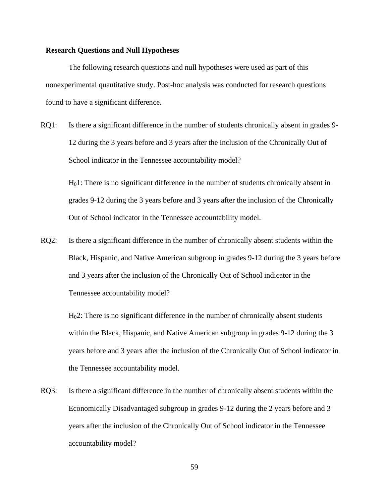## **Research Questions and Null Hypotheses**

The following research questions and null hypotheses were used as part of this nonexperimental quantitative study. Post-hoc analysis was conducted for research questions found to have a significant difference.

RQ1: Is there a significant difference in the number of students chronically absent in grades 9- 12 during the 3 years before and 3 years after the inclusion of the Chronically Out of School indicator in the Tennessee accountability model?

H01: There is no significant difference in the number of students chronically absent in grades 9-12 during the 3 years before and 3 years after the inclusion of the Chronically Out of School indicator in the Tennessee accountability model.

RQ2: Is there a significant difference in the number of chronically absent students within the Black, Hispanic, and Native American subgroup in grades 9-12 during the 3 years before and 3 years after the inclusion of the Chronically Out of School indicator in the Tennessee accountability model?

H02: There is no significant difference in the number of chronically absent students within the Black, Hispanic, and Native American subgroup in grades 9-12 during the 3 years before and 3 years after the inclusion of the Chronically Out of School indicator in the Tennessee accountability model.

RQ3: Is there a significant difference in the number of chronically absent students within the Economically Disadvantaged subgroup in grades 9-12 during the 2 years before and 3 years after the inclusion of the Chronically Out of School indicator in the Tennessee accountability model?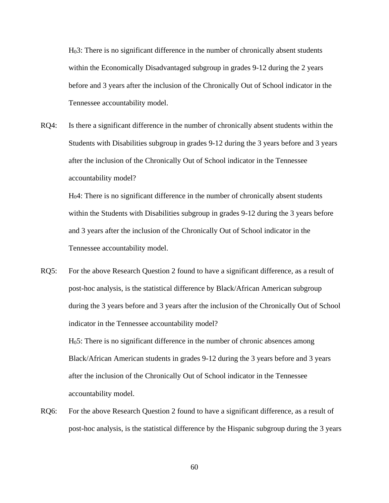H03: There is no significant difference in the number of chronically absent students within the Economically Disadvantaged subgroup in grades 9-12 during the 2 years before and 3 years after the inclusion of the Chronically Out of School indicator in the Tennessee accountability model.

RQ4: Is there a significant difference in the number of chronically absent students within the Students with Disabilities subgroup in grades 9-12 during the 3 years before and 3 years after the inclusion of the Chronically Out of School indicator in the Tennessee accountability model?

H04: There is no significant difference in the number of chronically absent students within the Students with Disabilities subgroup in grades 9-12 during the 3 years before and 3 years after the inclusion of the Chronically Out of School indicator in the Tennessee accountability model.

RQ5: For the above Research Question 2 found to have a significant difference, as a result of post-hoc analysis, is the statistical difference by Black/African American subgroup during the 3 years before and 3 years after the inclusion of the Chronically Out of School indicator in the Tennessee accountability model?

H05: There is no significant difference in the number of chronic absences among Black/African American students in grades 9-12 during the 3 years before and 3 years after the inclusion of the Chronically Out of School indicator in the Tennessee accountability model.

RQ6: For the above Research Question 2 found to have a significant difference, as a result of post-hoc analysis, is the statistical difference by the Hispanic subgroup during the 3 years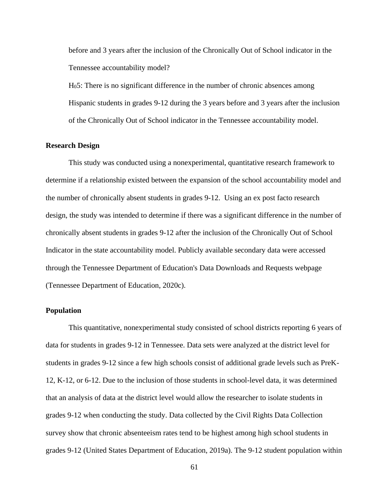before and 3 years after the inclusion of the Chronically Out of School indicator in the Tennessee accountability model?

H05: There is no significant difference in the number of chronic absences among Hispanic students in grades 9-12 during the 3 years before and 3 years after the inclusion of the Chronically Out of School indicator in the Tennessee accountability model.

# **Research Design**

This study was conducted using a nonexperimental, quantitative research framework to determine if a relationship existed between the expansion of the school accountability model and the number of chronically absent students in grades 9-12. Using an ex post facto research design, the study was intended to determine if there was a significant difference in the number of chronically absent students in grades 9-12 after the inclusion of the Chronically Out of School Indicator in the state accountability model. Publicly available secondary data were accessed through the Tennessee Department of Education's Data Downloads and Requests webpage (Tennessee Department of Education, 2020c).

# **Population**

This quantitative, nonexperimental study consisted of school districts reporting 6 years of data for students in grades 9-12 in Tennessee. Data sets were analyzed at the district level for students in grades 9-12 since a few high schools consist of additional grade levels such as PreK-12, K-12, or 6-12. Due to the inclusion of those students in school-level data, it was determined that an analysis of data at the district level would allow the researcher to isolate students in grades 9-12 when conducting the study. Data collected by the Civil Rights Data Collection survey show that chronic absenteeism rates tend to be highest among high school students in grades 9-12 (United States Department of Education, 2019a). The 9-12 student population within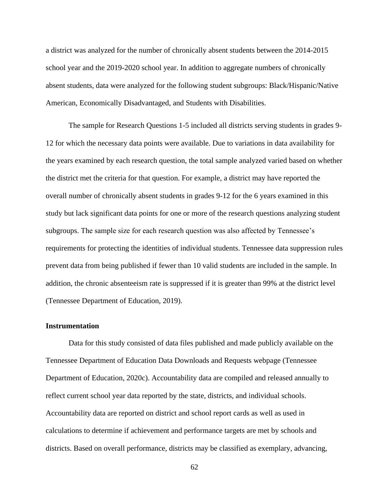a district was analyzed for the number of chronically absent students between the 2014-2015 school year and the 2019-2020 school year. In addition to aggregate numbers of chronically absent students, data were analyzed for the following student subgroups: Black/Hispanic/Native American, Economically Disadvantaged, and Students with Disabilities.

The sample for Research Questions 1-5 included all districts serving students in grades 9- 12 for which the necessary data points were available. Due to variations in data availability for the years examined by each research question, the total sample analyzed varied based on whether the district met the criteria for that question. For example, a district may have reported the overall number of chronically absent students in grades 9-12 for the 6 years examined in this study but lack significant data points for one or more of the research questions analyzing student subgroups. The sample size for each research question was also affected by Tennessee's requirements for protecting the identities of individual students. Tennessee data suppression rules prevent data from being published if fewer than 10 valid students are included in the sample. In addition, the chronic absenteeism rate is suppressed if it is greater than 99% at the district level (Tennessee Department of Education, 2019).

# **Instrumentation**

Data for this study consisted of data files published and made publicly available on the Tennessee Department of Education Data Downloads and Requests webpage (Tennessee Department of Education, 2020c). Accountability data are compiled and released annually to reflect current school year data reported by the state, districts, and individual schools. Accountability data are reported on district and school report cards as well as used in calculations to determine if achievement and performance targets are met by schools and districts. Based on overall performance, districts may be classified as exemplary, advancing,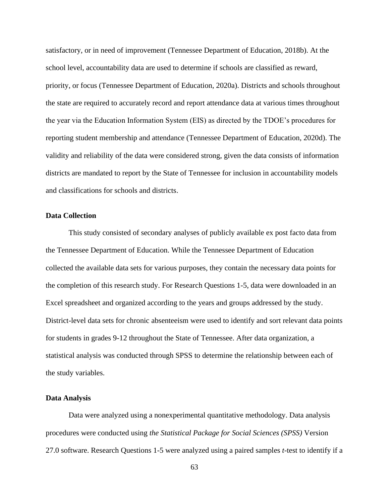satisfactory, or in need of improvement (Tennessee Department of Education, 2018b). At the school level, accountability data are used to determine if schools are classified as reward, priority, or focus (Tennessee Department of Education, 2020a). Districts and schools throughout the state are required to accurately record and report attendance data at various times throughout the year via the Education Information System (EIS) as directed by the TDOE's procedures for reporting student membership and attendance (Tennessee Department of Education, 2020d). The validity and reliability of the data were considered strong, given the data consists of information districts are mandated to report by the State of Tennessee for inclusion in accountability models and classifications for schools and districts.

### **Data Collection**

This study consisted of secondary analyses of publicly available ex post facto data from the Tennessee Department of Education. While the Tennessee Department of Education collected the available data sets for various purposes, they contain the necessary data points for the completion of this research study. For Research Questions 1-5, data were downloaded in an Excel spreadsheet and organized according to the years and groups addressed by the study. District-level data sets for chronic absenteeism were used to identify and sort relevant data points for students in grades 9-12 throughout the State of Tennessee. After data organization, a statistical analysis was conducted through SPSS to determine the relationship between each of the study variables.

# **Data Analysis**

Data were analyzed using a nonexperimental quantitative methodology. Data analysis procedures were conducted using *the Statistical Package for Social Sciences (SPSS)* Version 27.0 software. Research Questions 1-5 were analyzed using a paired samples *t-*test to identify if a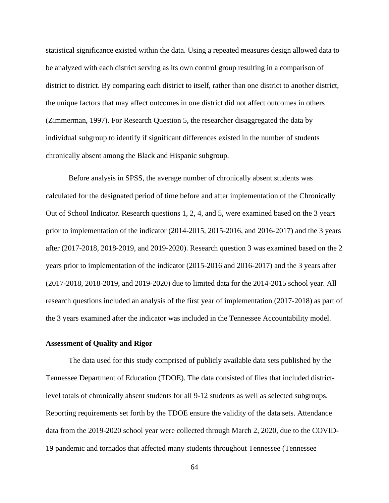statistical significance existed within the data. Using a repeated measures design allowed data to be analyzed with each district serving as its own control group resulting in a comparison of district to district. By comparing each district to itself, rather than one district to another district, the unique factors that may affect outcomes in one district did not affect outcomes in others (Zimmerman, 1997). For Research Question 5, the researcher disaggregated the data by individual subgroup to identify if significant differences existed in the number of students chronically absent among the Black and Hispanic subgroup.

Before analysis in SPSS, the average number of chronically absent students was calculated for the designated period of time before and after implementation of the Chronically Out of School Indicator. Research questions 1, 2, 4, and 5, were examined based on the 3 years prior to implementation of the indicator (2014-2015, 2015-2016, and 2016-2017) and the 3 years after (2017-2018, 2018-2019, and 2019-2020). Research question 3 was examined based on the 2 years prior to implementation of the indicator (2015-2016 and 2016-2017) and the 3 years after (2017-2018, 2018-2019, and 2019-2020) due to limited data for the 2014-2015 school year. All research questions included an analysis of the first year of implementation (2017-2018) as part of the 3 years examined after the indicator was included in the Tennessee Accountability model.

### **Assessment of Quality and Rigor**

The data used for this study comprised of publicly available data sets published by the Tennessee Department of Education (TDOE). The data consisted of files that included districtlevel totals of chronically absent students for all 9-12 students as well as selected subgroups. Reporting requirements set forth by the TDOE ensure the validity of the data sets. Attendance data from the 2019-2020 school year were collected through March 2, 2020, due to the COVID-19 pandemic and tornados that affected many students throughout Tennessee (Tennessee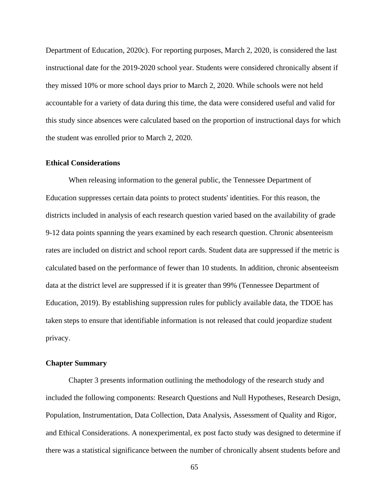Department of Education, 2020c). For reporting purposes, March 2, 2020, is considered the last instructional date for the 2019-2020 school year. Students were considered chronically absent if they missed 10% or more school days prior to March 2, 2020. While schools were not held accountable for a variety of data during this time, the data were considered useful and valid for this study since absences were calculated based on the proportion of instructional days for which the student was enrolled prior to March 2, 2020.

### **Ethical Considerations**

When releasing information to the general public, the Tennessee Department of Education suppresses certain data points to protect students' identities. For this reason, the districts included in analysis of each research question varied based on the availability of grade 9-12 data points spanning the years examined by each research question. Chronic absenteeism rates are included on district and school report cards. Student data are suppressed if the metric is calculated based on the performance of fewer than 10 students. In addition, chronic absenteeism data at the district level are suppressed if it is greater than 99% (Tennessee Department of Education, 2019). By establishing suppression rules for publicly available data, the TDOE has taken steps to ensure that identifiable information is not released that could jeopardize student privacy.

## **Chapter Summary**

Chapter 3 presents information outlining the methodology of the research study and included the following components: Research Questions and Null Hypotheses, Research Design, Population, Instrumentation, Data Collection, Data Analysis, Assessment of Quality and Rigor, and Ethical Considerations. A nonexperimental, ex post facto study was designed to determine if there was a statistical significance between the number of chronically absent students before and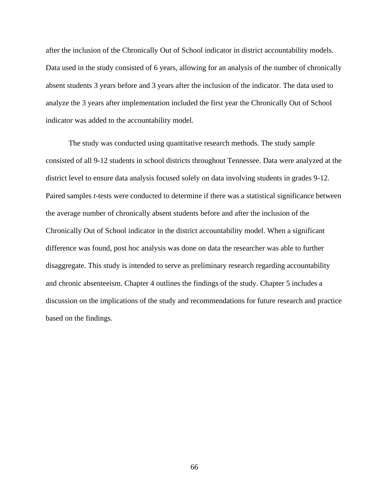after the inclusion of the Chronically Out of School indicator in district accountability models. Data used in the study consisted of 6 years, allowing for an analysis of the number of chronically absent students 3 years before and 3 years after the inclusion of the indicator. The data used to analyze the 3 years after implementation included the first year the Chronically Out of School indicator was added to the accountability model.

The study was conducted using quantitative research methods. The study sample consisted of all 9-12 students in school districts throughout Tennessee. Data were analyzed at the district level to ensure data analysis focused solely on data involving students in grades 9-12. Paired samples *t*-tests were conducted to determine if there was a statistical significance between the average number of chronically absent students before and after the inclusion of the Chronically Out of School indicator in the district accountability model. When a significant difference was found, post hoc analysis was done on data the researcher was able to further disaggregate. This study is intended to serve as preliminary research regarding accountability and chronic absenteeism. Chapter 4 outlines the findings of the study. Chapter 5 includes a discussion on the implications of the study and recommendations for future research and practice based on the findings.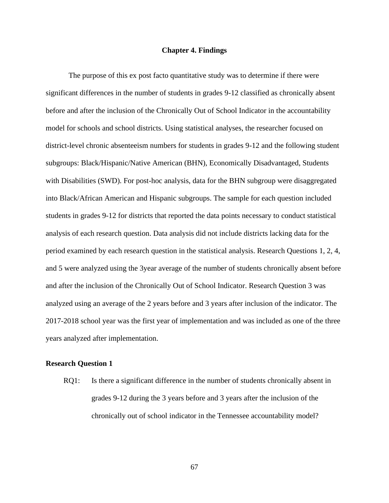### **Chapter 4. Findings**

The purpose of this ex post facto quantitative study was to determine if there were significant differences in the number of students in grades 9-12 classified as chronically absent before and after the inclusion of the Chronically Out of School Indicator in the accountability model for schools and school districts. Using statistical analyses, the researcher focused on district-level chronic absenteeism numbers for students in grades 9-12 and the following student subgroups: Black/Hispanic/Native American (BHN), Economically Disadvantaged, Students with Disabilities (SWD). For post-hoc analysis, data for the BHN subgroup were disaggregated into Black/African American and Hispanic subgroups. The sample for each question included students in grades 9-12 for districts that reported the data points necessary to conduct statistical analysis of each research question. Data analysis did not include districts lacking data for the period examined by each research question in the statistical analysis. Research Questions 1, 2, 4, and 5 were analyzed using the 3year average of the number of students chronically absent before and after the inclusion of the Chronically Out of School Indicator. Research Question 3 was analyzed using an average of the 2 years before and 3 years after inclusion of the indicator. The 2017-2018 school year was the first year of implementation and was included as one of the three years analyzed after implementation.

### **Research Question 1**

RQ1: Is there a significant difference in the number of students chronically absent in grades 9-12 during the 3 years before and 3 years after the inclusion of the chronically out of school indicator in the Tennessee accountability model?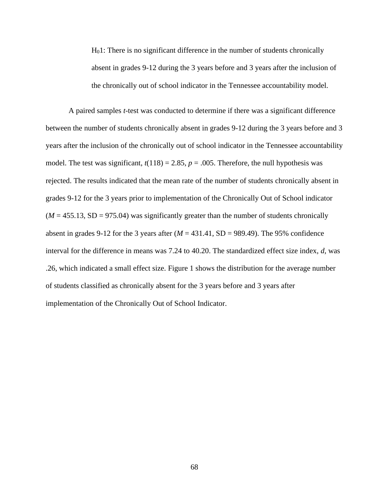H01: There is no significant difference in the number of students chronically absent in grades 9-12 during the 3 years before and 3 years after the inclusion of the chronically out of school indicator in the Tennessee accountability model.

A paired samples *t-*test was conducted to determine if there was a significant difference between the number of students chronically absent in grades 9-12 during the 3 years before and 3 years after the inclusion of the chronically out of school indicator in the Tennessee accountability model. The test was significant,  $t(118) = 2.85$ ,  $p = .005$ . Therefore, the null hypothesis was rejected. The results indicated that the mean rate of the number of students chronically absent in grades 9-12 for the 3 years prior to implementation of the Chronically Out of School indicator  $(M = 455.13, SD = 975.04)$  was significantly greater than the number of students chronically absent in grades 9-12 for the 3 years after  $(M = 431.41, SD = 989.49)$ . The 95% confidence interval for the difference in means was 7.24 to 40.20. The standardized effect size index, *d*, was .26, which indicated a small effect size. Figure 1 shows the distribution for the average number of students classified as chronically absent for the 3 years before and 3 years after implementation of the Chronically Out of School Indicator.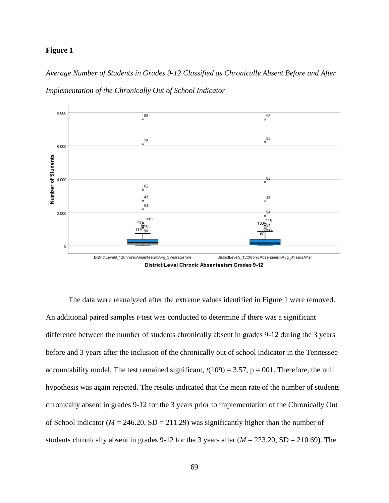# **Figure 1**

*Average Number of Students in Grades 9-12 Classified as Chronically Absent Before and After Implementation of the Chronically Out of School Indicator*



District Level Chronic Absenteeism Grades 9-12

The data were reanalyzed after the extreme values identified in Figure 1 were removed. An additional paired samples *t-*test was conducted to determine if there was a significant difference between the number of students chronically absent in grades 9-12 during the 3 years before and 3 years after the inclusion of the chronically out of school indicator in the Tennessee accountability model. The test remained significant,  $t(109) = 3.57$ ,  $p = .001$ . Therefore, the null hypothesis was again rejected. The results indicated that the mean rate of the number of students chronically absent in grades 9-12 for the 3 years prior to implementation of the Chronically Out of School indicator ( $M = 246.20$ , SD = 211.29) was significantly higher than the number of students chronically absent in grades 9-12 for the 3 years after (*M* = 223.20, SD = 210.69). The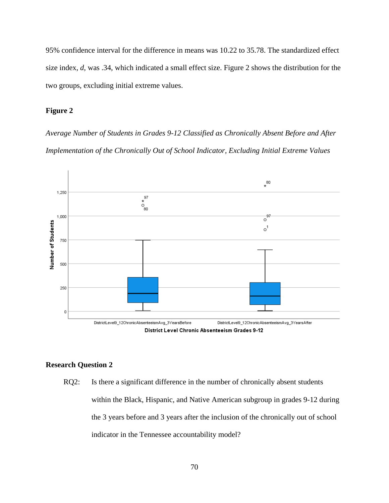95% confidence interval for the difference in means was 10.22 to 35.78. The standardized effect size index, *d*, was .34, which indicated a small effect size. Figure 2 shows the distribution for the two groups, excluding initial extreme values.

# **Figure 2**

*Average Number of Students in Grades 9-12 Classified as Chronically Absent Before and After Implementation of the Chronically Out of School Indicator, Excluding Initial Extreme Values*



# **Research Question 2**

RQ2: Is there a significant difference in the number of chronically absent students within the Black, Hispanic, and Native American subgroup in grades 9-12 during the 3 years before and 3 years after the inclusion of the chronically out of school indicator in the Tennessee accountability model?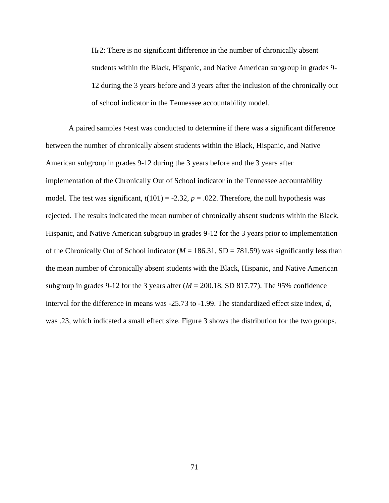H02: There is no significant difference in the number of chronically absent students within the Black, Hispanic, and Native American subgroup in grades 9- 12 during the 3 years before and 3 years after the inclusion of the chronically out of school indicator in the Tennessee accountability model.

A paired samples *t-*test was conducted to determine if there was a significant difference between the number of chronically absent students within the Black, Hispanic, and Native American subgroup in grades 9-12 during the 3 years before and the 3 years after implementation of the Chronically Out of School indicator in the Tennessee accountability model. The test was significant,  $t(101) = -2.32$ ,  $p = .022$ . Therefore, the null hypothesis was rejected. The results indicated the mean number of chronically absent students within the Black, Hispanic, and Native American subgroup in grades 9-12 for the 3 years prior to implementation of the Chronically Out of School indicator ( $M = 186.31$ , SD = 781.59) was significantly less than the mean number of chronically absent students with the Black, Hispanic, and Native American subgroup in grades 9-12 for the 3 years after  $(M = 200.18, SD 817.77)$ . The 95% confidence interval for the difference in means was -25.73 to -1.99. The standardized effect size index, *d*, was .23, which indicated a small effect size. Figure 3 shows the distribution for the two groups.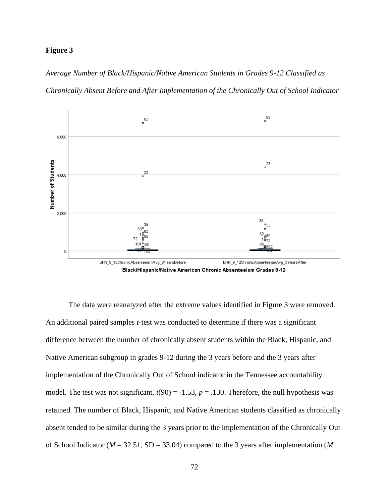## **Figure 3**

*Average Number of Black/Hispanic/Native American Students in Grades 9-12 Classified as Chronically Absent Before and After Implementation of the Chronically Out of School Indicator*



The data were reanalyzed after the extreme values identified in Figure 3 were removed. An additional paired samples *t-*test was conducted to determine if there was a significant difference between the number of chronically absent students within the Black, Hispanic, and Native American subgroup in grades 9-12 during the 3 years before and the 3 years after implementation of the Chronically Out of School indicator in the Tennessee accountability model. The test was not significant,  $t(90) = -1.53$ ,  $p = .130$ . Therefore, the null hypothesis was retained. The number of Black, Hispanic, and Native American students classified as chronically absent tended to be similar during the 3 years prior to the implementation of the Chronically Out of School Indicator (*M* = 32.51, SD = 33.04) compared to the 3 years after implementation (*M*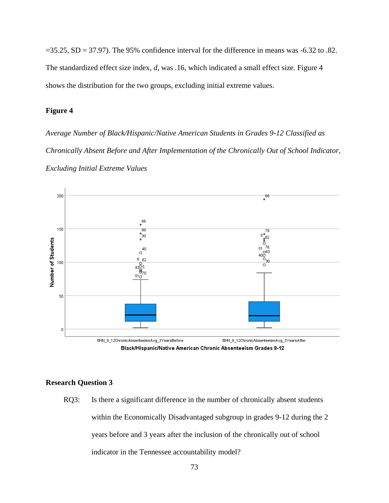$=35.25$ , SD  $= 37.97$ ). The 95% confidence interval for the difference in means was  $-6.32$  to .82. The standardized effect size index, *d*, was .16, which indicated a small effect size. Figure 4 shows the distribution for the two groups, excluding initial extreme values.

# **Figure 4**

*Average Number of Black/Hispanic/Native American Students in Grades 9-12 Classified as Chronically Absent Before and After Implementation of the Chronically Out of School Indicator, Excluding Initial Extreme Values*





### **Research Question 3**

RQ3: Is there a significant difference in the number of chronically absent students within the Economically Disadvantaged subgroup in grades 9-12 during the 2 years before and 3 years after the inclusion of the chronically out of school indicator in the Tennessee accountability model?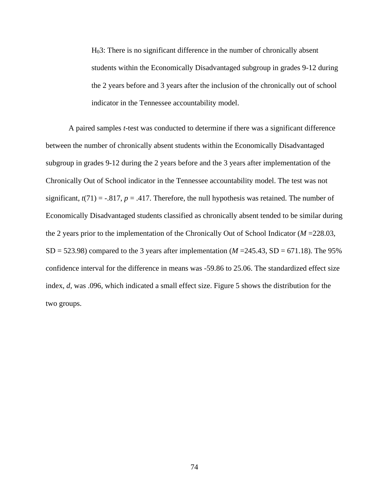H03: There is no significant difference in the number of chronically absent students within the Economically Disadvantaged subgroup in grades 9-12 during the 2 years before and 3 years after the inclusion of the chronically out of school indicator in the Tennessee accountability model.

A paired samples *t-*test was conducted to determine if there was a significant difference between the number of chronically absent students within the Economically Disadvantaged subgroup in grades 9-12 during the 2 years before and the 3 years after implementation of the Chronically Out of School indicator in the Tennessee accountability model. The test was not significant,  $t(71) = -.817$ ,  $p = .417$ . Therefore, the null hypothesis was retained. The number of Economically Disadvantaged students classified as chronically absent tended to be similar during the 2 years prior to the implementation of the Chronically Out of School Indicator (*M* =228.03, SD = 523.98) compared to the 3 years after implementation ( $M = 245.43$ , SD = 671.18). The 95% confidence interval for the difference in means was -59.86 to 25.06. The standardized effect size index, *d*, was .096, which indicated a small effect size. Figure 5 shows the distribution for the two groups.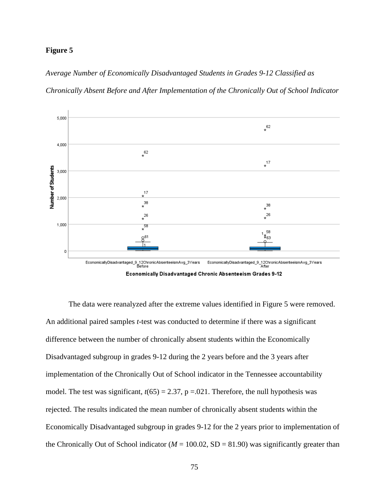### **Figure 5**

*Average Number of Economically Disadvantaged Students in Grades 9-12 Classified as* 





The data were reanalyzed after the extreme values identified in Figure 5 were removed. An additional paired samples *t-*test was conducted to determine if there was a significant difference between the number of chronically absent students within the Economically Disadvantaged subgroup in grades 9-12 during the 2 years before and the 3 years after implementation of the Chronically Out of School indicator in the Tennessee accountability model. The test was significant,  $t(65) = 2.37$ ,  $p = .021$ . Therefore, the null hypothesis was rejected. The results indicated the mean number of chronically absent students within the Economically Disadvantaged subgroup in grades 9-12 for the 2 years prior to implementation of the Chronically Out of School indicator ( $M = 100.02$ , SD = 81.90) was significantly greater than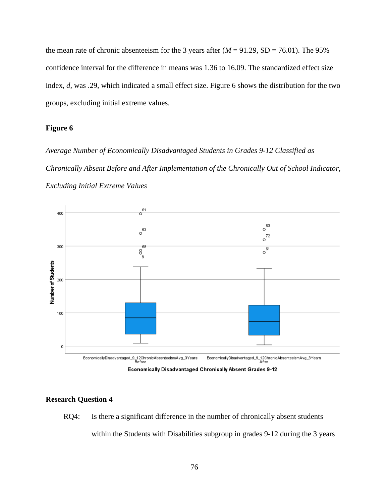the mean rate of chronic absenteeism for the 3 years after  $(M = 91.29, SD = 76.01)$ . The 95% confidence interval for the difference in means was 1.36 to 16.09. The standardized effect size index, *d*, was .29, which indicated a small effect size. Figure 6 shows the distribution for the two groups, excluding initial extreme values.

# **Figure 6**

*Average Number of Economically Disadvantaged Students in Grades 9-12 Classified as Chronically Absent Before and After Implementation of the Chronically Out of School Indicator, Excluding Initial Extreme Values*



### **Research Question 4**

RQ4: Is there a significant difference in the number of chronically absent students within the Students with Disabilities subgroup in grades 9-12 during the 3 years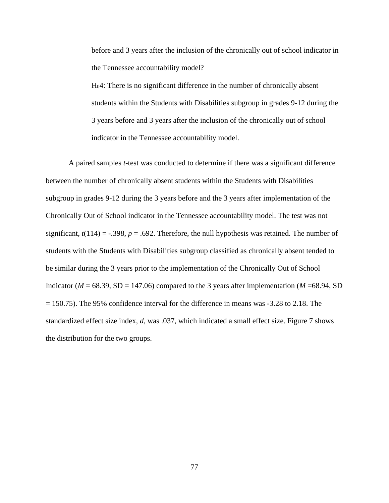before and 3 years after the inclusion of the chronically out of school indicator in the Tennessee accountability model?

H04: There is no significant difference in the number of chronically absent students within the Students with Disabilities subgroup in grades 9-12 during the 3 years before and 3 years after the inclusion of the chronically out of school indicator in the Tennessee accountability model.

A paired samples *t-*test was conducted to determine if there was a significant difference between the number of chronically absent students within the Students with Disabilities subgroup in grades 9-12 during the 3 years before and the 3 years after implementation of the Chronically Out of School indicator in the Tennessee accountability model. The test was not significant,  $t(114) = -.398$ ,  $p = .692$ . Therefore, the null hypothesis was retained. The number of students with the Students with Disabilities subgroup classified as chronically absent tended to be similar during the 3 years prior to the implementation of the Chronically Out of School Indicator ( $M = 68.39$ , SD = 147.06) compared to the 3 years after implementation ( $M = 68.94$ , SD  $= 150.75$ ). The 95% confidence interval for the difference in means was  $-3.28$  to 2.18. The standardized effect size index, *d*, was .037, which indicated a small effect size. Figure 7 shows the distribution for the two groups.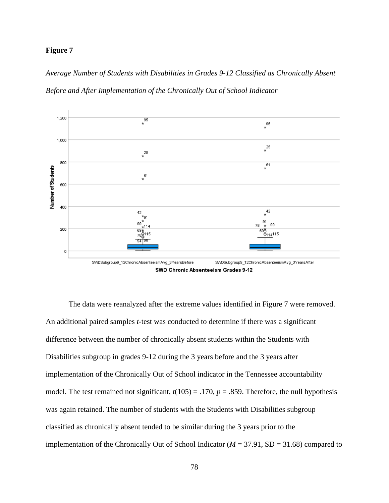### **Figure 7**

*Average Number of Students with Disabilities in Grades 9-12 Classified as Chronically Absent Before and After Implementation of the Chronically Out of School Indicator*



The data were reanalyzed after the extreme values identified in Figure 7 were removed. An additional paired samples *t-*test was conducted to determine if there was a significant difference between the number of chronically absent students within the Students with Disabilities subgroup in grades 9-12 during the 3 years before and the 3 years after implementation of the Chronically Out of School indicator in the Tennessee accountability model. The test remained not significant,  $t(105) = .170$ ,  $p = .859$ . Therefore, the null hypothesis was again retained. The number of students with the Students with Disabilities subgroup classified as chronically absent tended to be similar during the 3 years prior to the implementation of the Chronically Out of School Indicator (*M* = 37.91, SD = 31.68) compared to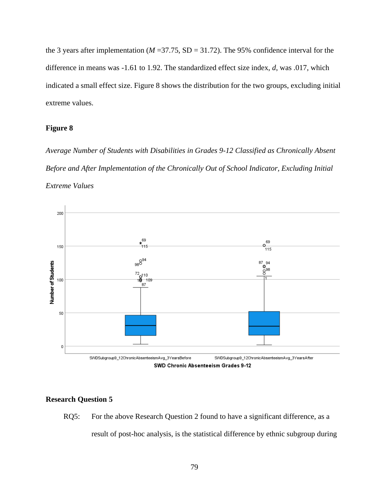the 3 years after implementation ( $M = 37.75$ , SD = 31.72). The 95% confidence interval for the difference in means was -1.61 to 1.92. The standardized effect size index, *d*, was .017, which indicated a small effect size. Figure 8 shows the distribution for the two groups, excluding initial extreme values.

# **Figure 8**

*Average Number of Students with Disabilities in Grades 9-12 Classified as Chronically Absent Before and After Implementation of the Chronically Out of School Indicator, Excluding Initial Extreme Values*



# **Research Question 5**

RQ5: For the above Research Question 2 found to have a significant difference, as a result of post-hoc analysis, is the statistical difference by ethnic subgroup during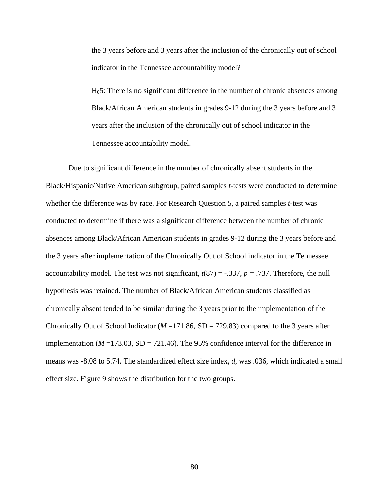the 3 years before and 3 years after the inclusion of the chronically out of school indicator in the Tennessee accountability model?

H05: There is no significant difference in the number of chronic absences among Black/African American students in grades 9-12 during the 3 years before and 3 years after the inclusion of the chronically out of school indicator in the Tennessee accountability model.

Due to significant difference in the number of chronically absent students in the Black/Hispanic/Native American subgroup, paired samples *t-*tests were conducted to determine whether the difference was by race. For Research Question 5, a paired samples *t*-test was conducted to determine if there was a significant difference between the number of chronic absences among Black/African American students in grades 9-12 during the 3 years before and the 3 years after implementation of the Chronically Out of School indicator in the Tennessee accountability model. The test was not significant,  $t(87) = -.337$ ,  $p = .737$ . Therefore, the null hypothesis was retained. The number of Black/African American students classified as chronically absent tended to be similar during the 3 years prior to the implementation of the Chronically Out of School Indicator ( $M = 171.86$ , SD = 729.83) compared to the 3 years after implementation ( $M = 173.03$ ,  $SD = 721.46$ ). The 95% confidence interval for the difference in means was -8.08 to 5.74. The standardized effect size index, *d*, was .036, which indicated a small effect size. Figure 9 shows the distribution for the two groups.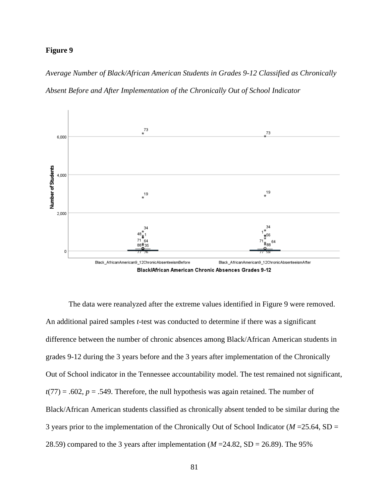### **Figure 9**

*Average Number of Black/African American Students in Grades 9-12 Classified as Chronically Absent Before and After Implementation of the Chronically Out of School Indicator*



The data were reanalyzed after the extreme values identified in Figure 9 were removed. An additional paired samples *t*-test was conducted to determine if there was a significant difference between the number of chronic absences among Black/African American students in grades 9-12 during the 3 years before and the 3 years after implementation of the Chronically Out of School indicator in the Tennessee accountability model. The test remained not significant,  $t(77) = .602$ ,  $p = .549$ . Therefore, the null hypothesis was again retained. The number of Black/African American students classified as chronically absent tended to be similar during the 3 years prior to the implementation of the Chronically Out of School Indicator (*M* =25.64, SD = 28.59) compared to the 3 years after implementation  $(M = 24.82, SD = 26.89)$ . The 95%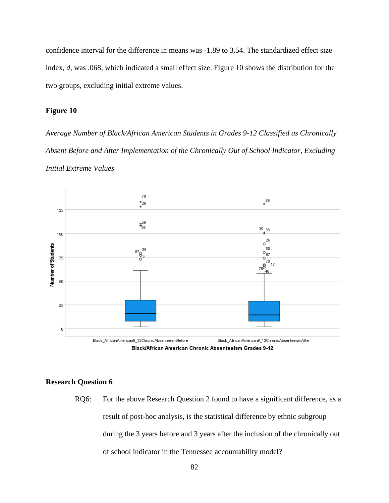confidence interval for the difference in means was -1.89 to 3.54. The standardized effect size index, *d*, was .068, which indicated a small effect size. Figure 10 shows the distribution for the two groups, excluding initial extreme values.

# **Figure 10**

*Average Number of Black/African American Students in Grades 9-12 Classified as Chronically Absent Before and After Implementation of the Chronically Out of School Indicator, Excluding Initial Extreme Values*





### **Research Question 6**

RQ6: For the above Research Question 2 found to have a significant difference, as a result of post-hoc analysis, is the statistical difference by ethnic subgroup during the 3 years before and 3 years after the inclusion of the chronically out of school indicator in the Tennessee accountability model?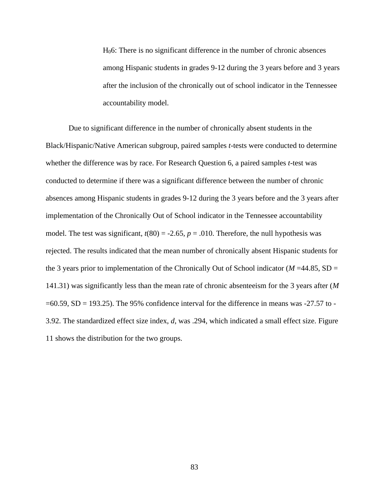H06: There is no significant difference in the number of chronic absences among Hispanic students in grades 9-12 during the 3 years before and 3 years after the inclusion of the chronically out of school indicator in the Tennessee accountability model.

Due to significant difference in the number of chronically absent students in the Black/Hispanic/Native American subgroup, paired samples *t-*tests were conducted to determine whether the difference was by race. For Research Question 6, a paired samples *t-*test was conducted to determine if there was a significant difference between the number of chronic absences among Hispanic students in grades 9-12 during the 3 years before and the 3 years after implementation of the Chronically Out of School indicator in the Tennessee accountability model. The test was significant,  $t(80) = -2.65$ ,  $p = .010$ . Therefore, the null hypothesis was rejected. The results indicated that the mean number of chronically absent Hispanic students for the 3 years prior to implementation of the Chronically Out of School indicator ( $M = 44.85$ , SD = 141.31) was significantly less than the mean rate of chronic absenteeism for the 3 years after (*M*   $=60.59$ , SD = 193.25). The 95% confidence interval for the difference in means was -27.57 to -3.92. The standardized effect size index, *d*, was .294, which indicated a small effect size. Figure 11 shows the distribution for the two groups.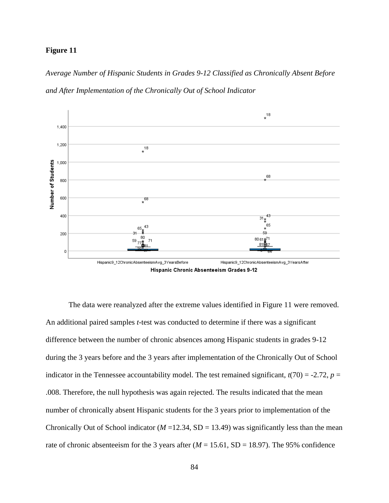### **Figure 11**

*Average Number of Hispanic Students in Grades 9-12 Classified as Chronically Absent Before and After Implementation of the Chronically Out of School Indicator*



The data were reanalyzed after the extreme values identified in Figure 11 were removed. An additional paired samples *t-*test was conducted to determine if there was a significant difference between the number of chronic absences among Hispanic students in grades 9-12 during the 3 years before and the 3 years after implementation of the Chronically Out of School indicator in the Tennessee accountability model. The test remained significant,  $t(70) = -2.72$ ,  $p =$ .008. Therefore, the null hypothesis was again rejected. The results indicated that the mean number of chronically absent Hispanic students for the 3 years prior to implementation of the Chronically Out of School indicator ( $M = 12.34$ , SD = 13.49) was significantly less than the mean rate of chronic absenteeism for the 3 years after  $(M = 15.61, SD = 18.97)$ . The 95% confidence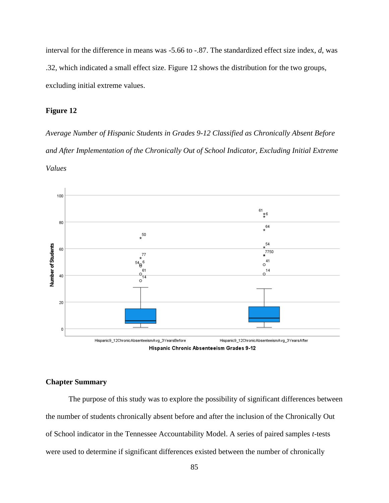interval for the difference in means was -5.66 to -.87. The standardized effect size index, *d*, was .32, which indicated a small effect size. Figure 12 shows the distribution for the two groups, excluding initial extreme values.

### **Figure 12**

*Average Number of Hispanic Students in Grades 9-12 Classified as Chronically Absent Before and After Implementation of the Chronically Out of School Indicator, Excluding Initial Extreme Values*



Hispanic Chronic Absenteeism Grades 9-12

# **Chapter Summary**

The purpose of this study was to explore the possibility of significant differences between the number of students chronically absent before and after the inclusion of the Chronically Out of School indicator in the Tennessee Accountability Model. A series of paired samples *t*-tests were used to determine if significant differences existed between the number of chronically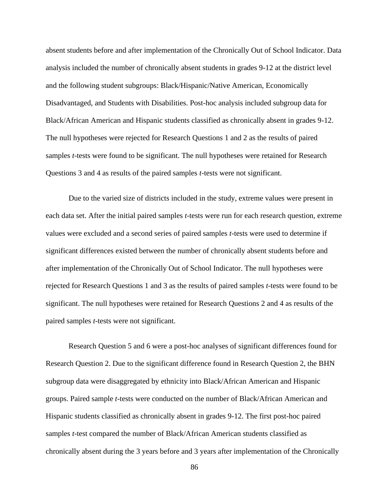absent students before and after implementation of the Chronically Out of School Indicator. Data analysis included the number of chronically absent students in grades 9-12 at the district level and the following student subgroups: Black/Hispanic/Native American, Economically Disadvantaged, and Students with Disabilities. Post-hoc analysis included subgroup data for Black/African American and Hispanic students classified as chronically absent in grades 9-12. The null hypotheses were rejected for Research Questions 1 and 2 as the results of paired samples *t-*tests were found to be significant. The null hypotheses were retained for Research Questions 3 and 4 as results of the paired samples *t*-tests were not significant.

Due to the varied size of districts included in the study, extreme values were present in each data set. After the initial paired samples *t-*tests were run for each research question, extreme values were excluded and a second series of paired samples *t-*tests were used to determine if significant differences existed between the number of chronically absent students before and after implementation of the Chronically Out of School Indicator. The null hypotheses were rejected for Research Questions 1 and 3 as the results of paired samples *t-*tests were found to be significant. The null hypotheses were retained for Research Questions 2 and 4 as results of the paired samples *t*-tests were not significant.

Research Question 5 and 6 were a post-hoc analyses of significant differences found for Research Question 2. Due to the significant difference found in Research Question 2, the BHN subgroup data were disaggregated by ethnicity into Black/African American and Hispanic groups. Paired sample *t-*tests were conducted on the number of Black/African American and Hispanic students classified as chronically absent in grades 9-12. The first post-hoc paired samples *t*-test compared the number of Black/African American students classified as chronically absent during the 3 years before and 3 years after implementation of the Chronically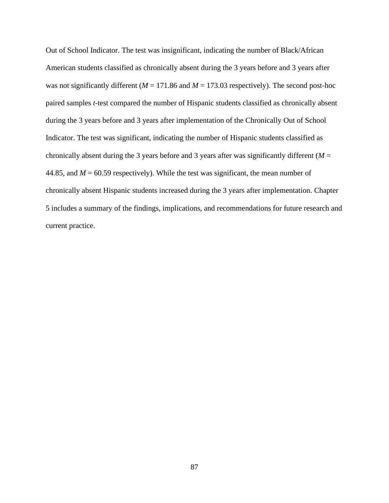Out of School Indicator. The test was insignificant, indicating the number of Black/African American students classified as chronically absent during the 3 years before and 3 years after was not significantly different ( $M = 171.86$  and  $M = 173.03$  respectively). The second post-hoc paired samples *t*-test compared the number of Hispanic students classified as chronically absent during the 3 years before and 3 years after implementation of the Chronically Out of School Indicator. The test was significant, indicating the number of Hispanic students classified as chronically absent during the 3 years before and 3 years after was significantly different ( $M =$ 44.85, and  $M = 60.59$  respectively). While the test was significant, the mean number of chronically absent Hispanic students increased during the 3 years after implementation. Chapter 5 includes a summary of the findings, implications, and recommendations for future research and current practice.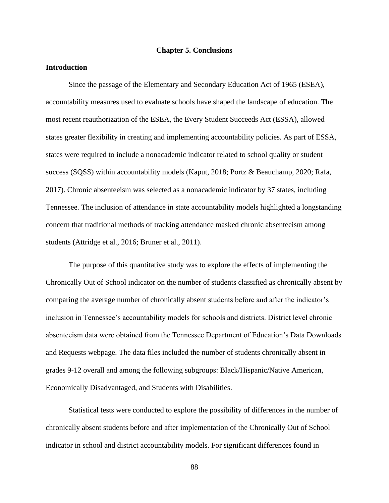#### **Chapter 5. Conclusions**

### **Introduction**

Since the passage of the Elementary and Secondary Education Act of 1965 (ESEA), accountability measures used to evaluate schools have shaped the landscape of education. The most recent reauthorization of the ESEA, the Every Student Succeeds Act (ESSA), allowed states greater flexibility in creating and implementing accountability policies. As part of ESSA, states were required to include a nonacademic indicator related to school quality or student success (SQSS) within accountability models (Kaput, 2018; Portz & Beauchamp, 2020; Rafa, 2017). Chronic absenteeism was selected as a nonacademic indicator by 37 states, including Tennessee. The inclusion of attendance in state accountability models highlighted a longstanding concern that traditional methods of tracking attendance masked chronic absenteeism among students (Attridge et al., 2016; Bruner et al., 2011).

The purpose of this quantitative study was to explore the effects of implementing the Chronically Out of School indicator on the number of students classified as chronically absent by comparing the average number of chronically absent students before and after the indicator's inclusion in Tennessee's accountability models for schools and districts. District level chronic absenteeism data were obtained from the Tennessee Department of Education's Data Downloads and Requests webpage. The data files included the number of students chronically absent in grades 9-12 overall and among the following subgroups: Black/Hispanic/Native American, Economically Disadvantaged, and Students with Disabilities.

Statistical tests were conducted to explore the possibility of differences in the number of chronically absent students before and after implementation of the Chronically Out of School indicator in school and district accountability models. For significant differences found in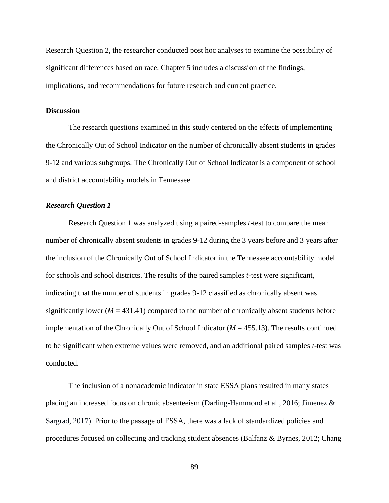Research Question 2, the researcher conducted post hoc analyses to examine the possibility of significant differences based on race. Chapter 5 includes a discussion of the findings, implications, and recommendations for future research and current practice.

### **Discussion**

The research questions examined in this study centered on the effects of implementing the Chronically Out of School Indicator on the number of chronically absent students in grades 9-12 and various subgroups. The Chronically Out of School Indicator is a component of school and district accountability models in Tennessee.

### *Research Question 1*

Research Question 1 was analyzed using a paired-samples *t*-test to compare the mean number of chronically absent students in grades 9-12 during the 3 years before and 3 years after the inclusion of the Chronically Out of School Indicator in the Tennessee accountability model for schools and school districts. The results of the paired samples *t*-test were significant, indicating that the number of students in grades 9-12 classified as chronically absent was significantly lower ( $M = 431.41$ ) compared to the number of chronically absent students before implementation of the Chronically Out of School Indicator ( $M = 455.13$ ). The results continued to be significant when extreme values were removed, and an additional paired samples *t*-test was conducted.

The inclusion of a nonacademic indicator in state ESSA plans resulted in many states placing an increased focus on chronic absenteeism (Darling-Hammond et al., 2016; Jimenez & Sargrad, 2017). Prior to the passage of ESSA, there was a lack of standardized policies and procedures focused on collecting and tracking student absences (Balfanz & Byrnes, 2012; Chang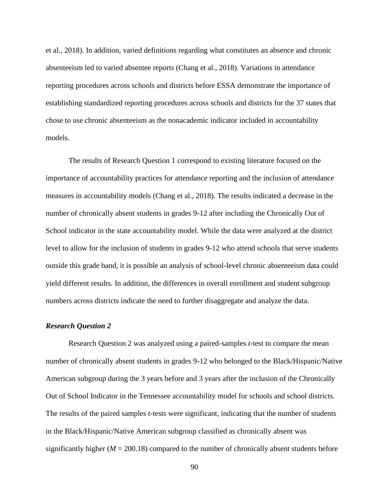et al., 2018). In addition, varied definitions regarding what constitutes an absence and chronic absenteeism led to varied absentee reports (Chang et al., 2018). Variations in attendance reporting procedures across schools and districts before ESSA demonstrate the importance of establishing standardized reporting procedures across schools and districts for the 37 states that chose to use chronic absenteeism as the nonacademic indicator included in accountability models.

The results of Research Question 1 correspond to existing literature focused on the importance of accountability practices for attendance reporting and the inclusion of attendance measures in accountability models (Chang et al., 2018). The results indicated a decrease in the number of chronically absent students in grades 9-12 after including the Chronically Out of School indicator in the state accountability model. While the data were analyzed at the district level to allow for the inclusion of students in grades 9-12 who attend schools that serve students outside this grade band, it is possible an analysis of school-level chronic absenteeism data could yield different results. In addition, the differences in overall enrollment and student subgroup numbers across districts indicate the need to further disaggregate and analyze the data.

# *Research Question 2*

Research Question 2 was analyzed using a paired-samples *t*-test to compare the mean number of chronically absent students in grades 9-12 who belonged to the Black/Hispanic/Native American subgroup during the 3 years before and 3 years after the inclusion of the Chronically Out of School Indicator in the Tennessee accountability model for schools and school districts. The results of the paired samples *t*-tests were significant, indicating that the number of students in the Black/Hispanic/Native American subgroup classified as chronically absent was significantly higher  $(M = 200.18)$  compared to the number of chronically absent students before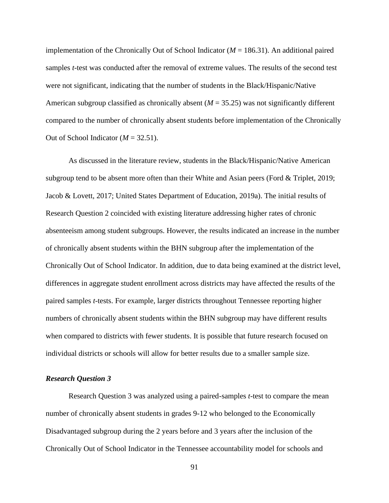implementation of the Chronically Out of School Indicator (*M* = 186.31). An additional paired samples *t*-test was conducted after the removal of extreme values. The results of the second test were not significant, indicating that the number of students in the Black/Hispanic/Native American subgroup classified as chronically absent (*M* = 35.25) was not significantly different compared to the number of chronically absent students before implementation of the Chronically Out of School Indicator  $(M = 32.51)$ .

As discussed in the literature review, students in the Black/Hispanic/Native American subgroup tend to be absent more often than their White and Asian peers (Ford & Triplet, 2019; Jacob & Lovett, 2017; United States Department of Education, 2019a). The initial results of Research Question 2 coincided with existing literature addressing higher rates of chronic absenteeism among student subgroups. However, the results indicated an increase in the number of chronically absent students within the BHN subgroup after the implementation of the Chronically Out of School Indicator. In addition, due to data being examined at the district level, differences in aggregate student enrollment across districts may have affected the results of the paired samples *t-*tests. For example, larger districts throughout Tennessee reporting higher numbers of chronically absent students within the BHN subgroup may have different results when compared to districts with fewer students. It is possible that future research focused on individual districts or schools will allow for better results due to a smaller sample size.

#### *Research Question 3*

Research Question 3 was analyzed using a paired-samples *t*-test to compare the mean number of chronically absent students in grades 9-12 who belonged to the Economically Disadvantaged subgroup during the 2 years before and 3 years after the inclusion of the Chronically Out of School Indicator in the Tennessee accountability model for schools and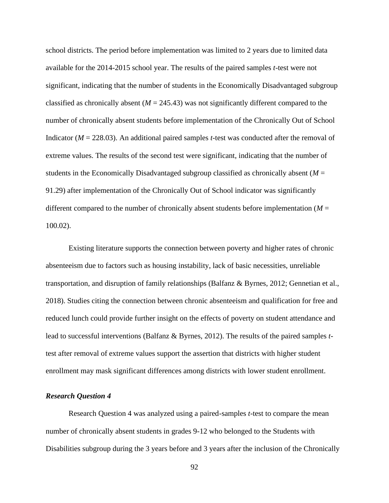school districts. The period before implementation was limited to 2 years due to limited data available for the 2014-2015 school year. The results of the paired samples *t*-test were not significant, indicating that the number of students in the Economically Disadvantaged subgroup classified as chronically absent  $(M = 245.43)$  was not significantly different compared to the number of chronically absent students before implementation of the Chronically Out of School Indicator (*M* = 228.03). An additional paired samples *t*-test was conducted after the removal of extreme values. The results of the second test were significant, indicating that the number of students in the Economically Disadvantaged subgroup classified as chronically absent (*M* = 91.29) after implementation of the Chronically Out of School indicator was significantly different compared to the number of chronically absent students before implementation ( $M =$ 100.02).

Existing literature supports the connection between poverty and higher rates of chronic absenteeism due to factors such as housing instability, lack of basic necessities, unreliable transportation, and disruption of family relationships (Balfanz & Byrnes, 2012; Gennetian et al., 2018). Studies citing the connection between chronic absenteeism and qualification for free and reduced lunch could provide further insight on the effects of poverty on student attendance and lead to successful interventions (Balfanz & Byrnes, 2012). The results of the paired samples *t*test after removal of extreme values support the assertion that districts with higher student enrollment may mask significant differences among districts with lower student enrollment.

### *Research Question 4*

Research Question 4 was analyzed using a paired-samples *t*-test to compare the mean number of chronically absent students in grades 9-12 who belonged to the Students with Disabilities subgroup during the 3 years before and 3 years after the inclusion of the Chronically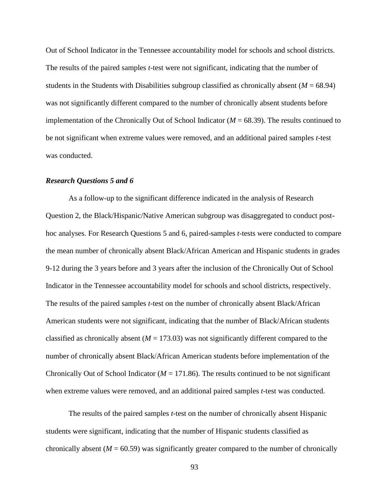Out of School Indicator in the Tennessee accountability model for schools and school districts. The results of the paired samples *t*-test were not significant, indicating that the number of students in the Students with Disabilities subgroup classified as chronically absent  $(M = 68.94)$ was not significantly different compared to the number of chronically absent students before implementation of the Chronically Out of School Indicator  $(M = 68.39)$ . The results continued to be not significant when extreme values were removed, and an additional paired samples *t*-test was conducted.

#### *Research Questions 5 and 6*

As a follow-up to the significant difference indicated in the analysis of Research Question 2, the Black/Hispanic/Native American subgroup was disaggregated to conduct posthoc analyses. For Research Questions 5 and 6, paired-samples *t*-tests were conducted to compare the mean number of chronically absent Black/African American and Hispanic students in grades 9-12 during the 3 years before and 3 years after the inclusion of the Chronically Out of School Indicator in the Tennessee accountability model for schools and school districts, respectively. The results of the paired samples *t*-test on the number of chronically absent Black/African American students were not significant, indicating that the number of Black/African students classified as chronically absent  $(M = 173.03)$  was not significantly different compared to the number of chronically absent Black/African American students before implementation of the Chronically Out of School Indicator ( $M = 171.86$ ). The results continued to be not significant when extreme values were removed, and an additional paired samples *t*-test was conducted.

The results of the paired samples *t*-test on the number of chronically absent Hispanic students were significant, indicating that the number of Hispanic students classified as chronically absent  $(M = 60.59)$  was significantly greater compared to the number of chronically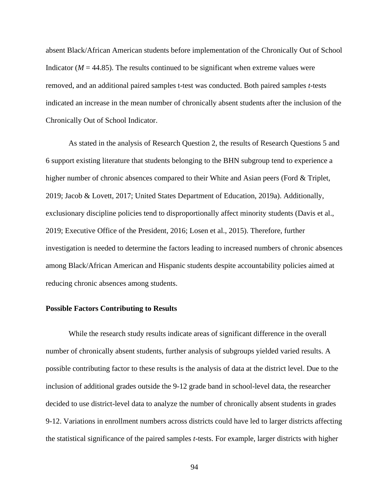absent Black/African American students before implementation of the Chronically Out of School Indicator  $(M = 44.85)$ . The results continued to be significant when extreme values were removed, and an additional paired samples t-test was conducted. Both paired samples *t*-tests indicated an increase in the mean number of chronically absent students after the inclusion of the Chronically Out of School Indicator.

As stated in the analysis of Research Question 2, the results of Research Questions 5 and 6 support existing literature that students belonging to the BHN subgroup tend to experience a higher number of chronic absences compared to their White and Asian peers (Ford & Triplet, 2019; Jacob & Lovett, 2017; United States Department of Education, 2019a). Additionally, exclusionary discipline policies tend to disproportionally affect minority students (Davis et al., 2019; Executive Office of the President, 2016; Losen et al., 2015). Therefore, further investigation is needed to determine the factors leading to increased numbers of chronic absences among Black/African American and Hispanic students despite accountability policies aimed at reducing chronic absences among students.

#### **Possible Factors Contributing to Results**

While the research study results indicate areas of significant difference in the overall number of chronically absent students, further analysis of subgroups yielded varied results. A possible contributing factor to these results is the analysis of data at the district level. Due to the inclusion of additional grades outside the 9-12 grade band in school-level data, the researcher decided to use district-level data to analyze the number of chronically absent students in grades 9-12. Variations in enrollment numbers across districts could have led to larger districts affecting the statistical significance of the paired samples *t*-tests. For example, larger districts with higher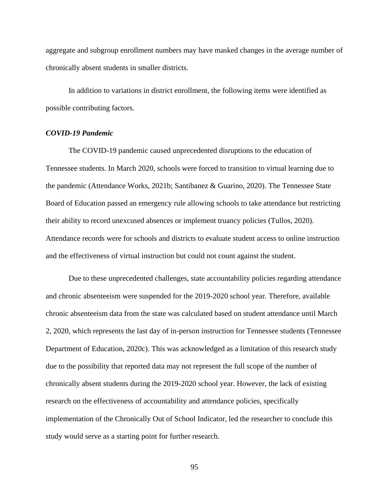aggregate and subgroup enrollment numbers may have masked changes in the average number of chronically absent students in smaller districts.

In addition to variations in district enrollment, the following items were identified as possible contributing factors.

### *COVID-19 Pandemic*

The COVID-19 pandemic caused unprecedented disruptions to the education of Tennessee students. In March 2020, schools were forced to transition to virtual learning due to the pandemic (Attendance Works, 2021b; Santibanez & Guarino, 2020). The Tennessee State Board of Education passed an emergency rule allowing schools to take attendance but restricting their ability to record unexcused absences or implement truancy policies (Tullos, 2020). Attendance records were for schools and districts to evaluate student access to online instruction and the effectiveness of virtual instruction but could not count against the student.

Due to these unprecedented challenges, state accountability policies regarding attendance and chronic absenteeism were suspended for the 2019-2020 school year. Therefore, available chronic absenteeism data from the state was calculated based on student attendance until March 2, 2020, which represents the last day of in-person instruction for Tennessee students (Tennessee Department of Education, 2020c). This was acknowledged as a limitation of this research study due to the possibility that reported data may not represent the full scope of the number of chronically absent students during the 2019-2020 school year. However, the lack of existing research on the effectiveness of accountability and attendance policies, specifically implementation of the Chronically Out of School Indicator, led the researcher to conclude this study would serve as a starting point for further research.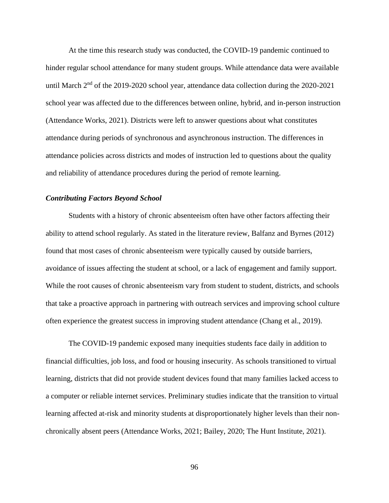At the time this research study was conducted, the COVID-19 pandemic continued to hinder regular school attendance for many student groups. While attendance data were available until March  $2<sup>nd</sup>$  of the 2019-2020 school year, attendance data collection during the 2020-2021 school year was affected due to the differences between online, hybrid, and in-person instruction (Attendance Works, 2021). Districts were left to answer questions about what constitutes attendance during periods of synchronous and asynchronous instruction. The differences in attendance policies across districts and modes of instruction led to questions about the quality and reliability of attendance procedures during the period of remote learning.

#### *Contributing Factors Beyond School*

Students with a history of chronic absenteeism often have other factors affecting their ability to attend school regularly. As stated in the literature review, Balfanz and Byrnes (2012) found that most cases of chronic absenteeism were typically caused by outside barriers, avoidance of issues affecting the student at school, or a lack of engagement and family support. While the root causes of chronic absenteeism vary from student to student, districts, and schools that take a proactive approach in partnering with outreach services and improving school culture often experience the greatest success in improving student attendance (Chang et al., 2019).

The COVID-19 pandemic exposed many inequities students face daily in addition to financial difficulties, job loss, and food or housing insecurity. As schools transitioned to virtual learning, districts that did not provide student devices found that many families lacked access to a computer or reliable internet services. Preliminary studies indicate that the transition to virtual learning affected at-risk and minority students at disproportionately higher levels than their nonchronically absent peers (Attendance Works, 2021; Bailey, 2020; The Hunt Institute, 2021).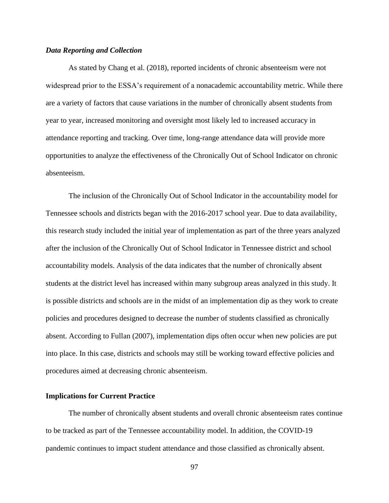#### *Data Reporting and Collection*

As stated by Chang et al. (2018), reported incidents of chronic absenteeism were not widespread prior to the ESSA's requirement of a nonacademic accountability metric. While there are a variety of factors that cause variations in the number of chronically absent students from year to year, increased monitoring and oversight most likely led to increased accuracy in attendance reporting and tracking. Over time, long-range attendance data will provide more opportunities to analyze the effectiveness of the Chronically Out of School Indicator on chronic absenteeism.

The inclusion of the Chronically Out of School Indicator in the accountability model for Tennessee schools and districts began with the 2016-2017 school year. Due to data availability, this research study included the initial year of implementation as part of the three years analyzed after the inclusion of the Chronically Out of School Indicator in Tennessee district and school accountability models. Analysis of the data indicates that the number of chronically absent students at the district level has increased within many subgroup areas analyzed in this study. It is possible districts and schools are in the midst of an implementation dip as they work to create policies and procedures designed to decrease the number of students classified as chronically absent. According to Fullan (2007), implementation dips often occur when new policies are put into place. In this case, districts and schools may still be working toward effective policies and procedures aimed at decreasing chronic absenteeism.

### **Implications for Current Practice**

The number of chronically absent students and overall chronic absenteeism rates continue to be tracked as part of the Tennessee accountability model. In addition, the COVID-19 pandemic continues to impact student attendance and those classified as chronically absent.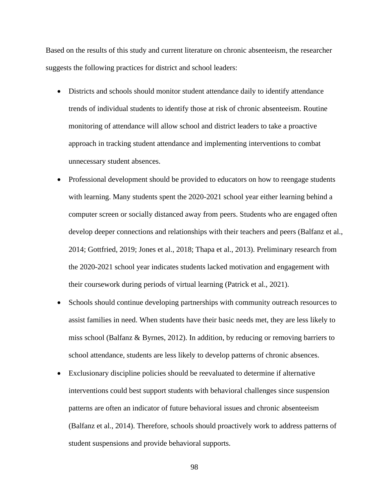Based on the results of this study and current literature on chronic absenteeism, the researcher suggests the following practices for district and school leaders:

- Districts and schools should monitor student attendance daily to identify attendance trends of individual students to identify those at risk of chronic absenteeism. Routine monitoring of attendance will allow school and district leaders to take a proactive approach in tracking student attendance and implementing interventions to combat unnecessary student absences.
- Professional development should be provided to educators on how to reengage students with learning. Many students spent the 2020-2021 school year either learning behind a computer screen or socially distanced away from peers. Students who are engaged often develop deeper connections and relationships with their teachers and peers (Balfanz et al., 2014; Gottfried, 2019; Jones et al., 2018; Thapa et al., 2013). Preliminary research from the 2020-2021 school year indicates students lacked motivation and engagement with their coursework during periods of virtual learning (Patrick et al., 2021).
- Schools should continue developing partnerships with community outreach resources to assist families in need. When students have their basic needs met, they are less likely to miss school (Balfanz & Byrnes, 2012). In addition, by reducing or removing barriers to school attendance, students are less likely to develop patterns of chronic absences.
- Exclusionary discipline policies should be reevaluated to determine if alternative interventions could best support students with behavioral challenges since suspension patterns are often an indicator of future behavioral issues and chronic absenteeism (Balfanz et al., 2014). Therefore, schools should proactively work to address patterns of student suspensions and provide behavioral supports.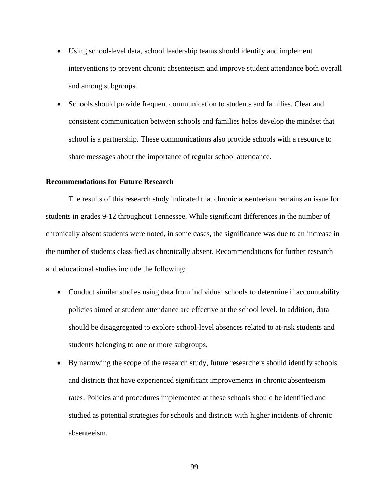- Using school-level data, school leadership teams should identify and implement interventions to prevent chronic absenteeism and improve student attendance both overall and among subgroups.
- Schools should provide frequent communication to students and families. Clear and consistent communication between schools and families helps develop the mindset that school is a partnership. These communications also provide schools with a resource to share messages about the importance of regular school attendance.

## **Recommendations for Future Research**

The results of this research study indicated that chronic absenteeism remains an issue for students in grades 9-12 throughout Tennessee. While significant differences in the number of chronically absent students were noted, in some cases, the significance was due to an increase in the number of students classified as chronically absent. Recommendations for further research and educational studies include the following:

- Conduct similar studies using data from individual schools to determine if accountability policies aimed at student attendance are effective at the school level. In addition, data should be disaggregated to explore school-level absences related to at-risk students and students belonging to one or more subgroups.
- By narrowing the scope of the research study, future researchers should identify schools and districts that have experienced significant improvements in chronic absenteeism rates. Policies and procedures implemented at these schools should be identified and studied as potential strategies for schools and districts with higher incidents of chronic absenteeism.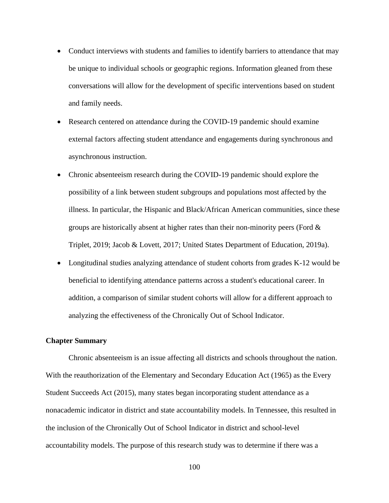- Conduct interviews with students and families to identify barriers to attendance that may be unique to individual schools or geographic regions. Information gleaned from these conversations will allow for the development of specific interventions based on student and family needs.
- Research centered on attendance during the COVID-19 pandemic should examine external factors affecting student attendance and engagements during synchronous and asynchronous instruction.
- Chronic absenteeism research during the COVID-19 pandemic should explore the possibility of a link between student subgroups and populations most affected by the illness. In particular, the Hispanic and Black/African American communities, since these groups are historically absent at higher rates than their non-minority peers (Ford & Triplet, 2019; Jacob & Lovett, 2017; United States Department of Education, 2019a).
- Longitudinal studies analyzing attendance of student cohorts from grades K-12 would be beneficial to identifying attendance patterns across a student's educational career. In addition, a comparison of similar student cohorts will allow for a different approach to analyzing the effectiveness of the Chronically Out of School Indicator.

### **Chapter Summary**

Chronic absenteeism is an issue affecting all districts and schools throughout the nation. With the reauthorization of the Elementary and Secondary Education Act (1965) as the Every Student Succeeds Act (2015), many states began incorporating student attendance as a nonacademic indicator in district and state accountability models. In Tennessee, this resulted in the inclusion of the Chronically Out of School Indicator in district and school-level accountability models. The purpose of this research study was to determine if there was a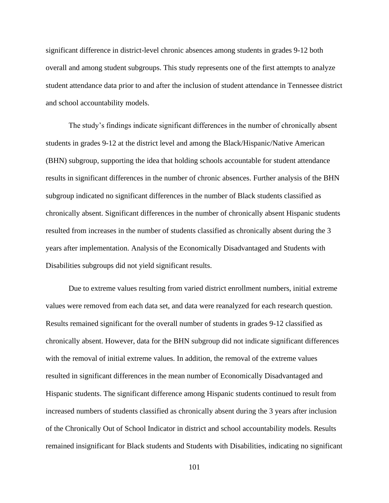significant difference in district-level chronic absences among students in grades 9-12 both overall and among student subgroups. This study represents one of the first attempts to analyze student attendance data prior to and after the inclusion of student attendance in Tennessee district and school accountability models.

The study's findings indicate significant differences in the number of chronically absent students in grades 9-12 at the district level and among the Black/Hispanic/Native American (BHN) subgroup, supporting the idea that holding schools accountable for student attendance results in significant differences in the number of chronic absences. Further analysis of the BHN subgroup indicated no significant differences in the number of Black students classified as chronically absent. Significant differences in the number of chronically absent Hispanic students resulted from increases in the number of students classified as chronically absent during the 3 years after implementation. Analysis of the Economically Disadvantaged and Students with Disabilities subgroups did not yield significant results.

Due to extreme values resulting from varied district enrollment numbers, initial extreme values were removed from each data set, and data were reanalyzed for each research question. Results remained significant for the overall number of students in grades 9-12 classified as chronically absent. However, data for the BHN subgroup did not indicate significant differences with the removal of initial extreme values. In addition, the removal of the extreme values resulted in significant differences in the mean number of Economically Disadvantaged and Hispanic students. The significant difference among Hispanic students continued to result from increased numbers of students classified as chronically absent during the 3 years after inclusion of the Chronically Out of School Indicator in district and school accountability models. Results remained insignificant for Black students and Students with Disabilities, indicating no significant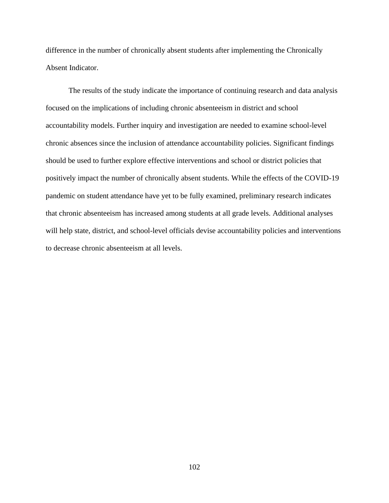difference in the number of chronically absent students after implementing the Chronically Absent Indicator.

The results of the study indicate the importance of continuing research and data analysis focused on the implications of including chronic absenteeism in district and school accountability models. Further inquiry and investigation are needed to examine school-level chronic absences since the inclusion of attendance accountability policies. Significant findings should be used to further explore effective interventions and school or district policies that positively impact the number of chronically absent students. While the effects of the COVID-19 pandemic on student attendance have yet to be fully examined, preliminary research indicates that chronic absenteeism has increased among students at all grade levels. Additional analyses will help state, district, and school-level officials devise accountability policies and interventions to decrease chronic absenteeism at all levels.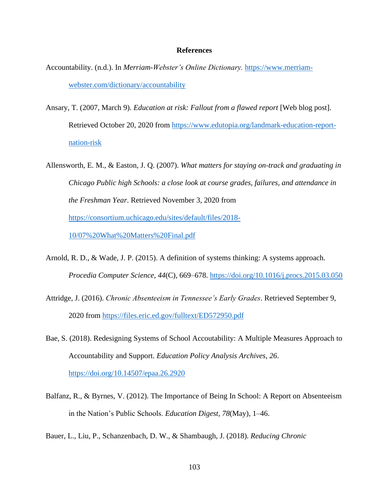#### **References**

- Accountability. (n.d.). In *Merriam-Webster's Online Dictionary.* [https://www.merriam](https://www.merriam-webster.com/dictionary/accountability)[webster.com/dictionary/accountability](https://www.merriam-webster.com/dictionary/accountability)
- Ansary, T. (2007, March 9). *Education at risk: Fallout from a flawed report* [Web blog post]. Retrieved October 20, 2020 from [https://www.edutopia.org/landmark-education-report](https://www.edutopia.org/landmark-education-report-nation-risk)[nation-risk](https://www.edutopia.org/landmark-education-report-nation-risk)
- Allensworth, E. M., & Easton, J. Q. (2007). *What matters for staying on-track and graduating in Chicago Public high Schools: a close look at course grades, failures, and attendance in the Freshman Year*. Retrieved November 3, 2020 from [https://consortium.uchicago.edu/sites/default/files/2018-](https://consortium.uchicago.edu/sites/default/files/2018-10/07%20What%20Matters%20Final.pdf) [10/07%20What%20Matters%20Final.pdf](https://consortium.uchicago.edu/sites/default/files/2018-10/07%20What%20Matters%20Final.pdf)
- Arnold, R. D., & Wade, J. P. (2015). A definition of systems thinking: A systems approach. *Procedia Computer Science*, *44*(C), 669–678.<https://doi.org/10.1016/j.procs.2015.03.050>
- Attridge, J. (2016). *Chronic Absenteeism in Tennessee's Early Grades*. Retrieved September 9, 2020 from<https://files.eric.ed.gov/fulltext/ED572950.pdf>
- Bae, S. (2018). Redesigning Systems of School Accoutability: A Multiple Measures Approach to Accountability and Support. *Education Policy Analysis Archives*, *26*. <https://doi.org/10.14507/epaa.26.2920>
- Balfanz, R., & Byrnes, V. (2012). The Importance of Being In School: A Report on Absenteeism in the Nation's Public Schools. *Education Digest*, *78*(May), 1–46.
- Bauer, L., Liu, P., Schanzenbach, D. W., & Shambaugh, J. (2018). *Reducing Chronic*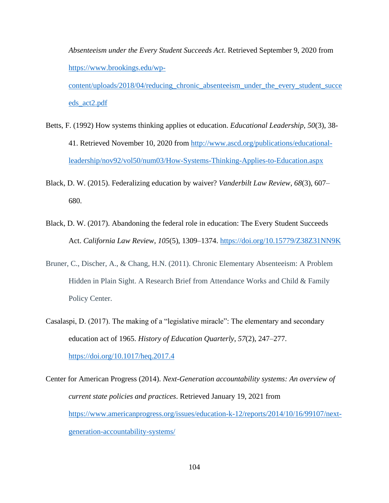*Absenteeism under the Every Student Succeeds Act*. Retrieved September 9, 2020 from [https://www.brookings.edu/wp-](https://www.brookings.edu/wp-content/uploads/2018/04/reducing_chronic_absenteeism_under_the_every_student_succeeds_act2.pdf)

[content/uploads/2018/04/reducing\\_chronic\\_absenteeism\\_under\\_the\\_every\\_student\\_succe](https://www.brookings.edu/wp-content/uploads/2018/04/reducing_chronic_absenteeism_under_the_every_student_succeeds_act2.pdf) [eds\\_act2.pdf](https://www.brookings.edu/wp-content/uploads/2018/04/reducing_chronic_absenteeism_under_the_every_student_succeeds_act2.pdf)

- Betts, F. (1992) How systems thinking applies ot education. *Educational Leadership, 50*(3), 38- 41. Retrieved November 10, 2020 from [http://www.ascd.org/publications/educational](http://www.ascd.org/publications/educational-leadership/nov92/vol50/num03/How-Systems-Thinking-Applies-to-Education.aspx)[leadership/nov92/vol50/num03/How-Systems-Thinking-Applies-to-Education.aspx](http://www.ascd.org/publications/educational-leadership/nov92/vol50/num03/How-Systems-Thinking-Applies-to-Education.aspx)
- Black, D. W. (2015). Federalizing education by waiver? *Vanderbilt Law Review*, *68*(3), 607– 680.
- Black, D. W. (2017). Abandoning the federal role in education: The Every Student Succeeds Act. *California Law Review*, *105*(5), 1309–1374.<https://doi.org/10.15779/Z38Z31NN9K>
- Bruner, C., Discher, A., & Chang, H.N. (2011). Chronic Elementary Absenteeism: A Problem Hidden in Plain Sight. A Research Brief from Attendance Works and Child & Family Policy Center.
- Casalaspi, D. (2017). The making of a "legislative miracle": The elementary and secondary education act of 1965. *History of Education Quarterly*, *57*(2), 247–277. <https://doi.org/10.1017/heq.2017.4>
- Center for American Progress (2014). *Next-Generation accountability systems: An overview of current state policies and practices*. Retrieved January 19, 2021 from [https://www.americanprogress.org/issues/education-k-12/reports/2014/10/16/99107/next](https://www.americanprogress.org/issues/education-k-12/reports/2014/10/16/99107/next-generation-accountability-systems/)[generation-accountability-systems/](https://www.americanprogress.org/issues/education-k-12/reports/2014/10/16/99107/next-generation-accountability-systems/)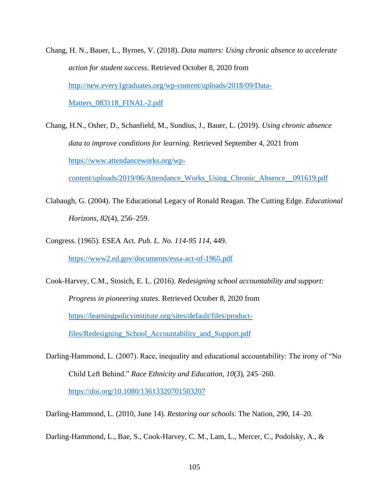- Chang, H. N., Bauer, L., Byrnes, V. (2018). *Data matters: Using chronic absence to accelerate action for student success*. Retrieved October 8, 2020 from [http://new.every1graduates.org/wp-content/uploads/2018/09/Data-](http://new.every1graduates.org/wp-content/uploads/2018/09/Data-Matters_083118_FINAL-2.pdf)[Matters\\_083118\\_FINAL-2.pdf](http://new.every1graduates.org/wp-content/uploads/2018/09/Data-Matters_083118_FINAL-2.pdf)
- Chang, H.N., Osher, D., Schanfield, M., Sundius, J., Bauer, L. (2019). *Using chronic absence data to improve conditions for learning.* Retrieved September 4, 2021 from [https://www.attendanceworks.org/wp-](https://www.attendanceworks.org/wp-content/uploads/2019/06/Attendance_Works_Using_Chronic_Absence__091619.pdf)

[content/uploads/2019/06/Attendance\\_Works\\_Using\\_Chronic\\_Absence\\_\\_091619.pdf](https://www.attendanceworks.org/wp-content/uploads/2019/06/Attendance_Works_Using_Chronic_Absence__091619.pdf)

- Clabaugh, G. (2004). The Educational Legacy of Ronald Reagan. The Cutting Edge. *Educational Horizons*, *82*(4), 256–259.
- Congress. (1965). ESEA Act. *Pub. L. No. 114-95 114*, 449. <https://www2.ed.gov/documents/essa-act-of-1965.pdf>
- Cook-Harvey, C.M., Stosich, E. L. (2016). *Redesigning school accountability and support: Progress in pioneering states*. Retrieved October 8, 2020 from [https://learningpolicyinstitute.org/sites/default/files/product](https://learningpolicyinstitute.org/sites/default/files/product-files/Redesigning_School_Accountability_and_Support.pdf)[files/Redesigning\\_School\\_Accountability\\_and\\_Support.pdf](https://learningpolicyinstitute.org/sites/default/files/product-files/Redesigning_School_Accountability_and_Support.pdf)
- Darling-Hammond, L. (2007). Race, inequality and educational accountability: The irony of "No Child Left Behind." *Race Ethnicity and Education*, *10*(3), 245–260. <https://doi.org/10.1080/13613320701503207>
- Darling-Hammond, L. (2010, June 14). *Restoring our schools*. The Nation, 290, 14–20.

Darling-Hammond, L., Bae, S., Cook-Harvey, C. M., Lam, L., Mercer, C., Podolsky, A., &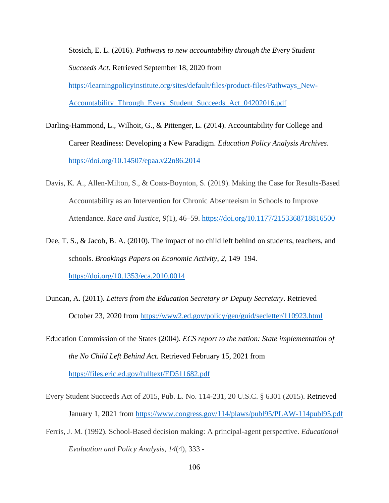Stosich, E. L. (2016). *Pathways to new accountability through the Every Student Succeeds Act*. Retrieved September 18, 2020 from [https://learningpolicyinstitute.org/sites/default/files/product-files/Pathways\\_New-](https://learningpolicyinstitute.org/sites/default/files/product-files/Pathways_New-Accountability_Through_Every_Student_Succeeds_Act_04202016.pdf)[Accountability\\_Through\\_Every\\_Student\\_Succeeds\\_Act\\_04202016.pdf](https://learningpolicyinstitute.org/sites/default/files/product-files/Pathways_New-Accountability_Through_Every_Student_Succeeds_Act_04202016.pdf)

- Darling-Hammond, L., Wilhoit, G., & Pittenger, L. (2014). Accountability for College and Career Readiness: Developing a New Paradigm. *Education Policy Analysis Archives*. <https://doi.org/10.14507/epaa.v22n86.2014>
- Davis, K. A., Allen-Milton, S., & Coats-Boynton, S. (2019). Making the Case for Results-Based Accountability as an Intervention for Chronic Absenteeism in Schools to Improve Attendance. *Race and Justice*, *9*(1), 46–59. <https://doi.org/10.1177/2153368718816500>
- Dee, T. S., & Jacob, B. A. (2010). The impact of no child left behind on students, teachers, and schools. *Brookings Papers on Economic Activity*, *2*, 149–194. <https://doi.org/10.1353/eca.2010.0014>
- Duncan, A. (2011). *Letters from the Education Secretary or Deputy Secretary*. Retrieved October 23, 2020 from <https://www2.ed.gov/policy/gen/guid/secletter/110923.html>

Education Commission of the States (2004). *ECS report to the nation: State implementation of the No Child Left Behind Act.* Retrieved February 15, 2021 from <https://files.eric.ed.gov/fulltext/ED511682.pdf>

- Every Student Succeeds Act of 2015, Pub. L. No. 114-231, 20 U.S.C. § 6301 (2015). Retrieved January 1, 2021 from <https://www.congress.gov/114/plaws/publ95/PLAW-114publ95.pdf>
- Ferris, J. M. (1992). School-Based decision making: A principal-agent perspective. *Educational Evaluation and Policy Analysis*, *14*(4), 333 -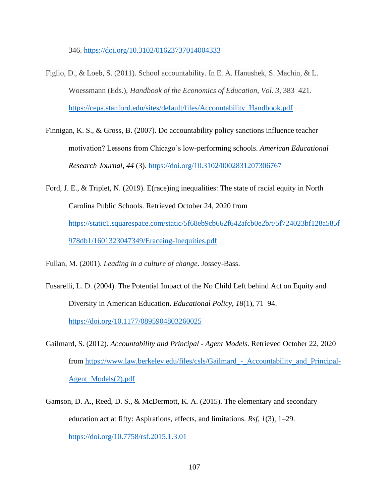346. <https://doi.org/10.3102/01623737014004333>

- Figlio, D., & Loeb, S. (2011). School accountability. In E. A. Hanushek, S. Machin, & L. Woessmann (Eds.), *Handbook of the Economics of Education*, *Vol. 3,* 383–421. [https://cepa.stanford.edu/sites/default/files/Accountability\\_Handbook.pdf](https://cepa.stanford.edu/sites/default/files/Accountability_Handbook.pdf)
- Finnigan, K. S., & Gross, B. (2007). Do accountability policy sanctions influence teacher motivation? Lessons from Chicago's low-performing schools. *American Educational Research Journal, 44* (3).<https://doi.org/10.3102/0002831207306767>
- Ford, J. E., & Triplet, N. (2019). E(race)ing inequalities: The state of racial equity in North Carolina Public Schools. Retrieved October 24, 2020 from [https://static1.squarespace.com/static/5f68eb9cb662f642afcb0e2b/t/5f724023bf128a585f](https://static1.squarespace.com/static/5f68eb9cb662f642afcb0e2b/t/5f724023bf128a585f978db1/1601323047349/Eraceing-Inequities.pdf) [978db1/1601323047349/Eraceing-Inequities.pdf](https://static1.squarespace.com/static/5f68eb9cb662f642afcb0e2b/t/5f724023bf128a585f978db1/1601323047349/Eraceing-Inequities.pdf)
- Fullan, M. (2001). *Leading in a culture of change*. Jossey-Bass.
- Fusarelli, L. D. (2004). The Potential Impact of the No Child Left behind Act on Equity and Diversity in American Education. *Educational Policy*, *18*(1), 71–94. <https://doi.org/10.1177/0895904803260025>
- Gailmard, S. (2012). *Accountability and Principal Agent Models*. Retrieved October 22, 2020 from https://www.law.berkeley.edu/files/csls/Gailmard - Accountability and Principal-[Agent\\_Models\(2\).pdf](https://www.law.berkeley.edu/files/csls/Gailmard_-_Accountability_and_Principal-Agent_Models(2).pdf)
- Gamson, D. A., Reed, D. S., & McDermott, K. A. (2015). The elementary and secondary education act at fifty: Aspirations, effects, and limitations. *Rsf*, *1*(3), 1–29. <https://doi.org/10.7758/rsf.2015.1.3.01>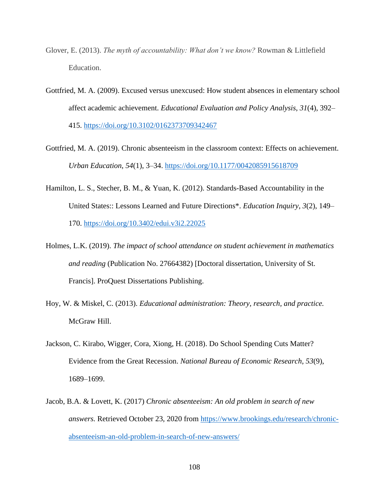- Glover, E. (2013). *The myth of accountability: What don't we know?* Rowman & Littlefield Education.
- Gottfried, M. A. (2009). Excused versus unexcused: How student absences in elementary school affect academic achievement. *Educational Evaluation and Policy Analysis*, *31*(4), 392– 415.<https://doi.org/10.3102/0162373709342467>
- Gottfried, M. A. (2019). Chronic absenteeism in the classroom context: Effects on achievement. *Urban Education*, *54*(1), 3–34.<https://doi.org/10.1177/0042085915618709>
- Hamilton, L. S., Stecher, B. M., & Yuan, K. (2012). Standards-Based Accountability in the United States:: Lessons Learned and Future Directions\*. *Education Inquiry*, *3*(2), 149– 170.<https://doi.org/10.3402/edui.v3i2.22025>
- Holmes, L.K. (2019). *The impact of school attendance on student achievement in mathematics and reading* (Publication No. 27664382) [Doctoral dissertation, University of St. Francis]. ProQuest Dissertations Publishing.
- Hoy, W. & Miskel, C. (2013). *Educational administration: Theory, research, and practice.* McGraw Hill.
- Jackson, C. Kirabo, Wigger, Cora, Xiong, H. (2018). Do School Spending Cuts Matter? Evidence from the Great Recession. *National Bureau of Economic Research*, *53*(9), 1689–1699.
- Jacob, B.A. & Lovett, K. (2017) *Chronic absenteeism: An old problem in search of new answers.* Retrieved October 23, 2020 from [https://www.brookings.edu/research/chronic](https://www.brookings.edu/research/chronic-absenteeism-an-old-problem-in-search-of-new-answers/)[absenteeism-an-old-problem-in-search-of-new-answers/](https://www.brookings.edu/research/chronic-absenteeism-an-old-problem-in-search-of-new-answers/)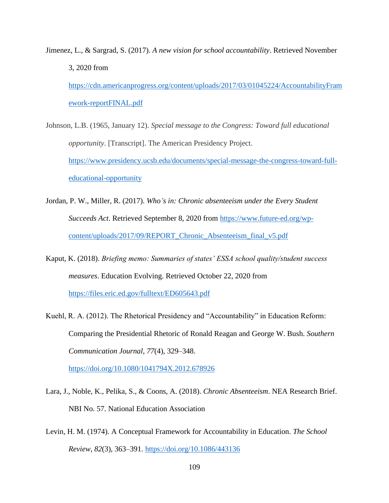Jimenez, L., & Sargrad, S. (2017). *A new vision for school accountability*. Retrieved November 3, 2020 from [https://cdn.americanprogress.org/content/uploads/2017/03/01045224/AccountabilityFram](https://cdn.americanprogress.org/content/uploads/2017/03/01045224/AccountabilityFramework-reportFINAL.pdf) [ework-reportFINAL.pdf](https://cdn.americanprogress.org/content/uploads/2017/03/01045224/AccountabilityFramework-reportFINAL.pdf)

Johnson, L.B. (1965, January 12). *Special message to the Congress: Toward full educational opportunity*. [Transcript]. The American Presidency Project. [https://www.presidency.ucsb.edu/documents/special-message-the-congress-toward-full](https://www.presidency.ucsb.edu/documents/special-message-the-congress-toward-full-educational-opportunity)[educational-opportunity](https://www.presidency.ucsb.edu/documents/special-message-the-congress-toward-full-educational-opportunity)

Jordan, P. W., Miller, R. (2017). *Who's in: Chronic absenteeism under the Every Student Succeeds Act*. Retrieved September 8, 2020 from [https://www.future-ed.org/wp](https://www.future-ed.org/wp-content/uploads/2017/09/REPORT_Chronic_Absenteeism_final_v5.pdf)[content/uploads/2017/09/REPORT\\_Chronic\\_Absenteeism\\_final\\_v5.pdf](https://www.future-ed.org/wp-content/uploads/2017/09/REPORT_Chronic_Absenteeism_final_v5.pdf)

Kaput, K. (2018). *Briefing memo: Summaries of states' ESSA school quality/student success measures*. Education Evolving. Retrieved October 22, 2020 from <https://files.eric.ed.gov/fulltext/ED605643.pdf>

Kuehl, R. A. (2012). The Rhetorical Presidency and "Accountability" in Education Reform: Comparing the Presidential Rhetoric of Ronald Reagan and George W. Bush. *Southern Communication Journal*, *77*(4), 329–348.

<https://doi.org/10.1080/1041794X.2012.678926>

Lara, J., Noble, K., Pelika, S., & Coons, A. (2018). *Chronic Absenteeism*. NEA Research Brief. NBI No. 57. National Education Association

Levin, H. M. (1974). A Conceptual Framework for Accountability in Education. *The School Review*, *82*(3), 363–391.<https://doi.org/10.1086/443136>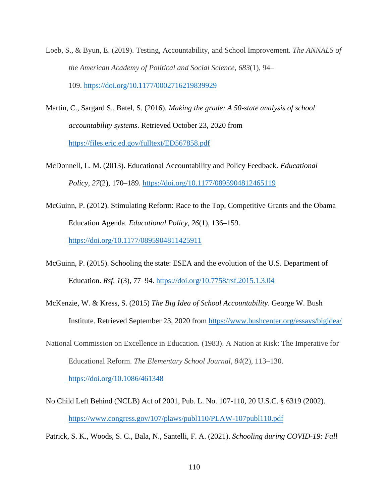- Loeb, S., & Byun, E. (2019). Testing, Accountability, and School Improvement. *The ANNALS of the American Academy of Political and Social Science*, *683*(1), 94– 109. <https://doi.org/10.1177/0002716219839929>
- Martin, C., Sargard S., Batel, S. (2016). *Making the grade: A 50-state analysis of school accountability systems*. Retrieved October 23, 2020 from <https://files.eric.ed.gov/fulltext/ED567858.pdf>
- McDonnell, L. M. (2013). Educational Accountability and Policy Feedback. *Educational Policy*, *27*(2), 170–189. <https://doi.org/10.1177/0895904812465119>
- McGuinn, P. (2012). Stimulating Reform: Race to the Top, Competitive Grants and the Obama Education Agenda. *Educational Policy*, *26*(1), 136–159. <https://doi.org/10.1177/0895904811425911>
- McGuinn, P. (2015). Schooling the state: ESEA and the evolution of the U.S. Department of Education. *Rsf*, *1*(3), 77–94.<https://doi.org/10.7758/rsf.2015.1.3.04>
- McKenzie, W. & Kress, S. (2015) *The Big Idea of School Accountability*. George W. Bush Institute. Retrieved September 23, 2020 from<https://www.bushcenter.org/essays/bigidea/>
- National Commission on Excellence in Education. (1983). A Nation at Risk: The Imperative for Educational Reform. *The Elementary School Journal*, *84*(2), 113–130.

<https://doi.org/10.1086/461348>

No Child Left Behind (NCLB) Act of 2001, Pub. L. No. 107-110, 20 U.S.C. § 6319 (2002). <https://www.congress.gov/107/plaws/publ110/PLAW-107publ110.pdf>

Patrick, S. K., Woods, S. C., Bala, N., Santelli, F. A. (2021). *Schooling during COVID-19: Fall*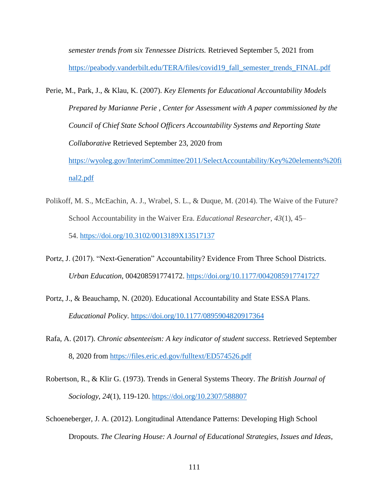*semester trends from six Tennessee Districts.* Retrieved September 5, 2021 from [https://peabody.vanderbilt.edu/TERA/files/covid19\\_fall\\_semester\\_trends\\_FINAL.pdf](https://peabody.vanderbilt.edu/TERA/files/covid19_fall_semester_trends_FINAL.pdf)

- Perie, M., Park, J., & Klau, K. (2007). *Key Elements for Educational Accountability Models Prepared by Marianne Perie , Center for Assessment with A paper commissioned by the Council of Chief State School Officers Accountability Systems and Reporting State Collaborative* Retrieved September 23, 2020 from [https://wyoleg.gov/InterimCommittee/2011/SelectAccountability/Key%20elements%20fi](https://wyoleg.gov/InterimCommittee/2011/SelectAccountability/Key%20elements%20final2.pdf) [nal2.pdf](https://wyoleg.gov/InterimCommittee/2011/SelectAccountability/Key%20elements%20final2.pdf)
- Polikoff, M. S., McEachin, A. J., Wrabel, S. L., & Duque, M. (2014). The Waive of the Future? School Accountability in the Waiver Era. *Educational Researcher*, *43*(1), 45– 54. <https://doi.org/10.3102/0013189X13517137>
- Portz, J. (2017). "Next-Generation" Accountability? Evidence From Three School Districts. *Urban Education*, 004208591774172.<https://doi.org/10.1177/0042085917741727>
- Portz, J., & Beauchamp, N. (2020). Educational Accountability and State ESSA Plans. *Educational Policy*.<https://doi.org/10.1177/0895904820917364>
- Rafa, A. (2017). *Chronic absenteeism: A key indicator of student success*. Retrieved September 8, 2020 from <https://files.eric.ed.gov/fulltext/ED574526.pdf>
- Robertson, R., & Klir G. (1973). Trends in General Systems Theory. *The British Journal of Sociology*, *24*(1), 119-120.<https://doi.org/10.2307/588807>
- Schoeneberger, J. A. (2012). Longitudinal Attendance Patterns: Developing High School Dropouts. *The Clearing House: A Journal of Educational Strategies, Issues and Ideas*,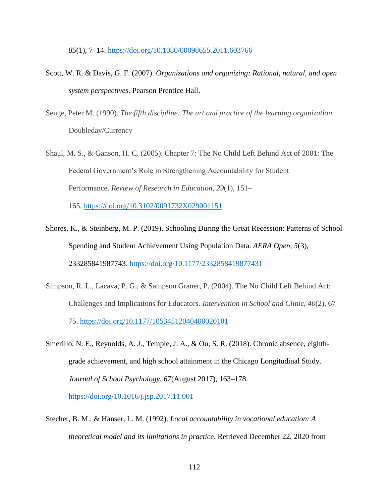*85*(1), 7–14.<https://doi.org/10.1080/00098655.2011.603766>

- Scott, W. R. & Davis, G. F. (2007). *Organizations and organizing: Rational, natural, and open system perspectives*. Pearson Prentice Hall.
- Senge, Peter M. (1990). *The fifth discipline: The art and practice of the learning organization.* Doubleday/Currency
- Shaul, M. S., & Ganson, H. C. (2005). Chapter 7: The No Child Left Behind Act of 2001: The Federal Government's Role in Strengthening Accountability for Student Performance. *Review of Research in Education*, *29*(1), 151– 165. <https://doi.org/10.3102/0091732X029001151>
- Shores, K., & Steinberg, M. P. (2019). Schooling During the Great Recession: Patterns of School Spending and Student Achievement Using Population Data. *AERA Open*, *5*(3), 233285841987743.<https://doi.org/10.1177/2332858419877431>
- Simpson, R. L., Lacava, P. G., & Sampson Graner, P. (2004). The No Child Left Behind Act: Challenges and Implications for Educators. *Intervention in School and Clinic*, *40*(2), 67– 75. <https://doi.org/10.1177/10534512040400020101>
- Smerillo, N. E., Reynolds, A. J., Temple, J. A., & Ou, S. R. (2018). Chronic absence, eighthgrade achievement, and high school attainment in the Chicago Longitudinal Study. *Journal of School Psychology*, *67*(August 2017), 163–178.

<https://doi.org/10.1016/j.jsp.2017.11.001>

Stecher, B. M., & Hanser, L. M. (1992). *Local accountability in vocational education: A theoretical model and its limitations in practice*. Retrieved December 22, 2020 from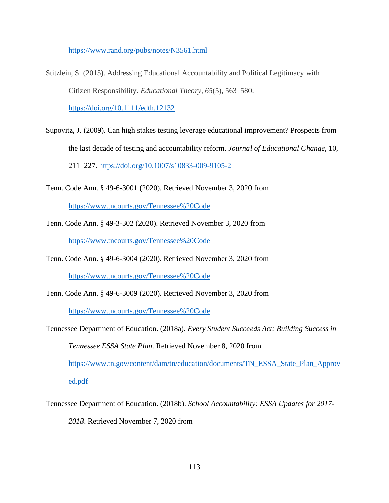<https://www.rand.org/pubs/notes/N3561.html>

Stitzlein, S. (2015). Addressing Educational Accountability and Political Legitimacy with Citizen Responsibility. *Educational Theory*, *65*(5), 563–580. <https://doi.org/10.1111/edth.12132>

Supovitz, J. (2009). Can high stakes testing leverage educational improvement? Prospects from the last decade of testing and accountability reform. *Journal of Educational Change*, 10, 211–227.<https://doi.org/10.1007/s10833-009-9105-2>

- Tenn. Code Ann. § 49-6-3001 (2020). Retrieved November 3, 2020 from <https://www.tncourts.gov/Tennessee%20Code>
- Tenn. Code Ann. § 49-3-302 (2020). Retrieved November 3, 2020 from

<https://www.tncourts.gov/Tennessee%20Code>

Tenn. Code Ann. § 49-6-3004 (2020). Retrieved November 3, 2020 from

<https://www.tncourts.gov/Tennessee%20Code>

Tenn. Code Ann. § 49-6-3009 (2020). Retrieved November 3, 2020 from

<https://www.tncourts.gov/Tennessee%20Code>

- Tennessee Department of Education. (2018a). *Every Student Succeeds Act: Building Success in Tennessee ESSA State Plan*. Retrieved November 8, 2020 from [https://www.tn.gov/content/dam/tn/education/documents/TN\\_ESSA\\_State\\_Plan\\_Approv](https://www.tn.gov/content/dam/tn/education/documents/TN_ESSA_State_Plan_Approved.pdf) [ed.pdf](https://www.tn.gov/content/dam/tn/education/documents/TN_ESSA_State_Plan_Approved.pdf)
- Tennessee Department of Education. (2018b). *School Accountability: ESSA Updates for 2017-*
	- *2018*. Retrieved November 7, 2020 from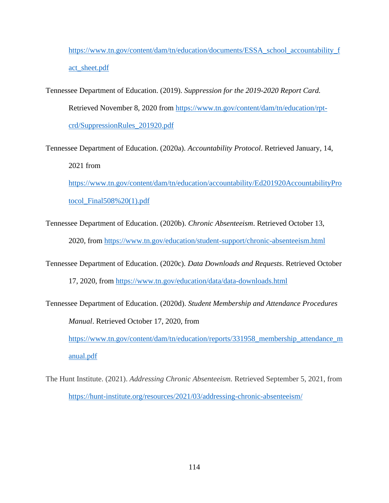[https://www.tn.gov/content/dam/tn/education/documents/ESSA\\_school\\_accountability\\_f](https://www.tn.gov/content/dam/tn/education/documents/ESSA_school_accountability_fact_sheet.pdf) [act\\_sheet.pdf](https://www.tn.gov/content/dam/tn/education/documents/ESSA_school_accountability_fact_sheet.pdf)

- Tennessee Department of Education. (2019). *Suppression for the 2019-2020 Report Card.* Retrieved November 8, 2020 from [https://www.tn.gov/content/dam/tn/education/rpt](https://www.tn.gov/content/dam/tn/education/rpt-crd/SuppressionRules_201920.pdf)[crd/SuppressionRules\\_201920.pdf](https://www.tn.gov/content/dam/tn/education/rpt-crd/SuppressionRules_201920.pdf)
- Tennessee Department of Education. (2020a). *Accountability Protocol*. Retrieved January, 14, 2021 from

[https://www.tn.gov/content/dam/tn/education/accountability/Ed201920AccountabilityPro](https://www.tn.gov/content/dam/tn/education/accountability/Ed201920AccountabilityProtocol_Final508%20(1).pdf) [tocol\\_Final508%20\(1\).pdf](https://www.tn.gov/content/dam/tn/education/accountability/Ed201920AccountabilityProtocol_Final508%20(1).pdf)

- Tennessee Department of Education. (2020b). *Chronic Absenteeism*. Retrieved October 13, 2020, from<https://www.tn.gov/education/student-support/chronic-absenteeism.html>
- Tennessee Department of Education. (2020c). *Data Downloads and Requests*. Retrieved October

17, 2020, from <https://www.tn.gov/education/data/data-downloads.html>

- Tennessee Department of Education. (2020d). *Student Membership and Attendance Procedures Manual*. Retrieved October 17, 2020, from [https://www.tn.gov/content/dam/tn/education/reports/331958\\_membership\\_attendance\\_m](https://www.tn.gov/content/dam/tn/education/reports/331958_membership_attendance_manual.pdf) [anual.pdf](https://www.tn.gov/content/dam/tn/education/reports/331958_membership_attendance_manual.pdf)
- The Hunt Institute. (2021). *Addressing Chronic Absenteeism.* Retrieved September 5, 2021, from <https://hunt-institute.org/resources/2021/03/addressing-chronic-absenteeism/>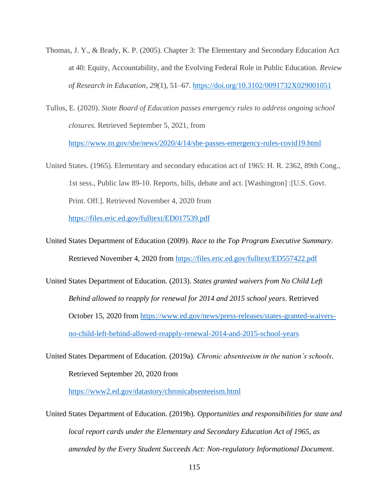- Thomas, J. Y., & Brady, K. P. (2005). Chapter 3: The Elementary and Secondary Education Act at 40: Equity, Accountability, and the Evolving Federal Role in Public Education. *Review of Research in Education*, *29*(1), 51–67. <https://doi.org/10.3102/0091732X029001051>
- Tullos, E. (2020). *State Board of Education passes emergency rules to address ongoing school closures.* Retrieved September 5, 2021, from <https://www.tn.gov/sbe/news/2020/4/14/sbe-passes-emergency-rules-covid19.html>
- United States. (1965). Elementary and secondary education act of 1965: H. R. 2362, 89th Cong., 1st sess., Public law 89-10. Reports, bills, debate and act. [Washington] :[U.S. Govt. Print. Off.]. Retrieved November 4, 2020 from <https://files.eric.ed.gov/fulltext/ED017539.pdf>
- United States Department of Education (2009). *Race to the Top Program Executive Summary*. Retrieved November 4, 2020 from <https://files.eric.ed.gov/fulltext/ED557422.pdf>
- United States Department of Education. (2013). *States granted waivers from No Child Left Behind allowed to reapply for renewal for 2014 and 2015 school years*. Retrieved October 15, 2020 from [https://www.ed.gov/news/press-releases/states-granted-waivers](https://www.ed.gov/news/press-releases/states-granted-waivers-no-child-left-behind-allowed-reapply-renewal-2014-and-2015-school-years)[no-child-left-behind-allowed-reapply-renewal-2014-and-2015-school-years](https://www.ed.gov/news/press-releases/states-granted-waivers-no-child-left-behind-allowed-reapply-renewal-2014-and-2015-school-years)
- United States Department of Education. (2019a). *Chronic absenteeism in the nation's schools*. Retrieved September 20, 2020 from

<https://www2.ed.gov/datastory/chronicabsenteeism.html>

United States Department of Education. (2019b). *Opportunities and responsibilities for state and local report cards under the Elementary and Secondary Education Act of 1965, as amended by the Every Student Succeeds Act: Non-regulatory Informational Document*.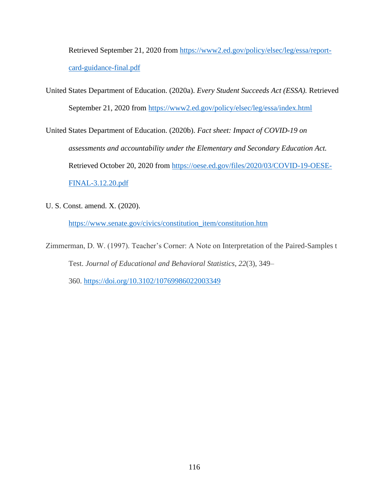Retrieved September 21, 2020 from [https://www2.ed.gov/policy/elsec/leg/essa/report](https://www2.ed.gov/policy/elsec/leg/essa/report-card-guidance-final.pdf)[card-guidance-final.pdf](https://www2.ed.gov/policy/elsec/leg/essa/report-card-guidance-final.pdf)

United States Department of Education. (2020a). *Every Student Succeeds Act (ESSA).* Retrieved September 21, 2020 from <https://www2.ed.gov/policy/elsec/leg/essa/index.html>

United States Department of Education. (2020b). *Fact sheet: Impact of COVID-19 on assessments and accountability under the Elementary and Secondary Education Act.* Retrieved October 20, 2020 from [https://oese.ed.gov/files/2020/03/COVID-19-OESE-](https://oese.ed.gov/files/2020/03/COVID-19-OESE-FINAL-3.12.20.pdf)[FINAL-3.12.20.pdf](https://oese.ed.gov/files/2020/03/COVID-19-OESE-FINAL-3.12.20.pdf)

U. S. Const. amend. X. (2020).

[https://www.senate.gov/civics/constitution\\_item/constitution.htm](https://www.senate.gov/civics/constitution_item/constitution.htm)

Zimmerman, D. W. (1997). Teacher's Corner: A Note on Interpretation of the Paired-Samples t Test. *Journal of Educational and Behavioral Statistics*, *22*(3), 349–

360. <https://doi.org/10.3102/10769986022003349>